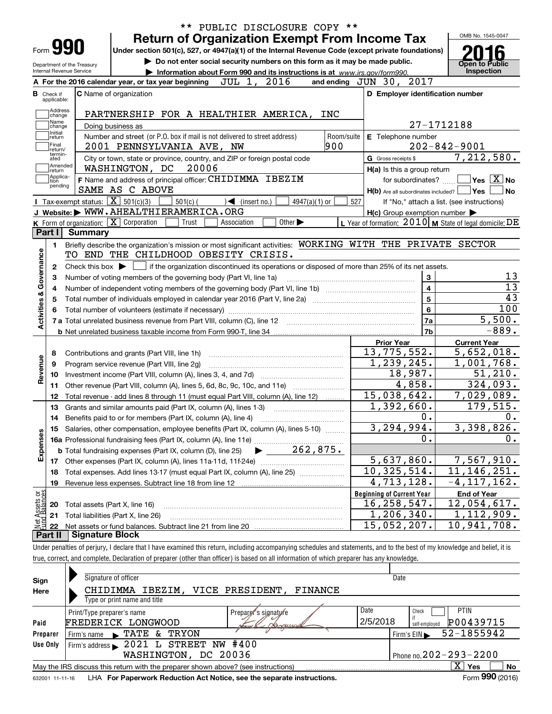| Form <b>990</b>                                        |         |                                                   | <b>Return of Organization Exempt From Income Tax</b><br>Under section 501(c), 527, or 4947(a)(1) of the Internal Revenue Code (except private foundations) |                                                                   |                                   |                             |                 |                         |                     |                                                     | OMB No. 1545-0047                                         |
|--------------------------------------------------------|---------|---------------------------------------------------|------------------------------------------------------------------------------------------------------------------------------------------------------------|-------------------------------------------------------------------|-----------------------------------|-----------------------------|-----------------|-------------------------|---------------------|-----------------------------------------------------|-----------------------------------------------------------|
|                                                        |         |                                                   | Do not enter social security numbers on this form as it may be made public.                                                                                |                                                                   |                                   |                             |                 |                         |                     |                                                     |                                                           |
| Department of the Treasury<br>Internal Revenue Service |         |                                                   | Information about Form 990 and its instructions is at www.irs.gov/form990.                                                                                 |                                                                   |                                   |                             |                 |                         |                     |                                                     | <b>Open to Public</b><br><b>Inspection</b>                |
|                                                        |         |                                                   | A For the 2016 calendar year, or tax year beginning                                                                                                        | JUL 1,                                                            |                                   | 2016                        |                 | and ending JUN 30, 2017 |                     |                                                     |                                                           |
| <b>B</b> Check if<br>applicable:                       |         | <b>C</b> Name of organization                     |                                                                                                                                                            |                                                                   |                                   |                             |                 |                         |                     | D Employer identification number                    |                                                           |
| Address                                                |         |                                                   | PARTNERSHIP FOR A HEALTHIER AMERICA,                                                                                                                       |                                                                   |                                   |                             |                 | INC                     |                     |                                                     |                                                           |
| change<br>Name<br>change                               |         | Doing business as                                 |                                                                                                                                                            |                                                                   |                                   |                             |                 |                         |                     | 27-1712188                                          |                                                           |
| Initial<br>return                                      |         |                                                   | Number and street (or P.O. box if mail is not delivered to street address)                                                                                 |                                                                   |                                   |                             |                 | Room/suite              |                     | E Telephone number                                  |                                                           |
| Final<br>return/                                       |         |                                                   | 2001 PENNSYLVANIA AVE, NW                                                                                                                                  |                                                                   |                                   |                             |                 | 900                     |                     | $202 - 842 - 9001$                                  |                                                           |
| termin-<br>ated                                        |         |                                                   | City or town, state or province, country, and ZIP or foreign postal code                                                                                   |                                                                   |                                   |                             |                 |                         | G Gross receipts \$ |                                                     | 7,212,580.                                                |
| Amended<br> return                                     |         | WASHINGTON, DC                                    | 20006                                                                                                                                                      |                                                                   |                                   |                             |                 |                         |                     | $H(a)$ is this a group return                       |                                                           |
| Applica-<br>tion<br>pending                            |         |                                                   | F Name and address of principal officer: CHIDIMMA IBEZIM                                                                                                   |                                                                   |                                   |                             |                 |                         |                     | for subordinates?                                   | $\sqrt{}$ Yes $\sqrt{}$ $\overline{\rm X}$ No             |
|                                                        |         | SAME AS C ABOVE                                   |                                                                                                                                                            |                                                                   |                                   |                             |                 |                         |                     | H(b) Are all subordinates included? Ves             |                                                           |
|                                                        |         | Tax-exempt status: $\boxed{\mathbf{X}}$ 501(c)(3) | $501(c)$ (                                                                                                                                                 |                                                                   | $\sqrt{\phantom{a}}$ (insert no.) |                             | $4947(a)(1)$ or | 527                     |                     |                                                     | If "No," attach a list. (see instructions)                |
|                                                        |         | K Form of organization: X Corporation             | J Website: WWW.AHEALTHIERAMERICA.ORG                                                                                                                       | Association                                                       |                                   | Other $\blacktriangleright$ |                 |                         |                     | $H(c)$ Group exemption number $\blacktriangleright$ | L Year of formation: $2010$ M State of legal domicile: DE |
| Part I                                                 | Summary |                                                   | Trust                                                                                                                                                      |                                                                   |                                   |                             |                 |                         |                     |                                                     |                                                           |
| 1.                                                     |         |                                                   | Briefly describe the organization's mission or most significant activities: WORKING WITH THE PRIVATE SECTOR                                                |                                                                   |                                   |                             |                 |                         |                     |                                                     |                                                           |
|                                                        |         |                                                   | TO END THE CHILDHOOD OBESITY CRISIS.                                                                                                                       |                                                                   |                                   |                             |                 |                         |                     |                                                     |                                                           |
| 2                                                      |         |                                                   | Check this box $\blacktriangleright$ $\blacksquare$ if the organization discontinued its operations or disposed of more than 25% of its net assets.        |                                                                   |                                   |                             |                 |                         |                     |                                                     |                                                           |
| З                                                      |         |                                                   |                                                                                                                                                            |                                                                   |                                   |                             |                 |                         |                     |                                                     |                                                           |
|                                                        |         |                                                   |                                                                                                                                                            |                                                                   |                                   |                             |                 |                         |                     |                                                     |                                                           |
| 4                                                      |         |                                                   |                                                                                                                                                            | Number of voting members of the governing body (Part VI, line 1a) |                                   |                             |                 |                         |                     | 3<br>4                                              |                                                           |
| 5                                                      |         |                                                   |                                                                                                                                                            |                                                                   |                                   |                             |                 |                         |                     | 5                                                   |                                                           |
|                                                        |         |                                                   |                                                                                                                                                            |                                                                   |                                   |                             |                 |                         |                     | 6                                                   | 100                                                       |
|                                                        |         |                                                   |                                                                                                                                                            |                                                                   |                                   |                             |                 |                         |                     | 7a                                                  |                                                           |
|                                                        |         |                                                   |                                                                                                                                                            |                                                                   |                                   |                             |                 |                         |                     | 7b                                                  | 5,500.<br>$-889.$                                         |
|                                                        |         |                                                   |                                                                                                                                                            |                                                                   |                                   |                             |                 |                         | <b>Prior Year</b>   |                                                     | <b>Current Year</b>                                       |
| 8                                                      |         |                                                   | Contributions and grants (Part VIII, line 1h)                                                                                                              |                                                                   |                                   |                             |                 |                         |                     | 13,775,552.                                         | $\overline{5,652,018}$ .                                  |
| 9                                                      |         |                                                   | Program service revenue (Part VIII, line 2g)                                                                                                               |                                                                   |                                   |                             |                 |                         |                     | 1,239,245.                                          |                                                           |
| 10                                                     |         |                                                   |                                                                                                                                                            |                                                                   |                                   |                             |                 |                         |                     | 18,987.                                             | 1,001,768.<br>51,210.                                     |
| 11                                                     |         |                                                   | Other revenue (Part VIII, column (A), lines 5, 6d, 8c, 9c, 10c, and 11e)                                                                                   |                                                                   |                                   |                             |                 |                         |                     | 4,858.                                              |                                                           |
| 12                                                     |         |                                                   | Total revenue - add lines 8 through 11 (must equal Part VIII, column (A), line 12)                                                                         |                                                                   |                                   |                             |                 |                         |                     | 15,038,642.                                         | 324,093.<br>7,029,089.                                    |
| 13                                                     |         |                                                   | Grants and similar amounts paid (Part IX, column (A), lines 1-3)                                                                                           |                                                                   |                                   |                             |                 |                         |                     | 1,392,660.                                          |                                                           |
| 14                                                     |         |                                                   |                                                                                                                                                            |                                                                   |                                   |                             |                 |                         |                     | 0.                                                  |                                                           |
|                                                        |         |                                                   | 15 Salaries, other compensation, employee benefits (Part IX, column (A), lines 5-10)                                                                       |                                                                   |                                   |                             |                 |                         |                     | 3,294,994.                                          |                                                           |
|                                                        |         |                                                   |                                                                                                                                                            |                                                                   |                                   |                             |                 |                         |                     | 0.                                                  |                                                           |
|                                                        |         |                                                   | <b>b</b> Total fundraising expenses (Part IX, column (D), line 25)                                                                                         |                                                                   |                                   |                             | 262,875.        |                         |                     |                                                     |                                                           |
| 17                                                     |         |                                                   |                                                                                                                                                            |                                                                   |                                   |                             |                 |                         |                     | 5,637,860.                                          | 179,515.<br>3,398,826.<br>7,567,910.                      |
| 18                                                     |         |                                                   | Total expenses. Add lines 13-17 (must equal Part IX, column (A), line 25)                                                                                  |                                                                   |                                   |                             |                 |                         |                     | 10, 325, 514.                                       |                                                           |
| 19                                                     |         |                                                   | Revenue less expenses. Subtract line 18 from line 12                                                                                                       |                                                                   |                                   |                             |                 |                         |                     | $\overline{4}$ , 713, 128.                          | 11, 146, 251.<br>$-4, 117, 162.$                          |
|                                                        |         |                                                   |                                                                                                                                                            |                                                                   |                                   |                             |                 |                         |                     | <b>Beginning of Current Year</b>                    | <b>End of Year</b>                                        |
| Activities & Governance<br>Revenue<br>Expenses<br>20   |         | Total assets (Part X, line 16)                    |                                                                                                                                                            |                                                                   |                                   |                             |                 |                         |                     | $\overline{16}$ , 258, 547.                         | 12,054,617.                                               |
| t Assets or<br>d Balances<br>21<br>혍<br>22             |         | Total liabilities (Part X, line 26)               |                                                                                                                                                            |                                                                   |                                   |                             |                 |                         |                     | 1, 206, 340.<br>15,052,207.                         | 1,112,909.<br>10,941,708.                                 |

true, correct, and complete. Declaration of preparer (other than officer) is based on all information of which preparer has any knowledge.

| Sign            | Signature of officer                                                              | Date                                   |
|-----------------|-----------------------------------------------------------------------------------|----------------------------------------|
| Here            | CHIDIMMA IBEZIM <i>.</i><br>VICE PRESIDENT,<br><b>FINANCE</b>                     |                                        |
|                 | Type or print name and title                                                      |                                        |
|                 | Print/Type preparer's name<br>Preparer's signature                                | Date<br><b>PTIN</b><br>Check           |
| Paid            | FREDERICK LONGWOOD<br>Xandhulul                                                   | 2/5/2018<br>P00439715<br>self-employed |
| Preparer        | TRYON<br>TATE &<br>Firm's name                                                    | 52-1855942<br>Firm's $EIN$             |
| Use Only        | 2021 L STREET NW<br>#400<br>Firm's address                                        |                                        |
|                 | WASHINGTON, DC 20036                                                              | Phone no. $202 - 293 - 2200$           |
|                 | May the IRS discuss this return with the preparer shown above? (see instructions) | x<br><b>No</b><br>Yes                  |
| 632001 11-11-16 | LHA For Paperwork Reduction Act Notice, see the separate instructions.            | Form 990 (2016)                        |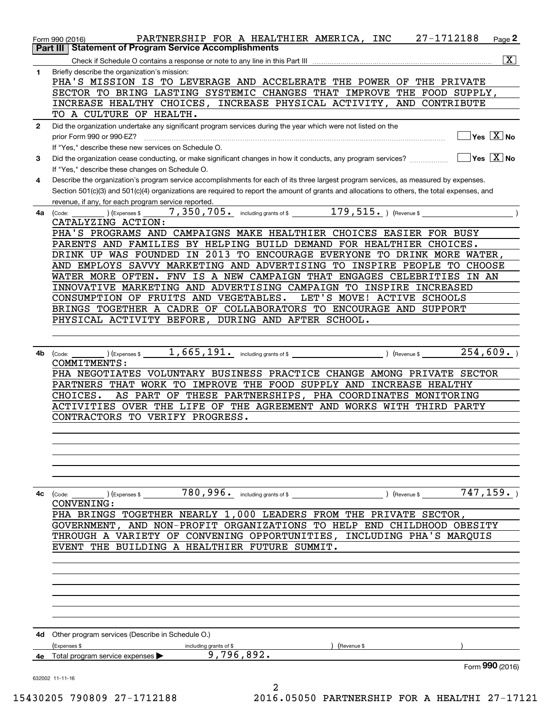|              | PARTNERSHIP FOR A HEALTHIER AMERICA, INC 27-1712188<br>Page 2<br>Form 990 (2016)                                                                                |
|--------------|-----------------------------------------------------------------------------------------------------------------------------------------------------------------|
|              | <b>Statement of Program Service Accomplishments</b><br>Part III                                                                                                 |
|              | $\boxed{\text{X}}$                                                                                                                                              |
| $\mathbf{1}$ | Briefly describe the organization's mission:<br>PHA'S MISSION IS TO LEVERAGE AND ACCELERATE THE POWER OF THE PRIVATE                                            |
|              | SECTOR TO BRING LASTING SYSTEMIC CHANGES THAT IMPROVE THE FOOD SUPPLY,                                                                                          |
|              | INCREASE HEALTHY CHOICES, INCREASE PHYSICAL ACTIVITY, AND CONTRIBUTE                                                                                            |
|              | TO A CULTURE OF HEALTH.                                                                                                                                         |
| $\mathbf{2}$ | Did the organization undertake any significant program services during the year which were not listed on the                                                    |
|              | $\exists$ Yes $\sqrt{\mathrm{X}}$ No<br>prior Form 990 or 990-EZ?                                                                                               |
|              | If "Yes." describe these new services on Schedule O.                                                                                                            |
| 3            | $\boxed{\phantom{1}}$ Yes $\boxed{\text{X}}$ No<br>Did the organization cease conducting, or make significant changes in how it conducts, any program services? |
|              | If "Yes," describe these changes on Schedule O.                                                                                                                 |
| 4            | Describe the organization's program service accomplishments for each of its three largest program services, as measured by expenses.                            |
|              | Section 501(c)(3) and 501(c)(4) organizations are required to report the amount of grants and allocations to others, the total expenses, and                    |
|              | revenue, if any, for each program service reported.<br>7, 350, 705. including grants of \$ 179, 515. ) (Revenue \$<br>(Expenses \$                              |
| 4а           | (Code:<br>CATALYZING ACTION:                                                                                                                                    |
|              | PHA'S PROGRAMS AND CAMPAIGNS MAKE HEALTHIER CHOICES EASIER FOR BUSY                                                                                             |
|              | PARENTS AND FAMILIES BY HELPING BUILD DEMAND FOR HEALTHIER CHOICES.                                                                                             |
|              | DRINK UP WAS FOUNDED IN 2013 TO ENCOURAGE EVERYONE TO DRINK MORE WATER,                                                                                         |
|              | AND EMPLOYS SAVVY MARKETING AND ADVERTISING TO INSPIRE PEOPLE TO CHOOSE                                                                                         |
|              | WATER MORE OFTEN. FNV IS A NEW CAMPAIGN THAT ENGAGES CELEBRITIES IN AN                                                                                          |
|              | INNOVATIVE MARKETING AND ADVERTISING CAMPAIGN TO INSPIRE INCREASED                                                                                              |
|              | CONSUMPTION OF FRUITS AND VEGETABLES.<br>LET'S MOVE! ACTIVE SCHOOLS                                                                                             |
|              | BRINGS TOGETHER A CADRE OF COLLABORATORS TO ENCOURAGE AND SUPPORT                                                                                               |
|              | PHYSICAL ACTIVITY BEFORE, DURING AND AFTER SCHOOL.                                                                                                              |
|              |                                                                                                                                                                 |
|              |                                                                                                                                                                 |
| 4b           | (Code:                                                                                                                                                          |
|              | COMMITMENTS:<br>PHA NEGOTIATES VOLUNTARY BUSINESS PRACTICE CHANGE AMONG PRIVATE SECTOR                                                                          |
|              | PARTNERS THAT WORK TO IMPROVE THE FOOD SUPPLY AND INCREASE HEALTHY                                                                                              |
|              | AS PART OF THESE PARTNERSHIPS, PHA COORDINATES MONITORING<br>CHOICES.                                                                                           |
|              | ACTIVITIES OVER THE LIFE OF THE AGREEMENT AND WORKS WITH THIRD PARTY                                                                                            |
|              | CONTRACTORS TO VERIFY PROGRESS.                                                                                                                                 |
|              |                                                                                                                                                                 |
|              |                                                                                                                                                                 |
|              |                                                                                                                                                                 |
|              |                                                                                                                                                                 |
|              |                                                                                                                                                                 |
|              |                                                                                                                                                                 |
| 4с           | $\frac{1}{2}$ (Code: ) (Expenses \$ 780, 996. including grants of \$<br>747, 159.<br>(Revenue \$                                                                |
|              | CONVENING:                                                                                                                                                      |
|              | PHA BRINGS TOGETHER NEARLY 1,000 LEADERS FROM THE PRIVATE SECTOR,                                                                                               |
|              | GOVERNMENT, AND NON-PROFIT ORGANIZATIONS TO HELP END CHILDHOOD OBESITY                                                                                          |
|              | THROUGH A VARIETY OF CONVENING OPPORTUNITIES, INCLUDING PHA'S MARQUIS                                                                                           |
|              | EVENT THE BUILDING A HEALTHIER FUTURE SUMMIT.                                                                                                                   |
|              |                                                                                                                                                                 |
|              |                                                                                                                                                                 |
|              |                                                                                                                                                                 |
|              |                                                                                                                                                                 |
|              |                                                                                                                                                                 |
|              |                                                                                                                                                                 |
|              | 4d Other program services (Describe in Schedule O.)                                                                                                             |
|              | (Expenses \$<br>Revenue \$                                                                                                                                      |
|              | including grants of \$<br>9,796,892.<br>4e Total program service expenses $\blacktriangleright$                                                                 |
|              | Form 990 (2016)                                                                                                                                                 |
|              | 632002 11-11-16                                                                                                                                                 |
|              | 2                                                                                                                                                               |
|              |                                                                                                                                                                 |

15430205 790809 27-1712188 2016.05050 PARTNERSHIP FOR A HEALTHI 27-17121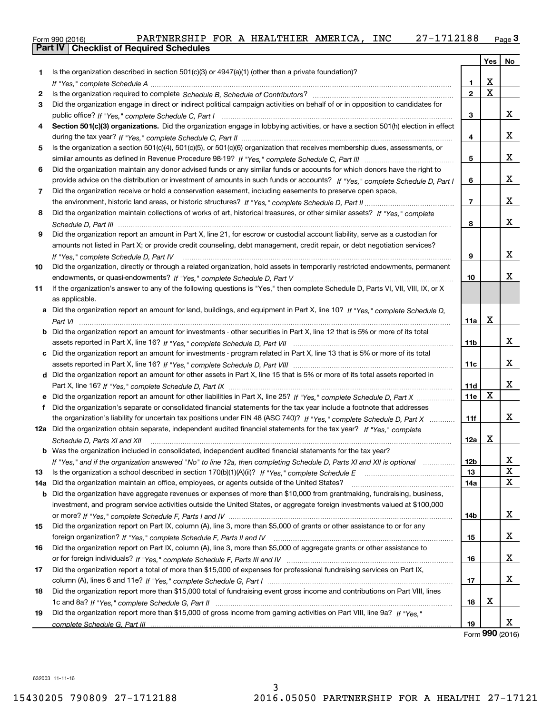| Form 990 (2016) |                                                  | PARTNERSHIP FOR A HEALTHIER AMERICA, |  |  | <b>INC</b> | 27-1712188 | نة Page |
|-----------------|--------------------------------------------------|--------------------------------------|--|--|------------|------------|---------|
|                 | <b>Part IV   Checklist of Required Schedules</b> |                                      |  |  |            |            |         |

|     |                                                                                                                                      |                 | Yes         | No |
|-----|--------------------------------------------------------------------------------------------------------------------------------------|-----------------|-------------|----|
| 1   | Is the organization described in section 501(c)(3) or 4947(a)(1) (other than a private foundation)?                                  |                 |             |    |
|     |                                                                                                                                      | 1               | X           |    |
| 2   |                                                                                                                                      | $\mathbf{2}$    | $\mathbf X$ |    |
| 3   | Did the organization engage in direct or indirect political campaign activities on behalf of or in opposition to candidates for      |                 |             |    |
|     |                                                                                                                                      | 3               |             | х  |
| 4   | Section 501(c)(3) organizations. Did the organization engage in lobbying activities, or have a section 501(h) election in effect     |                 |             |    |
|     |                                                                                                                                      | 4               |             | x  |
| 5   | Is the organization a section 501(c)(4), 501(c)(5), or 501(c)(6) organization that receives membership dues, assessments, or         |                 |             |    |
|     |                                                                                                                                      | 5               |             | х  |
| 6   | Did the organization maintain any donor advised funds or any similar funds or accounts for which donors have the right to            |                 |             |    |
|     | provide advice on the distribution or investment of amounts in such funds or accounts? If "Yes," complete Schedule D, Part I         | 6               |             | х  |
| 7   | Did the organization receive or hold a conservation easement, including easements to preserve open space,                            |                 |             |    |
|     |                                                                                                                                      | $\overline{7}$  |             | х  |
| 8   | Did the organization maintain collections of works of art, historical treasures, or other similar assets? If "Yes," complete         |                 |             |    |
|     |                                                                                                                                      | 8               |             | x  |
| 9   | Did the organization report an amount in Part X, line 21, for escrow or custodial account liability, serve as a custodian for        |                 |             |    |
|     | amounts not listed in Part X; or provide credit counseling, debt management, credit repair, or debt negotiation services?            |                 |             |    |
|     | If "Yes," complete Schedule D, Part IV                                                                                               | 9               |             | х  |
| 10  | Did the organization, directly or through a related organization, hold assets in temporarily restricted endowments, permanent        |                 |             |    |
|     |                                                                                                                                      | 10              |             | x  |
| 11  | If the organization's answer to any of the following questions is "Yes," then complete Schedule D, Parts VI, VII, VIII, IX, or X     |                 |             |    |
|     | as applicable.                                                                                                                       |                 |             |    |
|     | a Did the organization report an amount for land, buildings, and equipment in Part X, line 10? If "Yes," complete Schedule D,        |                 |             |    |
|     |                                                                                                                                      | 11a             | Х           |    |
|     |                                                                                                                                      |                 |             |    |
|     | <b>b</b> Did the organization report an amount for investments - other securities in Part X, line 12 that is 5% or more of its total |                 |             | х  |
|     |                                                                                                                                      | 11 <sub>b</sub> |             |    |
|     | c Did the organization report an amount for investments - program related in Part X, line 13 that is 5% or more of its total         |                 |             |    |
|     |                                                                                                                                      | 11c             |             | x  |
|     | d Did the organization report an amount for other assets in Part X, line 15 that is 5% or more of its total assets reported in       |                 |             |    |
|     |                                                                                                                                      | 11d             |             | x  |
|     | e Did the organization report an amount for other liabilities in Part X, line 25? If "Yes," complete Schedule D, Part X              | 11e             | X           |    |
|     | f Did the organization's separate or consolidated financial statements for the tax year include a footnote that addresses            |                 |             |    |
|     | the organization's liability for uncertain tax positions under FIN 48 (ASC 740)? If "Yes," complete Schedule D, Part X               | 11f             |             | х  |
|     | 12a Did the organization obtain separate, independent audited financial statements for the tax year? If "Yes." complete              |                 |             |    |
|     | Schedule D, Parts XI and XII                                                                                                         | 12a             | х           |    |
|     | <b>b</b> Was the organization included in consolidated, independent audited financial statements for the tax year?                   |                 |             |    |
|     | If "Yes," and if the organization answered "No" to line 12a, then completing Schedule D, Parts XI and XII is optional manum          | 12 <sub>b</sub> |             | х  |
| 13  |                                                                                                                                      | 13              |             | X  |
| 14a | Did the organization maintain an office, employees, or agents outside of the United States?                                          | 14a             |             | Х  |
| b   | Did the organization have aggregate revenues or expenses of more than \$10,000 from grantmaking, fundraising, business,              |                 |             |    |
|     | investment, and program service activities outside the United States, or aggregate foreign investments valued at \$100,000           |                 |             |    |
|     |                                                                                                                                      | 14b             |             | X  |
| 15  | Did the organization report on Part IX, column (A), line 3, more than \$5,000 of grants or other assistance to or for any            |                 |             |    |
|     |                                                                                                                                      | 15              |             | x  |
| 16  | Did the organization report on Part IX, column (A), line 3, more than \$5,000 of aggregate grants or other assistance to             |                 |             |    |
|     |                                                                                                                                      | 16              |             | x  |
| 17  | Did the organization report a total of more than \$15,000 of expenses for professional fundraising services on Part IX,              |                 |             |    |
|     |                                                                                                                                      | 17              |             | х  |
| 18  | Did the organization report more than \$15,000 total of fundraising event gross income and contributions on Part VIII, lines         |                 |             |    |
|     | 1c and 8a? If "Yes," complete Schedule G, Part II …………………………………………………………………………………                                                    | 18              | х           |    |
| 19  | Did the organization report more than \$15,000 of gross income from gaming activities on Part VIII, line 9a? If "Yes."               |                 |             |    |
|     |                                                                                                                                      | 19              |             | x  |
|     |                                                                                                                                      |                 |             |    |

Form (2016) **990**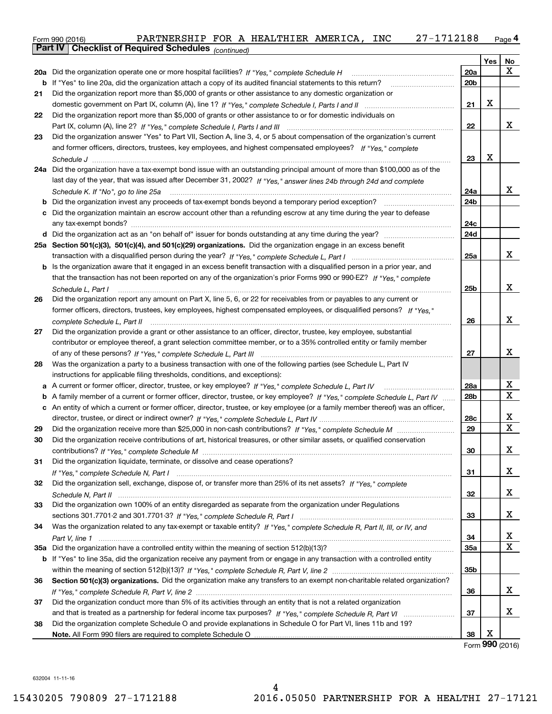|    | 27-1712188<br>PARTNERSHIP FOR A HEALTHIER AMERICA, INC<br>Form 990 (2016)                                                           |                 |     | $Page$ <sup>4</sup> |
|----|-------------------------------------------------------------------------------------------------------------------------------------|-----------------|-----|---------------------|
|    | <b>Checklist of Required Schedules</b> (continued)<br><b>Part IV</b>                                                                |                 |     |                     |
|    |                                                                                                                                     |                 | Yes | No                  |
|    |                                                                                                                                     | 20a             |     | x                   |
|    | b If "Yes" to line 20a, did the organization attach a copy of its audited financial statements to this return?                      | 20 <sub>b</sub> |     |                     |
| 21 | Did the organization report more than \$5,000 of grants or other assistance to any domestic organization or                         |                 |     |                     |
|    |                                                                                                                                     | 21              | X   |                     |
| 22 | Did the organization report more than \$5,000 of grants or other assistance to or for domestic individuals on                       |                 |     |                     |
|    |                                                                                                                                     | 22              |     | x                   |
| 23 | Did the organization answer "Yes" to Part VII, Section A, line 3, 4, or 5 about compensation of the organization's current          |                 |     |                     |
|    | and former officers, directors, trustees, key employees, and highest compensated employees? If "Yes," complete                      |                 |     |                     |
|    |                                                                                                                                     | 23              | х   |                     |
|    | 24a Did the organization have a tax-exempt bond issue with an outstanding principal amount of more than \$100,000 as of the         |                 |     |                     |
|    | last day of the year, that was issued after December 31, 2002? If "Yes," answer lines 24b through 24d and complete                  |                 |     |                     |
|    |                                                                                                                                     | 24a             |     | x                   |
|    | Schedule K. If "No", go to line 25a                                                                                                 | 24b             |     |                     |
|    | c Did the organization maintain an escrow account other than a refunding escrow at any time during the year to defease              |                 |     |                     |
|    |                                                                                                                                     | 24c             |     |                     |
|    |                                                                                                                                     |                 |     |                     |
|    |                                                                                                                                     | 24d             |     |                     |
|    | 25a Section 501(c)(3), 501(c)(4), and 501(c)(29) organizations. Did the organization engage in an excess benefit                    |                 |     | x                   |
|    |                                                                                                                                     | 25a             |     |                     |
|    | <b>b</b> Is the organization aware that it engaged in an excess benefit transaction with a disqualified person in a prior year, and |                 |     |                     |
|    | that the transaction has not been reported on any of the organization's prior Forms 990 or 990-EZ? If "Yes," complete               |                 |     |                     |
|    | Schedule L, Part I                                                                                                                  | 25b             |     | x                   |
| 26 | Did the organization report any amount on Part X, line 5, 6, or 22 for receivables from or payables to any current or               |                 |     |                     |
|    | former officers, directors, trustees, key employees, highest compensated employees, or disqualified persons? If "Yes."              |                 |     |                     |
|    | complete Schedule L, Part II must be complete schedule L, Part II must be complete schedule L, Part II must be                      | 26              |     | x                   |
| 27 | Did the organization provide a grant or other assistance to an officer, director, trustee, key employee, substantial                |                 |     |                     |
|    | contributor or employee thereof, a grant selection committee member, or to a 35% controlled entity or family member                 |                 |     |                     |
|    |                                                                                                                                     | 27              |     | x                   |
| 28 | Was the organization a party to a business transaction with one of the following parties (see Schedule L, Part IV                   |                 |     |                     |
|    | instructions for applicable filing thresholds, conditions, and exceptions):                                                         |                 |     |                     |
|    |                                                                                                                                     | 28a             |     | Х                   |
|    | b A family member of a current or former officer, director, trustee, or key employee? If "Yes," complete Schedule L. Part IV        | 28b             |     | X                   |
|    | c An entity of which a current or former officer, director, trustee, or key employee (or a family member thereof) was an officer,   |                 |     |                     |
|    |                                                                                                                                     | 28c             |     | х                   |
| 29 |                                                                                                                                     | 29              |     | X                   |
| 30 | Did the organization receive contributions of art, historical treasures, or other similar assets, or qualified conservation         |                 |     |                     |
|    |                                                                                                                                     | 30              |     | х                   |
| 31 | Did the organization liquidate, terminate, or dissolve and cease operations?                                                        |                 |     |                     |
|    |                                                                                                                                     | 31              |     | х                   |
| 32 | Did the organization sell, exchange, dispose of, or transfer more than 25% of its net assets? If "Yes," complete                    |                 |     |                     |
|    |                                                                                                                                     | 32              |     | х                   |
| 33 | Did the organization own 100% of an entity disregarded as separate from the organization under Regulations                          |                 |     |                     |
|    |                                                                                                                                     | 33              |     | х                   |
| 34 | Was the organization related to any tax-exempt or taxable entity? If "Yes," complete Schedule R, Part II, III, or IV, and           |                 |     |                     |
|    |                                                                                                                                     | 34              |     | X                   |
|    |                                                                                                                                     | 35a             |     | $\mathbf X$         |
|    | b If "Yes" to line 35a, did the organization receive any payment from or engage in any transaction with a controlled entity         |                 |     |                     |
|    |                                                                                                                                     | 35b             |     |                     |
| 36 | Section 501(c)(3) organizations. Did the organization make any transfers to an exempt non-charitable related organization?          |                 |     |                     |
|    |                                                                                                                                     | 36              |     | х                   |
| 37 | Did the organization conduct more than 5% of its activities through an entity that is not a related organization                    |                 |     |                     |
|    |                                                                                                                                     | 37              |     | х                   |
| 38 | Did the organization complete Schedule O and provide explanations in Schedule O for Part VI, lines 11b and 19?                      |                 |     |                     |
|    |                                                                                                                                     | 38              | х   |                     |
|    |                                                                                                                                     |                 |     | $000$ $(001)$       |

Form (2016) **990**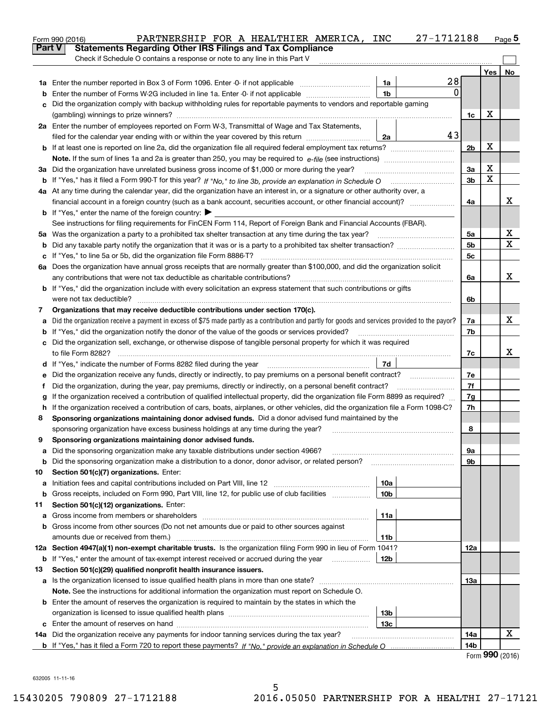|               | 27-1712188<br>PARTNERSHIP FOR A HEALTHIER AMERICA, INC<br>Form 990 (2016)                                                                                                                                                            |                |     | Page $5$        |
|---------------|--------------------------------------------------------------------------------------------------------------------------------------------------------------------------------------------------------------------------------------|----------------|-----|-----------------|
| <b>Part V</b> | <b>Statements Regarding Other IRS Filings and Tax Compliance</b>                                                                                                                                                                     |                |     |                 |
|               | Check if Schedule O contains a response or note to any line in this Part V                                                                                                                                                           |                |     |                 |
|               |                                                                                                                                                                                                                                      |                | Yes | No              |
|               | 28<br>1a                                                                                                                                                                                                                             |                |     |                 |
| b             | 0<br>1 <sub>b</sub><br>Enter the number of Forms W-2G included in line 1a. Enter -0- if not applicable                                                                                                                               |                |     |                 |
| с             | Did the organization comply with backup withholding rules for reportable payments to vendors and reportable gaming                                                                                                                   |                |     |                 |
|               |                                                                                                                                                                                                                                      | 1c             | х   |                 |
|               | 2a Enter the number of employees reported on Form W-3, Transmittal of Wage and Tax Statements,                                                                                                                                       |                |     |                 |
|               | 43<br>filed for the calendar year ending with or within the year covered by this return<br>2a                                                                                                                                        |                |     |                 |
|               |                                                                                                                                                                                                                                      | 2 <sub>b</sub> | х   |                 |
|               |                                                                                                                                                                                                                                      |                |     |                 |
|               | 3a Did the organization have unrelated business gross income of \$1,000 or more during the year?                                                                                                                                     | 3a             | х   |                 |
|               |                                                                                                                                                                                                                                      | 3 <sub>b</sub> | X   |                 |
|               | 4a At any time during the calendar year, did the organization have an interest in, or a signature or other authority over, a                                                                                                         |                |     |                 |
|               |                                                                                                                                                                                                                                      | 4a             |     | х               |
|               | <b>b</b> If "Yes," enter the name of the foreign country: $\blacktriangleright$                                                                                                                                                      |                |     |                 |
|               | See instructions for filing requirements for FinCEN Form 114, Report of Foreign Bank and Financial Accounts (FBAR).                                                                                                                  |                |     |                 |
|               | 5a Was the organization a party to a prohibited tax shelter transaction at any time during the tax year?                                                                                                                             | 5a             |     | х               |
| b             |                                                                                                                                                                                                                                      | 5 <sub>b</sub> |     | x               |
| c             | If "Yes," to line 5a or 5b, did the organization file Form 8886-T?                                                                                                                                                                   | 5c             |     |                 |
|               | 6a Does the organization have annual gross receipts that are normally greater than \$100,000, and did the organization solicit                                                                                                       |                |     |                 |
|               | any contributions that were not tax deductible as charitable contributions?                                                                                                                                                          | 6a             |     | x               |
|               | <b>b</b> If "Yes," did the organization include with every solicitation an express statement that such contributions or gifts                                                                                                        |                |     |                 |
|               | were not tax deductible?                                                                                                                                                                                                             | 6b             |     |                 |
| 7             | Organizations that may receive deductible contributions under section 170(c).                                                                                                                                                        |                |     |                 |
| a             | Did the organization receive a payment in excess of \$75 made partly as a contribution and partly for goods and services provided to the payor?                                                                                      | 7a             |     | х               |
| b             | If "Yes," did the organization notify the donor of the value of the goods or services provided?                                                                                                                                      | 7b             |     |                 |
|               | c Did the organization sell, exchange, or otherwise dispose of tangible personal property for which it was required                                                                                                                  |                |     |                 |
|               |                                                                                                                                                                                                                                      | 7c             |     | x               |
|               | 7d<br>d If "Yes," indicate the number of Forms 8282 filed during the year [11] [11] No. 2010 [12] Hyllands Hangar [11] Hyllands Hangar [11] Hyllands Hangar [11] Hyllands Hangar [11] Hyllands Hangar [11] Hyllands Hangar [11] Hyll |                |     |                 |
| е             |                                                                                                                                                                                                                                      | 7e             |     |                 |
| f             | Did the organization, during the year, pay premiums, directly or indirectly, on a personal benefit contract?                                                                                                                         | 7f             |     |                 |
| g             | If the organization received a contribution of qualified intellectual property, did the organization file Form 8899 as required?                                                                                                     | 7g             |     |                 |
| h.            | If the organization received a contribution of cars, boats, airplanes, or other vehicles, did the organization file a Form 1098-C?                                                                                                   | 7h             |     |                 |
| 8             | Sponsoring organizations maintaining donor advised funds. Did a donor advised fund maintained by the                                                                                                                                 |                |     |                 |
|               | sponsoring organization have excess business holdings at any time during the year?                                                                                                                                                   | 8              |     |                 |
|               | Sponsoring organizations maintaining donor advised funds.                                                                                                                                                                            |                |     |                 |
| а             | Did the sponsoring organization make any taxable distributions under section 4966?                                                                                                                                                   | 9а             |     |                 |
| b             | Did the sponsoring organization make a distribution to a donor, donor advisor, or related person?                                                                                                                                    | 9b             |     |                 |
| 10            | Section 501(c)(7) organizations. Enter:                                                                                                                                                                                              |                |     |                 |
| а             | Initiation fees and capital contributions included on Part VIII, line 12 <i>manuarrouus</i> manuations of the latest<br>10a                                                                                                          |                |     |                 |
| b             | Gross receipts, included on Form 990, Part VIII, line 12, for public use of club facilities<br>10 <sub>b</sub>                                                                                                                       |                |     |                 |
| 11            | Section 501(c)(12) organizations. Enter:                                                                                                                                                                                             |                |     |                 |
| а             | Gross income from members or shareholders<br>11a                                                                                                                                                                                     |                |     |                 |
| b             | Gross income from other sources (Do not net amounts due or paid to other sources against                                                                                                                                             |                |     |                 |
|               | amounts due or received from them.)<br>11b                                                                                                                                                                                           |                |     |                 |
|               | 12a Section 4947(a)(1) non-exempt charitable trusts. Is the organization filing Form 990 in lieu of Form 1041?                                                                                                                       | 12a            |     |                 |
| b             | If "Yes," enter the amount of tax-exempt interest received or accrued during the year<br>12b                                                                                                                                         |                |     |                 |
| 13            | Section 501(c)(29) qualified nonprofit health insurance issuers.                                                                                                                                                                     |                |     |                 |
|               | a Is the organization licensed to issue qualified health plans in more than one state?                                                                                                                                               | 13а            |     |                 |
|               | Note. See the instructions for additional information the organization must report on Schedule O.                                                                                                                                    |                |     |                 |
|               | <b>b</b> Enter the amount of reserves the organization is required to maintain by the states in which the                                                                                                                            |                |     |                 |
|               | 13b                                                                                                                                                                                                                                  |                |     |                 |
|               | 13 <sub>c</sub>                                                                                                                                                                                                                      |                |     |                 |
|               | 14a Did the organization receive any payments for indoor tanning services during the tax year?                                                                                                                                       | 14a            |     | x               |
|               |                                                                                                                                                                                                                                      | 14b            |     |                 |
|               |                                                                                                                                                                                                                                      |                |     | Form 990 (2016) |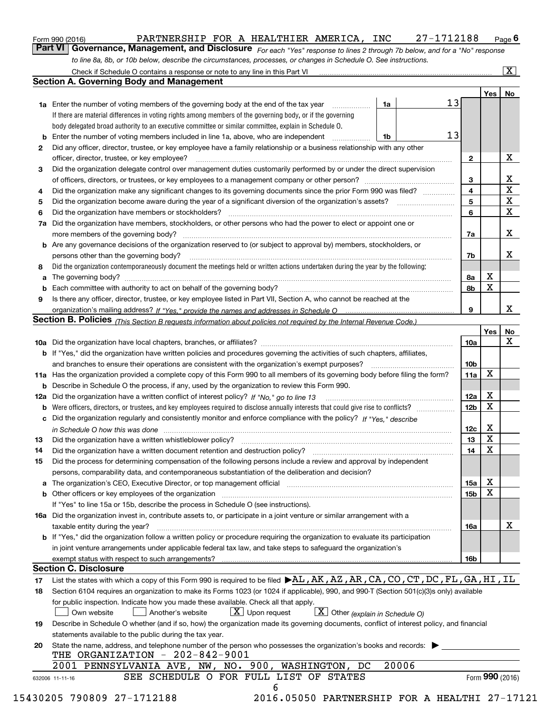| Form 990 (2016) | PARTNERSHIP FOR A HEALTHIER AMERICA, INC |  |  | 27-1712188                                                                                                                         | $P$ aqe $6$ |
|-----------------|------------------------------------------|--|--|------------------------------------------------------------------------------------------------------------------------------------|-------------|
|                 |                                          |  |  | <b>Part VI</b> Governance, Management, and Disclosure For each "Yes" response to lines 2 through 7b below, and for a "No" response |             |

*For each "Yes" response to lines 2 through 7b below, and for a "No" response to line 8a, 8b, or 10b below, describe the circumstances, processes, or changes in Schedule O. See instructions.*

|    |                                                                                                                                                                            |       |    |                 | Yes             | No                      |
|----|----------------------------------------------------------------------------------------------------------------------------------------------------------------------------|-------|----|-----------------|-----------------|-------------------------|
|    | <b>1a</b> Enter the number of voting members of the governing body at the end of the tax year <i>manumum</i>                                                               | 1a    |    | 13              |                 |                         |
|    | If there are material differences in voting rights among members of the governing body, or if the governing                                                                |       |    |                 |                 |                         |
|    | body delegated broad authority to an executive committee or similar committee, explain in Schedule O.                                                                      |       |    |                 |                 |                         |
|    | <b>b</b> Enter the number of voting members included in line 1a, above, who are independent <i>manumum</i>                                                                 | 1b    | 13 |                 |                 |                         |
| 2  | Did any officer, director, trustee, or key employee have a family relationship or a business relationship with any other                                                   |       |    |                 |                 |                         |
|    | officer, director, trustee, or key employee?                                                                                                                               |       |    | $\mathbf{2}$    |                 | X                       |
| 3  | Did the organization delegate control over management duties customarily performed by or under the direct supervision                                                      |       |    |                 |                 |                         |
|    |                                                                                                                                                                            |       |    | 3               |                 | X                       |
| 4  | Did the organization make any significant changes to its governing documents since the prior Form 990 was filed?                                                           |       |    | 4               |                 | $\overline{\mathbf{x}}$ |
|    |                                                                                                                                                                            |       |    | 5               |                 | $\mathbf X$             |
| 5  |                                                                                                                                                                            |       |    | 6               |                 | $\mathbf X$             |
| 6  |                                                                                                                                                                            |       |    |                 |                 |                         |
|    | 7a Did the organization have members, stockholders, or other persons who had the power to elect or appoint one or                                                          |       |    |                 |                 | X                       |
|    |                                                                                                                                                                            |       |    | 7a              |                 |                         |
|    | <b>b</b> Are any governance decisions of the organization reserved to (or subject to approval by) members, stockholders, or                                                |       |    |                 |                 |                         |
|    | persons other than the governing body?                                                                                                                                     |       |    | 7b              |                 | X                       |
| 8  | Did the organization contemporaneously document the meetings held or written actions undertaken during the year by the following:                                          |       |    |                 |                 |                         |
| a  |                                                                                                                                                                            |       |    | 8a              | X               |                         |
|    |                                                                                                                                                                            |       |    | 8b              | X               |                         |
| 9  | Is there any officer, director, trustee, or key employee listed in Part VII, Section A, who cannot be reached at the                                                       |       |    |                 |                 |                         |
|    |                                                                                                                                                                            |       |    | 9               |                 | х                       |
|    | Section B. Policies (This Section B requests information about policies not required by the Internal Revenue Code.)                                                        |       |    |                 |                 |                         |
|    |                                                                                                                                                                            |       |    |                 | Yes∣            | No                      |
|    |                                                                                                                                                                            |       |    | 10a             |                 | X                       |
|    | <b>b</b> If "Yes," did the organization have written policies and procedures governing the activities of such chapters, affiliates,                                        |       |    |                 |                 |                         |
|    |                                                                                                                                                                            |       |    | 10 <sub>b</sub> |                 |                         |
|    | 11a Has the organization provided a complete copy of this Form 990 to all members of its governing body before filing the form?                                            |       |    | 11a             | $\mathbf X$     |                         |
|    | <b>b</b> Describe in Schedule O the process, if any, used by the organization to review this Form 990.                                                                     |       |    |                 |                 |                         |
|    |                                                                                                                                                                            |       |    | 12a             | X               |                         |
| b  |                                                                                                                                                                            |       |    | 12b             | X               |                         |
|    | c Did the organization regularly and consistently monitor and enforce compliance with the policy? If "Yes," describe                                                       |       |    |                 |                 |                         |
|    |                                                                                                                                                                            |       |    | 12c             | X               |                         |
| 13 | in Schedule O how this was done measured and contained a state of the state of the state of the state of the s                                                             |       |    | 13              | X               |                         |
| 14 | Did the organization have a written document retention and destruction policy? manufactured and the organization have a written document retention and destruction policy? |       |    | 14              | $\mathbf X$     |                         |
| 15 | Did the process for determining compensation of the following persons include a review and approval by independent                                                         |       |    |                 |                 |                         |
|    | persons, comparability data, and contemporaneous substantiation of the deliberation and decision?                                                                          |       |    |                 |                 |                         |
|    |                                                                                                                                                                            |       |    |                 | X               |                         |
|    | a The organization's CEO, Executive Director, or top management official manufactured content of the organization's CEO, Executive Director, or top management official    |       |    | 15a             | $\mathbf X$     |                         |
|    | <b>b</b> Other officers or key employees of the organization                                                                                                               |       |    | 15b             |                 |                         |
|    | If "Yes" to line 15a or 15b, describe the process in Schedule O (see instructions).                                                                                        |       |    |                 |                 |                         |
|    | 16a Did the organization invest in, contribute assets to, or participate in a joint venture or similar arrangement with a                                                  |       |    |                 |                 |                         |
|    | taxable entity during the year?                                                                                                                                            |       |    | 16a             |                 | X                       |
|    | b If "Yes," did the organization follow a written policy or procedure requiring the organization to evaluate its participation                                             |       |    |                 |                 |                         |
|    | in joint venture arrangements under applicable federal tax law, and take steps to safeguard the organization's                                                             |       |    |                 |                 |                         |
|    | exempt status with respect to such arrangements?                                                                                                                           |       |    | 16b             |                 |                         |
|    | <b>Section C. Disclosure</b>                                                                                                                                               |       |    |                 |                 |                         |
| 17 | List the states with which a copy of this Form 990 is required to be filed $\blacktriangleright$ AL, AK, AZ, AR, CA, CO, CT, DC, FL, GA, HI, IL                            |       |    |                 |                 |                         |
| 18 | Section 6104 requires an organization to make its Forms 1023 (or 1024 if applicable), 990, and 990-T (Section 501(c)(3)s only) available                                   |       |    |                 |                 |                         |
|    | for public inspection. Indicate how you made these available. Check all that apply.                                                                                        |       |    |                 |                 |                         |
|    | $X$ Upon request<br>$\boxed{\mathbf{X}}$ Other (explain in Schedule O)<br>Another's website<br>Own website                                                                 |       |    |                 |                 |                         |
| 19 | Describe in Schedule O whether (and if so, how) the organization made its governing documents, conflict of interest policy, and financial                                  |       |    |                 |                 |                         |
|    | statements available to the public during the tax year.                                                                                                                    |       |    |                 |                 |                         |
| 20 | State the name, address, and telephone number of the person who possesses the organization's books and records:                                                            |       |    |                 |                 |                         |
|    | THE ORGANIZATION - 202-842-9001                                                                                                                                            |       |    |                 |                 |                         |
|    | 2001 PENNSYLVANIA AVE, NW, NO. 900, WASHINGTON, DC                                                                                                                         | 20006 |    |                 |                 |                         |
|    | SEE SCHEDULE O FOR FULL LIST OF STATES<br>632006 11-11-16                                                                                                                  |       |    |                 | Form 990 (2016) |                         |
|    |                                                                                                                                                                            |       |    |                 |                 |                         |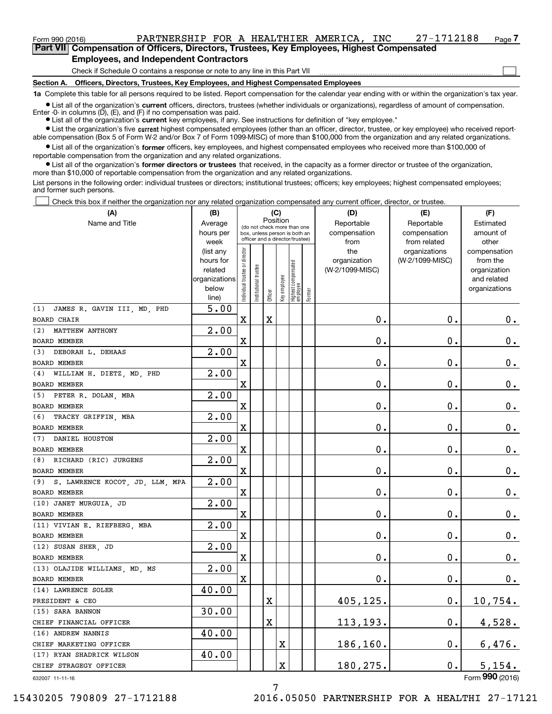#### Form 990 (2016) PARTNERSHIP FOR A HEALTHIER AMERICA, INC 27-1712188 <sub>Page</sub> **7Part VII Compensation of Officers, Directors, Trustees, Key Employees, Highest Compensated**

 $\mathcal{L}^{\text{max}}$ 

**Employees, and Independent Contractors**

Check if Schedule O contains a response or note to any line in this Part VII

**Section A. Officers, Directors, Trustees, Key Employees, and Highest Compensated Employees**

**1a**  Complete this table for all persons required to be listed. Report compensation for the calendar year ending with or within the organization's tax year.

**current**  ¥ List all of the organization's officers, directors, trustees (whether individuals or organizations), regardless of amount of compensation. Enter -0- in columns (D), (E), and (F) if no compensation was paid.

● List all of the organization's **current** key employees, if any. See instructions for definition of "key employee."

**•** List the organization's five current highest compensated employees (other than an officer, director, trustee, or key employee) who received reportable compensation (Box 5 of Form W-2 and/or Box 7 of Form 1099-MISC) of more than \$100,000 from the organization and any related organizations.

 $\bullet$  List all of the organization's **former** officers, key employees, and highest compensated employees who received more than \$100,000 of reportable compensation from the organization and any related organizations.

**•** List all of the organization's former directors or trustees that received, in the capacity as a former director or trustee of the organization, more than \$10,000 of reportable compensation from the organization and any related organizations.

List persons in the following order: individual trustees or directors; institutional trustees; officers; key employees; highest compensated employees; and former such persons.

Check this box if neither the organization nor any related organization compensated any current officer, director, or trustee.  $\mathcal{L}^{\text{max}}$ 

| (A)                                    | (B)            |                                |                 | (C)                                     |              |                                   |        | (D)             | (E)             | (F)                       |
|----------------------------------------|----------------|--------------------------------|-----------------|-----------------------------------------|--------------|-----------------------------------|--------|-----------------|-----------------|---------------------------|
| Name and Title                         | Average        |                                |                 | Position<br>(do not check more than one |              |                                   |        | Reportable      | Reportable      | Estimated                 |
|                                        | hours per      |                                |                 | box, unless person is both an           |              |                                   |        | compensation    | compensation    | amount of                 |
|                                        | week           |                                |                 | officer and a director/trustee)         |              |                                   |        | from            | from related    | other                     |
|                                        | (list any      |                                |                 |                                         |              |                                   |        | the             | organizations   | compensation              |
|                                        | hours for      |                                |                 |                                         |              |                                   |        | organization    | (W-2/1099-MISC) | from the                  |
|                                        | related        |                                | trustee         |                                         |              |                                   |        | (W-2/1099-MISC) |                 | organization              |
|                                        | organizations  |                                |                 |                                         |              |                                   |        |                 |                 | and related               |
|                                        | below<br>line) | Individual trustee or director | Institutional t | Officer                                 | Key employee | Highest compensated<br>  employee | Former |                 |                 | organizations             |
| JAMES R. GAVIN III, MD, PHD<br>(1)     | 5.00           |                                |                 |                                         |              |                                   |        |                 |                 |                           |
| <b>BOARD CHAIR</b>                     |                | $\mathbf X$                    |                 | X                                       |              |                                   |        | $\mathbf 0$ .   | $\mathbf 0$ .   | $0$ .                     |
| MATTHEW ANTHONY<br>(2)                 | 2.00           |                                |                 |                                         |              |                                   |        |                 |                 |                           |
| <b>BOARD MEMBER</b>                    |                | $\mathbf X$                    |                 |                                         |              |                                   |        | 0.              | $\mathbf{0}$ .  | $\mathbf 0$ .             |
| (3) DEBORAH L. DEHAAS                  | 2.00           |                                |                 |                                         |              |                                   |        |                 |                 |                           |
| <b>BOARD MEMBER</b>                    |                | $\mathbf X$                    |                 |                                         |              |                                   |        | $\mathbf 0$ .   | 0.              | $\mathbf 0$ .             |
| (4) WILLIAM H. DIETZ, MD, PHD          | 2.00           |                                |                 |                                         |              |                                   |        |                 |                 |                           |
| <b>BOARD MEMBER</b>                    |                | $\mathbf X$                    |                 |                                         |              |                                   |        | $\mathbf 0$ .   | $\mathbf 0$ .   | $0_{.}$                   |
| (5) PETER R. DOLAN, MBA                | 2.00           |                                |                 |                                         |              |                                   |        |                 |                 |                           |
| <b>BOARD MEMBER</b>                    |                | $\mathbf X$                    |                 |                                         |              |                                   |        | $\mathbf 0$ .   | $\mathbf 0$ .   | $\mathbf 0$ .             |
| TRACEY GRIFFIN, MBA<br>(6)             | 2.00           |                                |                 |                                         |              |                                   |        |                 |                 |                           |
| <b>BOARD MEMBER</b>                    |                | $\mathbf X$                    |                 |                                         |              |                                   |        | Ο.              | $\mathbf 0$ .   | $\mathbf 0$ .             |
| DANIEL HOUSTON<br>(7)                  | 2.00           |                                |                 |                                         |              |                                   |        |                 |                 |                           |
| <b>BOARD MEMBER</b>                    |                | $\mathbf x$                    |                 |                                         |              |                                   |        | $\mathbf 0$ .   | $\mathbf 0$ .   | $\mathbf 0$ .             |
| (8) RICHARD (RIC) JURGENS              | 2.00           |                                |                 |                                         |              |                                   |        |                 |                 |                           |
| <b>BOARD MEMBER</b>                    |                | $\mathbf X$                    |                 |                                         |              |                                   |        | $\mathbf 0$ .   | $\mathbf 0$ .   | $\mathbf 0$ .             |
| (9)<br>S. LAWRENCE KOCOT, JD, LLM, MPA | 2.00           |                                |                 |                                         |              |                                   |        |                 |                 |                           |
| BOARD MEMBER                           |                | $\mathbf X$                    |                 |                                         |              |                                   |        | $\mathbf 0$ .   | $\mathbf 0$ .   | $\mathbf 0$ .             |
| (10) JANET MURGUIA, JD                 | 2.00           |                                |                 |                                         |              |                                   |        |                 |                 |                           |
| <b>BOARD MEMBER</b>                    |                | $\mathbf X$                    |                 |                                         |              |                                   |        | $\mathbf 0$ .   | $\mathbf 0$ .   | $\mathbf 0$ .             |
| (11) VIVIAN E. RIEFBERG, MBA           | 2.00           |                                |                 |                                         |              |                                   |        |                 |                 |                           |
| <b>BOARD MEMBER</b>                    |                | $\mathbf X$                    |                 |                                         |              |                                   |        | $\mathbf 0$ .   | $\mathbf 0$ .   | $\mathbf 0$ .             |
| (12) SUSAN SHER, JD                    | 2.00           |                                |                 |                                         |              |                                   |        |                 |                 |                           |
| BOARD MEMBER                           |                | $\mathbf X$                    |                 |                                         |              |                                   |        | $\mathbf 0$ .   | $\mathbf 0$ .   | $\mathbf 0$ .             |
| (13) OLAJIDE WILLIAMS, MD, MS          | 2.00           |                                |                 |                                         |              |                                   |        |                 |                 |                           |
| <b>BOARD MEMBER</b>                    |                | $\mathbf X$                    |                 |                                         |              |                                   |        | $0$ .           | $\mathbf 0$ .   | $0_{.}$                   |
| (14) LAWRENCE SOLER                    | 40.00          |                                |                 | X                                       |              |                                   |        |                 | $\mathbf{0}$ .  |                           |
| PRESIDENT & CEO                        |                |                                |                 |                                         |              |                                   |        | 405,125.        |                 | 10,754.                   |
| (15) SARA BANNON                       | 30.00          |                                |                 |                                         |              |                                   |        |                 |                 |                           |
| CHIEF FINANCIAL OFFICER                |                |                                |                 | X                                       |              |                                   |        | 113,193.        | 0.              | 4,528.                    |
| (16) ANDREW NANNIS                     | 40.00          |                                |                 |                                         |              |                                   |        |                 |                 |                           |
| CHIEF MARKETING OFFICER                |                |                                |                 |                                         | X            |                                   |        | 186,160.        | $\mathbf 0$ .   | 6,476.                    |
| (17) RYAN SHADRICK WILSON              | 40.00          |                                |                 |                                         |              |                                   |        |                 |                 |                           |
| CHIEF STRAGEGY OFFICER                 |                |                                |                 |                                         | X            |                                   |        | 180,275.        | $\mathbf 0$ .   | 5,154.<br>Form 990 (2016) |
| 632007 11-11-16                        |                |                                |                 |                                         |              |                                   |        |                 |                 |                           |

632007 11-11-16

15430205 790809 27-1712188 2016.05050 PARTNERSHIP FOR A HEALTHI 27-17121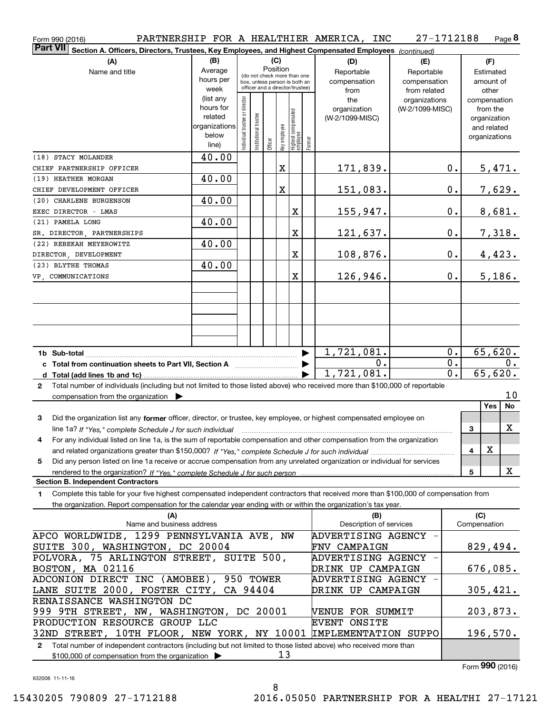| Form 990 (2016)<br> Part VII                                                                                                              |                      |                               |                      |                                                                  |              |                                            | PARTNERSHIP FOR A HEALTHIER AMERICA, INC | 27-1712188                    |                        |              | Page 8                |
|-------------------------------------------------------------------------------------------------------------------------------------------|----------------------|-------------------------------|----------------------|------------------------------------------------------------------|--------------|--------------------------------------------|------------------------------------------|-------------------------------|------------------------|--------------|-----------------------|
| Section A. Officers, Directors, Trustees, Key Employees, and Highest Compensated Employees (continued)                                    |                      |                               |                      |                                                                  |              |                                            |                                          |                               |                        |              |                       |
| (A)                                                                                                                                       | (B)                  |                               |                      | (C)<br>Position                                                  |              |                                            | (D)                                      | (E)                           |                        |              | (F)                   |
| Name and title                                                                                                                            | Average<br>hours per |                               |                      | (do not check more than one                                      |              |                                            | Reportable                               | Reportable                    |                        |              | Estimated             |
|                                                                                                                                           | week                 |                               |                      | box, unless person is both an<br>officer and a director/trustee) |              |                                            | compensation                             | compensation                  |                        |              | amount of             |
|                                                                                                                                           | (list any            |                               |                      |                                                                  |              |                                            | from<br>the                              | from related<br>organizations |                        |              | other<br>compensation |
|                                                                                                                                           | hours for            |                               |                      |                                                                  |              |                                            | organization                             | (W-2/1099-MISC)               |                        |              | from the              |
|                                                                                                                                           | related              |                               |                      |                                                                  |              |                                            | (W-2/1099-MISC)                          |                               |                        |              | organization          |
|                                                                                                                                           | organizations        |                               |                      |                                                                  |              |                                            |                                          |                               |                        |              | and related           |
|                                                                                                                                           | below                | ndividual trustee or director | nstitutional trustee |                                                                  | Key employee |                                            |                                          |                               |                        |              | organizations         |
|                                                                                                                                           | line)                |                               |                      | Officer                                                          |              | Highest compensated<br> employee<br>Former |                                          |                               |                        |              |                       |
| (18) STACY MOLANDER                                                                                                                       | 40.00                |                               |                      |                                                                  |              |                                            |                                          |                               |                        |              |                       |
| CHIEF PARTNERSHIP OFFICER                                                                                                                 |                      |                               |                      |                                                                  | X            |                                            | 171,839.                                 |                               | 0.                     |              | <u>5,471.</u>         |
| (19) HEATHER MORGAN                                                                                                                       | 40.00                |                               |                      |                                                                  |              |                                            |                                          |                               |                        |              |                       |
| CHIEF DEVELOPMENT OFFICER                                                                                                                 |                      |                               |                      |                                                                  | X            |                                            | 151,083.                                 |                               | 0.                     |              | 7,629.                |
| (20) CHARLENE BURGENSON                                                                                                                   | 40.00                |                               |                      |                                                                  |              |                                            |                                          |                               |                        |              |                       |
| EXEC DIRECTOR - LMAS                                                                                                                      |                      |                               |                      |                                                                  |              | X                                          | 155,947.                                 |                               | 0.                     |              | 8,681.                |
| (21) PAMELA LONG                                                                                                                          | 40.00                |                               |                      |                                                                  |              |                                            |                                          |                               |                        |              |                       |
| SR. DIRECTOR, PARTNERSHIPS                                                                                                                |                      |                               |                      |                                                                  |              | X                                          | 121,637.                                 |                               | 0.                     |              | 7,318.                |
| (22) REBEKAH MEYEROWITZ                                                                                                                   | 40.00                |                               |                      |                                                                  |              |                                            |                                          |                               |                        |              |                       |
| DIRECTOR DEVELOPMENT                                                                                                                      |                      |                               |                      |                                                                  |              | X                                          | 108,876.                                 |                               | 0.                     |              | 4,423.                |
| (23) BLYTHE THOMAS                                                                                                                        | 40.00                |                               |                      |                                                                  |              |                                            |                                          |                               |                        |              |                       |
| VP COMMUNICATIONS                                                                                                                         |                      |                               |                      |                                                                  |              | X                                          | 126,946.                                 |                               | 0.                     |              | 5,186.                |
|                                                                                                                                           |                      |                               |                      |                                                                  |              |                                            |                                          |                               |                        |              |                       |
|                                                                                                                                           |                      |                               |                      |                                                                  |              |                                            |                                          |                               |                        |              |                       |
|                                                                                                                                           |                      |                               |                      |                                                                  |              |                                            |                                          |                               |                        |              |                       |
|                                                                                                                                           |                      |                               |                      |                                                                  |              |                                            |                                          |                               |                        |              |                       |
|                                                                                                                                           |                      |                               |                      |                                                                  |              |                                            |                                          |                               |                        |              |                       |
|                                                                                                                                           |                      |                               |                      |                                                                  |              |                                            |                                          |                               |                        |              |                       |
|                                                                                                                                           |                      |                               |                      |                                                                  |              |                                            | 1,721,081.                               |                               | 0.                     |              | 65,620.               |
|                                                                                                                                           |                      |                               |                      |                                                                  |              |                                            |                                          |                               |                        |              |                       |
| c Total from continuation sheets to Part VII, Section A manufactured and response Total from extension                                    |                      |                               |                      |                                                                  |              |                                            | 0.<br>1,721,081.                         |                               | 0.<br>$\overline{0}$ . |              | 0.                    |
|                                                                                                                                           |                      |                               |                      |                                                                  |              |                                            |                                          |                               |                        |              | 65,620.               |
| Total number of individuals (including but not limited to those listed above) who received more than \$100,000 of reportable<br>2         |                      |                               |                      |                                                                  |              |                                            |                                          |                               |                        |              |                       |
| compensation from the organization $\blacktriangleright$                                                                                  |                      |                               |                      |                                                                  |              |                                            |                                          |                               |                        |              | 10                    |
|                                                                                                                                           |                      |                               |                      |                                                                  |              |                                            |                                          |                               |                        |              | Yes<br>No             |
| Did the organization list any former officer, director, or trustee, key employee, or highest compensated employee on<br>3                 |                      |                               |                      |                                                                  |              |                                            |                                          |                               |                        |              |                       |
| line 1a? If "Yes," complete Schedule J for such individual manufactured contained and the Ves," complete Schedule J for such individual   |                      |                               |                      |                                                                  |              |                                            |                                          |                               |                        | 3            | x                     |
| For any individual listed on line 1a, is the sum of reportable compensation and other compensation from the organization<br>4             |                      |                               |                      |                                                                  |              |                                            |                                          |                               |                        |              |                       |
|                                                                                                                                           |                      |                               |                      |                                                                  |              |                                            |                                          |                               |                        | 4            | х                     |
| Did any person listed on line 1a receive or accrue compensation from any unrelated organization or individual for services<br>5           |                      |                               |                      |                                                                  |              |                                            |                                          |                               |                        |              |                       |
|                                                                                                                                           |                      |                               |                      |                                                                  |              |                                            |                                          |                               |                        | 5            | x                     |
| <b>Section B. Independent Contractors</b>                                                                                                 |                      |                               |                      |                                                                  |              |                                            |                                          |                               |                        |              |                       |
| Complete this table for your five highest compensated independent contractors that received more than \$100,000 of compensation from<br>1 |                      |                               |                      |                                                                  |              |                                            |                                          |                               |                        |              |                       |
| the organization. Report compensation for the calendar year ending with or within the organization's tax year.                            |                      |                               |                      |                                                                  |              |                                            |                                          |                               |                        |              |                       |
| (A)                                                                                                                                       |                      |                               |                      |                                                                  |              |                                            | (B)                                      |                               |                        | (C)          |                       |
| Name and business address                                                                                                                 |                      |                               |                      |                                                                  |              |                                            | Description of services                  |                               |                        | Compensation |                       |
| APCO WORLDWIDE, 1299 PENNSYLVANIA AVE, NW                                                                                                 |                      |                               |                      |                                                                  |              |                                            | ADVERTISING AGENCY -                     |                               |                        |              |                       |
| SUITE 300, WASHINGTON, DC 20004                                                                                                           |                      |                               |                      |                                                                  |              |                                            | <b>FNV CAMPAIGN</b>                      |                               |                        |              | 829,494.              |
| POLVORA, 75 ARLINGTON STREET, SUITE 500,                                                                                                  |                      |                               |                      |                                                                  |              |                                            | ADVERTISING AGENCY -                     |                               |                        |              |                       |
| BOSTON, MA 02116                                                                                                                          |                      |                               |                      |                                                                  |              |                                            | DRINK UP CAMPAIGN                        |                               |                        |              | 676,085.              |
| ADCONION DIRECT INC (AMOBEE), 950 TOWER                                                                                                   |                      |                               |                      |                                                                  |              |                                            | ADVERTISING AGENCY -                     |                               |                        |              |                       |
| LANE SUITE 2000, FOSTER CITY, CA 94404                                                                                                    |                      |                               |                      |                                                                  |              |                                            | DRINK UP CAMPAIGN                        |                               |                        |              | <u>305,421.</u>       |
| RENAISSANCE WASHINGTON DC                                                                                                                 |                      |                               |                      |                                                                  |              |                                            |                                          |                               |                        |              |                       |
| 999 9TH STREET, NW, WASHINGTON, DC 20001                                                                                                  |                      |                               |                      |                                                                  |              |                                            | VENUE FOR SUMMIT                         |                               |                        |              | 203,873.              |
| PRODUCTION RESOURCE GROUP LLC                                                                                                             |                      |                               |                      |                                                                  |              |                                            | <b>EVENT ONSITE</b>                      |                               |                        |              |                       |
| 32ND STREET, 10TH FLOOR, NEW YORK, NY 10001 IMPLEMENTATION SUPPO                                                                          |                      |                               |                      |                                                                  |              |                                            |                                          |                               |                        |              | 196,570.              |
| Total number of independent contractors (including but not limited to those listed above) who received more than<br>$\mathbf{2}$          |                      |                               |                      |                                                                  |              |                                            |                                          |                               |                        |              |                       |
| \$100,000 of compensation from the organization >                                                                                         |                      |                               |                      |                                                                  | 13           |                                            |                                          |                               |                        |              |                       |

\$100,000 of compensation from the organization  $\blacktriangleright$ 

Form (2016) **990**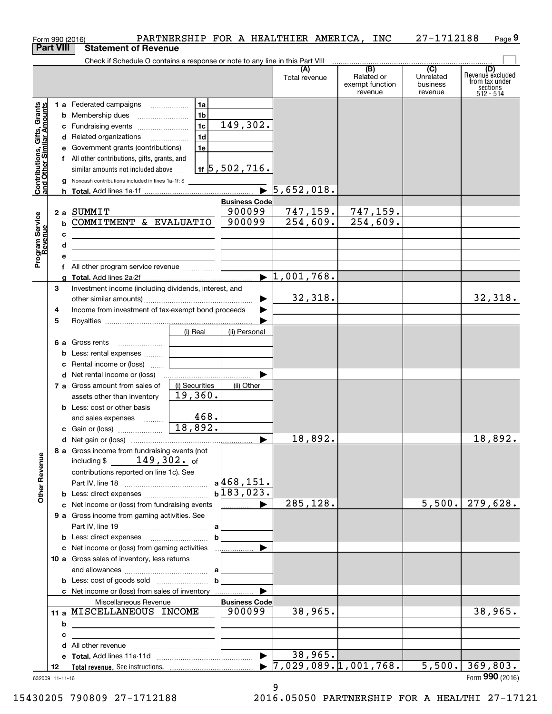| Form 990 (2016)                                           |    |   |                                                                                                                        |                                                                                           |                         | PARTNERSHIP FOR A HEALTHIER AMERICA, INC   |                                                 | 27-1712188                                         | Page 9                                                             |
|-----------------------------------------------------------|----|---|------------------------------------------------------------------------------------------------------------------------|-------------------------------------------------------------------------------------------|-------------------------|--------------------------------------------|-------------------------------------------------|----------------------------------------------------|--------------------------------------------------------------------|
| <b>Part VIII</b>                                          |    |   | <b>Statement of Revenue</b>                                                                                            |                                                                                           |                         |                                            |                                                 |                                                    |                                                                    |
|                                                           |    |   | Check if Schedule O contains a response or note to any line in this Part VIII                                          |                                                                                           |                         |                                            |                                                 |                                                    |                                                                    |
|                                                           |    |   |                                                                                                                        |                                                                                           |                         | (A)<br>Total revenue                       | (B)<br>Related or<br>exempt function<br>revenue | $\overline{C}$<br>Unrelated<br>business<br>revenue | (D)<br>Revenue excluded<br>from tax under<br>sections<br>512 - 514 |
|                                                           |    |   | 1 a Federated campaigns                                                                                                | 1a                                                                                        |                         |                                            |                                                 |                                                    |                                                                    |
| Contributions, Gifts, Grants<br>and Other Similar Amounts |    |   |                                                                                                                        | 1 <sub>b</sub>                                                                            |                         |                                            |                                                 |                                                    |                                                                    |
|                                                           |    |   | c Fundraising events                                                                                                   | 1c                                                                                        | $\overline{149,302}$ .  |                                            |                                                 |                                                    |                                                                    |
|                                                           |    |   | d Related organizations                                                                                                | 1d                                                                                        |                         |                                            |                                                 |                                                    |                                                                    |
|                                                           |    |   | e Government grants (contributions)                                                                                    | 1e                                                                                        |                         |                                            |                                                 |                                                    |                                                                    |
|                                                           |    |   | f All other contributions, gifts, grants, and                                                                          |                                                                                           |                         |                                            |                                                 |                                                    |                                                                    |
|                                                           |    |   | similar amounts not included above                                                                                     |                                                                                           | $1$ if $5,502,716$ .    |                                            |                                                 |                                                    |                                                                    |
|                                                           |    | g | Noncash contributions included in lines 1a-1f: \$                                                                      |                                                                                           |                         |                                            |                                                 |                                                    |                                                                    |
|                                                           |    |   |                                                                                                                        |                                                                                           | $\blacktriangleright$   | 5,652,018.                                 |                                                 |                                                    |                                                                    |
|                                                           |    |   |                                                                                                                        |                                                                                           | <b>Business Code</b>    |                                            |                                                 |                                                    |                                                                    |
|                                                           |    |   | 2 a SUMMIT                                                                                                             |                                                                                           | 900099                  | 747,159.                                   | 747,159.                                        |                                                    |                                                                    |
| Program Service<br>Revenue                                |    |   | <b>b COMMITMENT &amp; EVALUATIO</b>                                                                                    |                                                                                           | 900099                  | 254,609.                                   | 254,609.                                        |                                                    |                                                                    |
|                                                           |    | с | <u> 1989 - Johann Barn, fransk politik amerikansk politik (</u>                                                        |                                                                                           |                         |                                            |                                                 |                                                    |                                                                    |
|                                                           |    | d | <u> 1989 - Johann Stein, mars an deus an deus Amerikaanse komme</u>                                                    |                                                                                           |                         |                                            |                                                 |                                                    |                                                                    |
|                                                           |    | е |                                                                                                                        |                                                                                           |                         |                                            |                                                 |                                                    |                                                                    |
|                                                           |    |   | f All other program service revenue                                                                                    |                                                                                           |                         |                                            |                                                 |                                                    |                                                                    |
|                                                           |    |   |                                                                                                                        |                                                                                           |                         | $\blacktriangleright$ 1,001,768.           |                                                 |                                                    |                                                                    |
|                                                           | 3  |   | Investment income (including dividends, interest, and                                                                  |                                                                                           |                         |                                            |                                                 |                                                    |                                                                    |
|                                                           |    |   |                                                                                                                        |                                                                                           |                         | 32,318.                                    |                                                 |                                                    | 32,318.                                                            |
|                                                           | 4  |   | Income from investment of tax-exempt bond proceeds                                                                     |                                                                                           |                         |                                            |                                                 |                                                    |                                                                    |
|                                                           | 5  |   |                                                                                                                        |                                                                                           |                         |                                            |                                                 |                                                    |                                                                    |
|                                                           |    |   |                                                                                                                        | (i) Real                                                                                  | (ii) Personal           |                                            |                                                 |                                                    |                                                                    |
|                                                           |    |   | 6 a Gross rents                                                                                                        |                                                                                           |                         |                                            |                                                 |                                                    |                                                                    |
|                                                           |    |   |                                                                                                                        |                                                                                           |                         |                                            |                                                 |                                                    |                                                                    |
|                                                           |    |   | <b>b</b> Less: rental expenses <i></i><br>c Rental income or (loss)                                                    |                                                                                           |                         |                                            |                                                 |                                                    |                                                                    |
|                                                           |    |   | <b>d</b> Net rental income or (loss)                                                                                   |                                                                                           |                         |                                            |                                                 |                                                    |                                                                    |
|                                                           |    |   | 7 a Gross amount from sales of                                                                                         | (i) Securities                                                                            |                         |                                            |                                                 |                                                    |                                                                    |
|                                                           |    |   |                                                                                                                        | 19,360.                                                                                   | (ii) Other              |                                            |                                                 |                                                    |                                                                    |
|                                                           |    |   | assets other than inventory                                                                                            |                                                                                           |                         |                                            |                                                 |                                                    |                                                                    |
|                                                           |    |   | <b>b</b> Less: cost or other basis                                                                                     | 468.                                                                                      |                         |                                            |                                                 |                                                    |                                                                    |
|                                                           |    |   | and sales expenses                                                                                                     | 18,892.                                                                                   |                         |                                            |                                                 |                                                    |                                                                    |
|                                                           |    |   | c Gain or (loss)                                                                                                       |                                                                                           |                         | 18,892.                                    |                                                 |                                                    | 18,892.                                                            |
|                                                           |    |   |                                                                                                                        |                                                                                           |                         |                                            |                                                 |                                                    |                                                                    |
|                                                           |    |   | 8 a Gross income from fundraising events (not<br>including $$149,302.$ of                                              |                                                                                           |                         |                                            |                                                 |                                                    |                                                                    |
|                                                           |    |   |                                                                                                                        |                                                                                           |                         |                                            |                                                 |                                                    |                                                                    |
|                                                           |    |   | contributions reported on line 1c). See                                                                                |                                                                                           | a468,151.               |                                            |                                                 |                                                    |                                                                    |
| <b>Other Revenue</b>                                      |    |   |                                                                                                                        |                                                                                           | $b\overline{183,023}$ . |                                            |                                                 |                                                    |                                                                    |
|                                                           |    |   |                                                                                                                        |                                                                                           |                         | 285, 128.                                  |                                                 | 5,500.                                             | 279,628.                                                           |
|                                                           |    |   | c Net income or (loss) from fundraising events                                                                         |                                                                                           |                         |                                            |                                                 |                                                    |                                                                    |
|                                                           |    |   | 9 a Gross income from gaming activities. See                                                                           |                                                                                           |                         |                                            |                                                 |                                                    |                                                                    |
|                                                           |    |   |                                                                                                                        |                                                                                           |                         |                                            |                                                 |                                                    |                                                                    |
|                                                           |    |   |                                                                                                                        |                                                                                           | $\mathbf b$             |                                            |                                                 |                                                    |                                                                    |
|                                                           |    |   |                                                                                                                        |                                                                                           |                         |                                            |                                                 |                                                    |                                                                    |
|                                                           |    |   | 10 a Gross sales of inventory, less returns                                                                            |                                                                                           |                         |                                            |                                                 |                                                    |                                                                    |
|                                                           |    |   |                                                                                                                        |                                                                                           |                         |                                            |                                                 |                                                    |                                                                    |
|                                                           |    |   |                                                                                                                        | b                                                                                         |                         |                                            |                                                 |                                                    |                                                                    |
|                                                           |    |   |                                                                                                                        |                                                                                           |                         |                                            |                                                 |                                                    |                                                                    |
|                                                           |    |   | Miscellaneous Revenue                                                                                                  |                                                                                           | <b>Business Code</b>    |                                            |                                                 |                                                    |                                                                    |
|                                                           |    |   | 11 a MISCELLANEOUS INCOME                                                                                              |                                                                                           | 900099                  | 38,965.                                    |                                                 |                                                    | 38,965.                                                            |
|                                                           |    | b | <u> 1989 - Johann Stein, marwolaethau a bhann an t-Albann an t-Albann an t-Albann an t-Albann an t-Albann an t-Alb</u> |                                                                                           |                         |                                            |                                                 |                                                    |                                                                    |
|                                                           |    |   |                                                                                                                        | the control of the control of the control of the control of the control of the control of |                         |                                            |                                                 |                                                    |                                                                    |
|                                                           |    | с |                                                                                                                        |                                                                                           |                         |                                            |                                                 |                                                    |                                                                    |
|                                                           |    |   |                                                                                                                        |                                                                                           |                         |                                            |                                                 |                                                    |                                                                    |
|                                                           |    |   |                                                                                                                        |                                                                                           |                         | 38,965.                                    |                                                 |                                                    |                                                                    |
| 632009 11-11-16                                           | 12 |   |                                                                                                                        |                                                                                           |                         | $\blacktriangleright$ 7,029,089.1,001,768. |                                                 |                                                    | $5,500.$ 369,803.<br>Form 990 (2016)                               |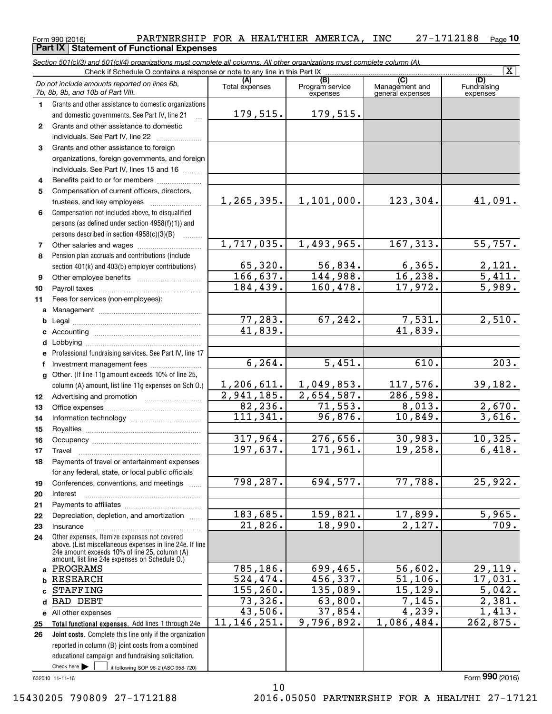#### Form 990 (2016) Page PARTNERSHIP FOR A HEALTHIER AMERICA, INC 27-1712188 **10 Part IX Statement of Functional Expenses**

|                 | <u>Section 501(c)(3) and 501(c)(4) organizations must complete all columns. All other organizations must complete column (A).</u><br>Check if Schedule O contains a response or note to any line in this Part IX |                      |                                    |                                    | $\overline{\mathtt{x}}$ |
|-----------------|------------------------------------------------------------------------------------------------------------------------------------------------------------------------------------------------------------------|----------------------|------------------------------------|------------------------------------|-------------------------|
|                 |                                                                                                                                                                                                                  | (A)                  |                                    | (C)                                | (D)                     |
|                 | Do not include amounts reported on lines 6b,<br>7b, 8b, 9b, and 10b of Part VIII.                                                                                                                                | Total expenses       | (B)<br>Program service<br>expenses | Management and<br>general expenses | Fundraising<br>expenses |
| 1.              | Grants and other assistance to domestic organizations                                                                                                                                                            |                      |                                    |                                    |                         |
|                 | and domestic governments. See Part IV, line 21                                                                                                                                                                   | 179,515.             | 179,515.                           |                                    |                         |
| $\mathbf{2}$    | Grants and other assistance to domestic                                                                                                                                                                          |                      |                                    |                                    |                         |
|                 | individuals. See Part IV, line 22                                                                                                                                                                                |                      |                                    |                                    |                         |
| 3               | Grants and other assistance to foreign                                                                                                                                                                           |                      |                                    |                                    |                         |
|                 | organizations, foreign governments, and foreign                                                                                                                                                                  |                      |                                    |                                    |                         |
|                 | individuals. See Part IV, lines 15 and 16                                                                                                                                                                        |                      |                                    |                                    |                         |
| 4<br>5          | Benefits paid to or for members                                                                                                                                                                                  |                      |                                    |                                    |                         |
|                 | Compensation of current officers, directors,<br>trustees, and key employees                                                                                                                                      | 1,265,395.           | 1,101,000.                         | 123,304.                           | 41,091.                 |
| 6               | Compensation not included above, to disqualified                                                                                                                                                                 |                      |                                    |                                    |                         |
|                 | persons (as defined under section 4958(f)(1)) and                                                                                                                                                                |                      |                                    |                                    |                         |
|                 | persons described in section 4958(c)(3)(B)                                                                                                                                                                       |                      |                                    |                                    |                         |
| 7               |                                                                                                                                                                                                                  | 1,717,035.           | 1,493,965.                         | 167, 313.                          | 55,757.                 |
| 8               | Pension plan accruals and contributions (include                                                                                                                                                                 |                      |                                    |                                    |                         |
|                 | section 401(k) and 403(b) employer contributions)                                                                                                                                                                | 65,320.              | 56,834.                            | 6,365.                             |                         |
| 9               |                                                                                                                                                                                                                  | 166, 637.            | 144,988.                           | 16,238.                            | $\frac{2,121.}{5,411.}$ |
| 10              |                                                                                                                                                                                                                  | 184,439.             | 160,478.                           | 17,972.                            | $\overline{5,989}$ .    |
| 11              | Fees for services (non-employees):                                                                                                                                                                               |                      |                                    |                                    |                         |
| a               |                                                                                                                                                                                                                  |                      |                                    |                                    |                         |
| b               |                                                                                                                                                                                                                  | 77,283.              | 67,242.                            | $\frac{7,531}{41,839}$             | 2,510.                  |
| c               |                                                                                                                                                                                                                  | 41,839.              |                                    |                                    |                         |
| d               |                                                                                                                                                                                                                  |                      |                                    |                                    |                         |
| е               | Professional fundraising services. See Part IV, line 17                                                                                                                                                          |                      |                                    |                                    |                         |
| f               | Investment management fees                                                                                                                                                                                       | 6, 264.              | 5,451.                             | 610.                               | 203.                    |
| g               | Other. (If line 11g amount exceeds 10% of line 25,                                                                                                                                                               |                      |                                    |                                    |                         |
|                 | column (A) amount, list line 11g expenses on Sch O.)                                                                                                                                                             | <u>1,206,611.</u>    | 1,049,853.                         | 117,576.                           | 39,182.                 |
| 12 <sub>2</sub> |                                                                                                                                                                                                                  | 2,941,185.           | 2,654,587.                         | $\overline{286,598}$ .             |                         |
| 13              |                                                                                                                                                                                                                  | 82,236.<br>111, 341. | 71,553.                            | 8,013.                             | $\frac{2,670}{3,616}$   |
| 14              |                                                                                                                                                                                                                  |                      | 96,876.                            | 10,849.                            |                         |
| 15              |                                                                                                                                                                                                                  | 317,964.             | 276,656.                           | 30,983.                            | <u>10,325.</u>          |
| 16              | Travel                                                                                                                                                                                                           | 197,637.             | 171,961.                           | 19,258.                            | 6,418.                  |
| 17<br>18        | Payments of travel or entertainment expenses                                                                                                                                                                     |                      |                                    |                                    |                         |
|                 | for any federal, state, or local public officials                                                                                                                                                                |                      |                                    |                                    |                         |
| 19              | Conferences, conventions, and meetings                                                                                                                                                                           | 798,287.             | 694,577.                           | 77,788.                            | 25,922.                 |
| 20              | Interest                                                                                                                                                                                                         |                      |                                    |                                    |                         |
| 21              |                                                                                                                                                                                                                  |                      |                                    |                                    |                         |
| 22              | Depreciation, depletion, and amortization                                                                                                                                                                        | 183,685.             | 159,821.                           | <u>17,899.</u>                     | 5,965.                  |
| 23              | Insurance                                                                                                                                                                                                        | 21,826.              | 18,990.                            | 2,127.                             | 709.                    |
| 24              | Other expenses. Itemize expenses not covered<br>above. (List miscellaneous expenses in line 24e. If line                                                                                                         |                      |                                    |                                    |                         |
|                 | 24e amount exceeds 10% of line 25, column (A)<br>amount, list line 24e expenses on Schedule O.)                                                                                                                  |                      |                                    |                                    |                         |
| a               | PROGRAMS                                                                                                                                                                                                         | 785, 186.            | 699,465.                           | 56,602.                            | 29,119.                 |
| b               | <b>RESEARCH</b>                                                                                                                                                                                                  | 524,474.             | 456,337.                           | 51, 106.                           | 17,031.                 |
| C               | <b>STAFFING</b>                                                                                                                                                                                                  | 155,260.             | 135,089.                           | 15,129.                            | 5,042.                  |
| d               | <b>BAD DEBT</b>                                                                                                                                                                                                  | 73,326.              | 63,800.                            | 7,145.                             | $\overline{2}$ , 381.   |
| е               | All other expenses                                                                                                                                                                                               | 43,506.              | 37,854.                            | 4,239.                             | 1,413.                  |
| 25              | Total functional expenses. Add lines 1 through 24e                                                                                                                                                               | 11, 146, 251.        | 9,796,892.                         | 1,086,484.                         | 262,875.                |
| 26              | Joint costs. Complete this line only if the organization                                                                                                                                                         |                      |                                    |                                    |                         |
|                 | reported in column (B) joint costs from a combined                                                                                                                                                               |                      |                                    |                                    |                         |
|                 | educational campaign and fundraising solicitation.                                                                                                                                                               |                      |                                    |                                    |                         |
|                 | Check here $\blacktriangleright$<br>if following SOP 98-2 (ASC 958-720)                                                                                                                                          |                      |                                    |                                    |                         |

10

632010 11-11-16

Form (2016) **990**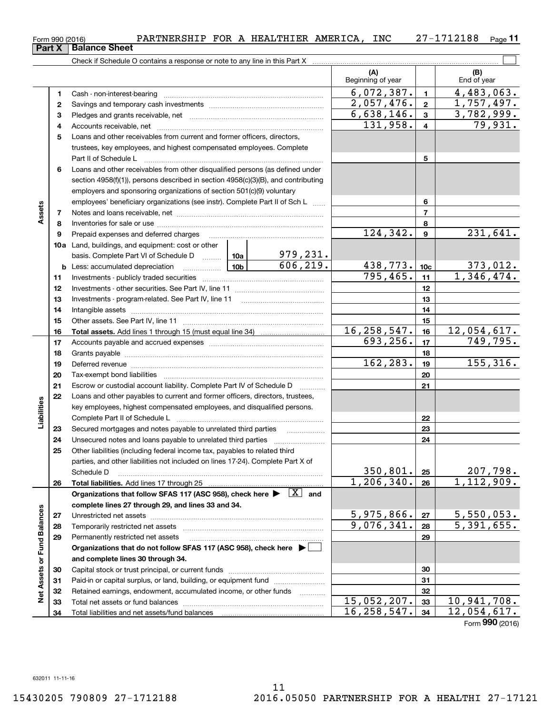**Net Assets or Fund Balances**

**Net Assets or Fund Balances** 

**123** Pledges and grants receivable, net www.communically.communically.com **45**Loans and other receivables from current and former officers, directors, **678910a**Land, buildings, and equipment: cost or other **111213141516171819202122232425262728293012345678910c11121314151617181920212223242526b** Less: accumulated depreciation \_\_\_\_\_\_\_\_\_\_\_\_\_\_\_ Lub basis. Complete Part VI of Schedule D will aller **Total assets.**  Add lines 1 through 15 (must equal line 34) **Total liabilities.**  Add lines 17 through 25 Organizations that follow SFAS 117 (ASC 958), check here  $\blacktriangleright$   $\boxed{\text{X}}$  and **complete lines 27 through 29, and lines 33 and 34. 272829Organizations that do not follow SFAS 117 (ASC 958), check here** | **and complete lines 30 through 34. 3031**Beginning of year  $\begin{vmatrix} 1 & 1 \\ 1 & 1 \end{vmatrix}$  End of year Cash - non-interest-bearing ~~~~~~~~~~~~~~~~~~~~~~~~~ Savings and temporary cash investments ~~~~~~~~~~~~~~~~~~Accounts receivable, net ~~~~~~~~~~~~~~~~~~~~~~~~~~ trustees, key employees, and highest compensated employees. Complete Part II of Schedule L ~~~~~~~~~~~~~~~~~~~~~~~~~~~~ Loans and other receivables from other disqualified persons (as defined under section 4958(f)(1)), persons described in section 4958(c)(3)(B), and contributing employers and sponsoring organizations of section 501(c)(9) voluntary employees' beneficiary organizations (see instr). Complete Part II of Sch L ...... Notes and loans receivable, net ~~~~~~~~~~~~~~~~~~~~~~~ Inventories for sale or use ~~~~~~~~~~~~~~~~~~~~~~~~~~ Prepaid expenses and deferred charges Investments - publicly traded securities ~~~~~~~~~~~~~~~~~~~ Investments - other securities. See Part IV, line 11 ~~~~~~~~~~~~~~Investments - program-related. See Part IV, line 11 Intangible assets …………………………………………………………………………………… Other assets. See Part IV, line 11 ~~~~~~~~~~~~~~~~~~~~~~ Accounts payable and accrued expenses ~~~~~~~~~~~~~~~~~~Grants payable ~~~~~~~~~~~~~~~~~~~~~~~~~~~~~~~ Deferred revenue et al. **Deferred** revenue et al. **Deferred** revenue et al. **Deferred** revenue Tax-exempt bond liabilities …………………………………………………………… Escrow or custodial account liability. Complete Part IV of Schedule D Loans and other payables to current and former officers, directors, trustees, key employees, highest compensated employees, and disqualified persons. Complete Part II of Schedule L <sub>…………………………………………………………</sub> Secured mortgages and notes payable to unrelated third parties Unsecured notes and loans payable to unrelated third parties ~~~~~~~~~~~~~~~~~~~~ Other liabilities (including federal income tax, payables to related third parties, and other liabilities not included on lines 17-24). Complete Part X of Schedule D ~~~~~~~~~~~~~~~~~~~~~~~~~~~~~~~~ Unrestricted net assets ~~~~~~~~~~~~~~~~~~~~~~~~~~~ Temporarily restricted net assets ~~~~~~~~~~~~~~~~~~~~~~ Permanently restricted net assets …………………………………………………… Capital stock or trust principal, or current funds ~~~~~~~~~~~~~~~  $6,072,387.$   $1 \mid 4,483,063.$  $131,958. 4$  79,931. 6,638,146. 3,782,999.  $124,342.$  9  $231,641.$  $795,465.$  1, 1, 346, 474. 979,231.  $606, 219.$  438, 773.  $10c$  373, 012.  $16, 258, 547.$  16 12, 054, 617.  $2,057,476. | 2 | 1,757,497.$  $693, 256$ .  $17$  749, 795.  $162,283.$  19 155,316.  $350,801. |25|$  207,798.  $1,206,340. |26 | 1,112,909.$  $5,975,866.$  27 | 5,550,053.  $9,076,341. |28 | 5,391,655.$ 

Check if Schedule O contains a response or note to any line in this Part X

Paid-in or capital surplus, or land, building, or equipment fund will concurred. Retained earnings, endowment, accumulated income, or other funds www.com Total net assets or fund balances ~~~~~~~~~~~~~~~~~~~~~~

Total liabilities and net assets/fund balances

Form 990 (2016) Page PARTNERSHIP FOR A HEALTHIER AMERICA, INC 27-1712188 27-1712188 Page 11

**(A)**

**(B)**

 $\mathcal{L}^{\text{max}}$ 

**323334**

 $15,052,207.$  33 10,941,708.

Form (2016) **990** $16, 258, 547.$   $34$  | 12,054,617.

**Assets**

**Liabilities**

Liabilities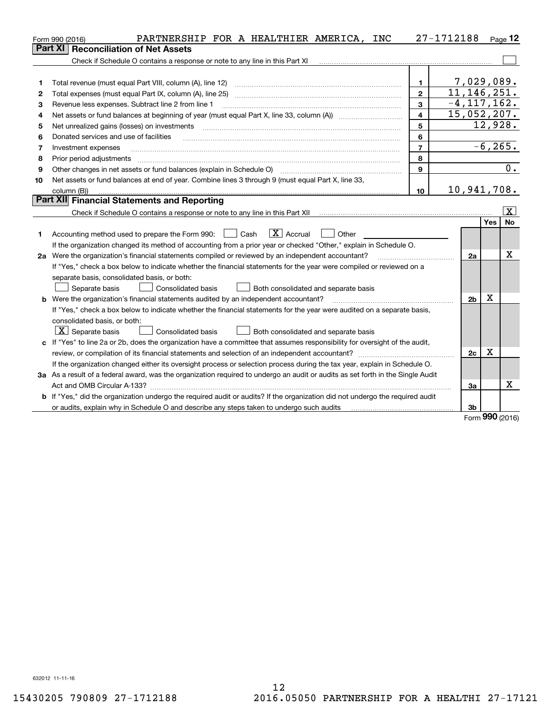|    | PARTNERSHIP FOR A HEALTHIER AMERICA, INC<br>Form 990 (2016)                                                                     |                         | 27-1712188      |            | $Page$ 12        |
|----|---------------------------------------------------------------------------------------------------------------------------------|-------------------------|-----------------|------------|------------------|
|    | Part XI<br><b>Reconciliation of Net Assets</b>                                                                                  |                         |                 |            |                  |
|    | Check if Schedule O contains a response or note to any line in this Part XI                                                     |                         |                 |            |                  |
|    |                                                                                                                                 |                         |                 |            |                  |
| 1  | Total revenue (must equal Part VIII, column (A), line 12)                                                                       | 1.                      | 7,029,089.      |            |                  |
| 2  | Total expenses (must equal Part IX, column (A), line 25)                                                                        | $\overline{2}$          | 11, 146, 251.   |            |                  |
| 3  | Revenue less expenses. Subtract line 2 from line 1                                                                              | 3                       | $-4, 117, 162.$ |            |                  |
| 4  |                                                                                                                                 | $\overline{\mathbf{4}}$ | 15,052,207.     |            |                  |
| 5  | Net unrealized gains (losses) on investments                                                                                    | 5                       |                 |            | 12,928.          |
| 6  | Donated services and use of facilities                                                                                          | 6                       |                 |            |                  |
| 7  | Investment expenses                                                                                                             | $\overline{7}$          |                 |            | $-6, 265.$       |
| 8  | Prior period adjustments                                                                                                        | 8                       |                 |            |                  |
| 9  | Other changes in net assets or fund balances (explain in Schedule O) [11] [2000] [2000] [2000] [2000] [2000] [                  | 9                       |                 |            | $\overline{0}$ . |
| 10 | Net assets or fund balances at end of year. Combine lines 3 through 9 (must equal Part X, line 33,                              |                         |                 |            |                  |
|    | column (B))                                                                                                                     | 10                      | 10,941,708.     |            |                  |
|    | Part XII Financial Statements and Reporting                                                                                     |                         |                 |            |                  |
|    |                                                                                                                                 |                         |                 |            | x                |
|    |                                                                                                                                 |                         |                 | <b>Yes</b> | <b>No</b>        |
| 1  | $ \mathbf{X} $ Accrual<br>Accounting method used to prepare the Form 990: <u>June</u> Cash<br>Other                             |                         |                 |            |                  |
|    | If the organization changed its method of accounting from a prior year or checked "Other," explain in Schedule O.               |                         |                 |            |                  |
|    | 2a Were the organization's financial statements compiled or reviewed by an independent accountant?                              |                         | 2a              |            | Χ                |
|    | If "Yes," check a box below to indicate whether the financial statements for the year were compiled or reviewed on a            |                         |                 |            |                  |
|    | separate basis, consolidated basis, or both:                                                                                    |                         |                 |            |                  |
|    | Separate basis<br>Consolidated basis<br>Both consolidated and separate basis                                                    |                         |                 |            |                  |
|    | <b>b</b> Were the organization's financial statements audited by an independent accountant?                                     |                         | 2 <sub>b</sub>  | х          |                  |
|    | If "Yes," check a box below to indicate whether the financial statements for the year were audited on a separate basis,         |                         |                 |            |                  |
|    | consolidated basis, or both:                                                                                                    |                         |                 |            |                  |
|    | $ \mathbf{X} $ Separate basis<br><b>Consolidated basis</b><br>Both consolidated and separate basis                              |                         |                 |            |                  |
|    | c If "Yes" to line 2a or 2b, does the organization have a committee that assumes responsibility for oversight of the audit,     |                         |                 |            |                  |
|    | review, or compilation of its financial statements and selection of an independent accountant?                                  |                         | 2c              | х          |                  |
|    | If the organization changed either its oversight process or selection process during the tax year, explain in Schedule O.       |                         |                 |            |                  |
|    | 3a As a result of a federal award, was the organization required to undergo an audit or audits as set forth in the Single Audit |                         |                 |            |                  |
|    |                                                                                                                                 |                         | За              |            | Χ                |
|    | b If "Yes," did the organization undergo the required audit or audits? If the organization did not undergo the required audit   |                         |                 |            |                  |
|    | or audits, explain why in Schedule O and describe any steps taken to undergo such audits                                        |                         | 3b              | <u>nnn</u> |                  |

Form (2016) **990**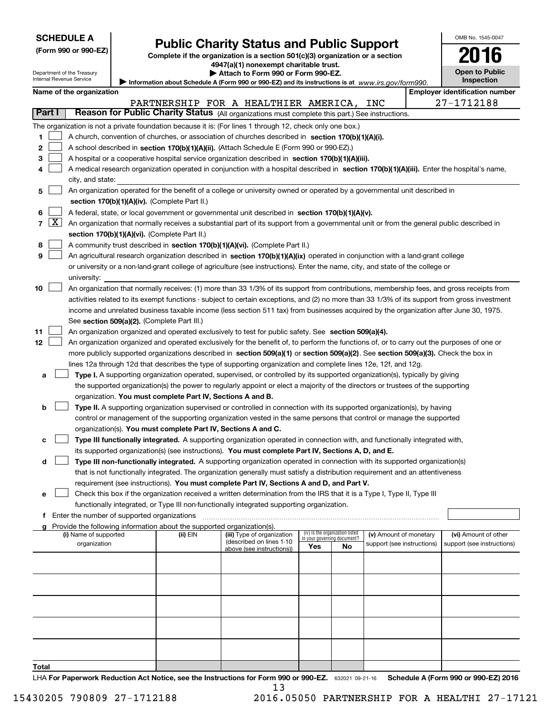| <b>SCHEDULE A</b><br>(Form 990 or 990-EZ)<br>Department of the Treasury<br>Internal Revenue Service |                                             | <b>Public Charity Status and Public Support</b><br>Complete if the organization is a section $501(c)(3)$ organization or a section<br>4947(a)(1) nonexempt charitable trust.<br>Attach to Form 990 or Form 990-EZ. |                                                                                                                                                                                                                                                                                                                                                                                                                                                                                                                                                                                                                                                                                                 |                             |                                 |                            |  |                                       |
|-----------------------------------------------------------------------------------------------------|---------------------------------------------|--------------------------------------------------------------------------------------------------------------------------------------------------------------------------------------------------------------------|-------------------------------------------------------------------------------------------------------------------------------------------------------------------------------------------------------------------------------------------------------------------------------------------------------------------------------------------------------------------------------------------------------------------------------------------------------------------------------------------------------------------------------------------------------------------------------------------------------------------------------------------------------------------------------------------------|-----------------------------|---------------------------------|----------------------------|--|---------------------------------------|
|                                                                                                     |                                             |                                                                                                                                                                                                                    | Information about Schedule A (Form 990 or 990-EZ) and its instructions is at www.irs.gov/form990.                                                                                                                                                                                                                                                                                                                                                                                                                                                                                                                                                                                               |                             |                                 |                            |  | Inspection                            |
|                                                                                                     | Name of the organization                    |                                                                                                                                                                                                                    |                                                                                                                                                                                                                                                                                                                                                                                                                                                                                                                                                                                                                                                                                                 |                             |                                 |                            |  | <b>Employer identification number</b> |
|                                                                                                     |                                             |                                                                                                                                                                                                                    | PARTNERSHIP FOR A HEALTHIER AMERICA,                                                                                                                                                                                                                                                                                                                                                                                                                                                                                                                                                                                                                                                            |                             |                                 | INC                        |  | 27-1712188                            |
| Part I                                                                                              |                                             |                                                                                                                                                                                                                    | Reason for Public Charity Status (All organizations must complete this part.) See instructions.                                                                                                                                                                                                                                                                                                                                                                                                                                                                                                                                                                                                 |                             |                                 |                            |  |                                       |
| 1<br>$\mathbf{2}$<br>3<br>4<br>5                                                                    | city, and state:                            | section 170(b)(1)(A)(iv). (Complete Part II.)                                                                                                                                                                      | The organization is not a private foundation because it is: (For lines 1 through 12, check only one box.)<br>A church, convention of churches, or association of churches described in section 170(b)(1)(A)(i).<br>A school described in section 170(b)(1)(A)(ii). (Attach Schedule E (Form 990 or 990-EZ).)<br>A hospital or a cooperative hospital service organization described in section $170(b)(1)(A)(iii)$ .<br>A medical research organization operated in conjunction with a hospital described in section 170(b)(1)(A)(iii). Enter the hospital's name,<br>An organization operated for the benefit of a college or university owned or operated by a governmental unit described in |                             |                                 |                            |  |                                       |
| 6                                                                                                   |                                             |                                                                                                                                                                                                                    | A federal, state, or local government or governmental unit described in section 170(b)(1)(A)(v).                                                                                                                                                                                                                                                                                                                                                                                                                                                                                                                                                                                                |                             |                                 |                            |  |                                       |
| $\lfloor x \rfloor$<br>$\overline{7}$                                                               |                                             |                                                                                                                                                                                                                    | An organization that normally receives a substantial part of its support from a governmental unit or from the general public described in                                                                                                                                                                                                                                                                                                                                                                                                                                                                                                                                                       |                             |                                 |                            |  |                                       |
|                                                                                                     |                                             | section 170(b)(1)(A)(vi). (Complete Part II.)                                                                                                                                                                      |                                                                                                                                                                                                                                                                                                                                                                                                                                                                                                                                                                                                                                                                                                 |                             |                                 |                            |  |                                       |
| 8                                                                                                   |                                             |                                                                                                                                                                                                                    | A community trust described in section 170(b)(1)(A)(vi). (Complete Part II.)                                                                                                                                                                                                                                                                                                                                                                                                                                                                                                                                                                                                                    |                             |                                 |                            |  |                                       |
| 9                                                                                                   | university:                                 |                                                                                                                                                                                                                    | An agricultural research organization described in section 170(b)(1)(A)(ix) operated in conjunction with a land-grant college<br>or university or a non-land-grant college of agriculture (see instructions). Enter the name, city, and state of the college or                                                                                                                                                                                                                                                                                                                                                                                                                                 |                             |                                 |                            |  |                                       |
| 10                                                                                                  |                                             |                                                                                                                                                                                                                    | An organization that normally receives: (1) more than 33 1/3% of its support from contributions, membership fees, and gross receipts from                                                                                                                                                                                                                                                                                                                                                                                                                                                                                                                                                       |                             |                                 |                            |  |                                       |
| 11                                                                                                  |                                             | See section 509(a)(2). (Complete Part III.)                                                                                                                                                                        | activities related to its exempt functions - subject to certain exceptions, and (2) no more than 33 1/3% of its support from gross investment<br>income and unrelated business taxable income (less section 511 tax) from businesses acquired by the organization after June 30, 1975.<br>An organization organized and operated exclusively to test for public safety. See section 509(a)(4).                                                                                                                                                                                                                                                                                                  |                             |                                 |                            |  |                                       |
| 12                                                                                                  |                                             |                                                                                                                                                                                                                    | An organization organized and operated exclusively for the benefit of, to perform the functions of, or to carry out the purposes of one or                                                                                                                                                                                                                                                                                                                                                                                                                                                                                                                                                      |                             |                                 |                            |  |                                       |
|                                                                                                     |                                             |                                                                                                                                                                                                                    | more publicly supported organizations described in section 509(a)(1) or section 509(a)(2). See section 509(a)(3). Check the box in                                                                                                                                                                                                                                                                                                                                                                                                                                                                                                                                                              |                             |                                 |                            |  |                                       |
|                                                                                                     |                                             |                                                                                                                                                                                                                    | lines 12a through 12d that describes the type of supporting organization and complete lines 12e, 12f, and 12g.                                                                                                                                                                                                                                                                                                                                                                                                                                                                                                                                                                                  |                             |                                 |                            |  |                                       |
| а                                                                                                   |                                             |                                                                                                                                                                                                                    | Type I. A supporting organization operated, supervised, or controlled by its supported organization(s), typically by giving                                                                                                                                                                                                                                                                                                                                                                                                                                                                                                                                                                     |                             |                                 |                            |  |                                       |
|                                                                                                     |                                             |                                                                                                                                                                                                                    | the supported organization(s) the power to regularly appoint or elect a majority of the directors or trustees of the supporting                                                                                                                                                                                                                                                                                                                                                                                                                                                                                                                                                                 |                             |                                 |                            |  |                                       |
|                                                                                                     |                                             | organization. You must complete Part IV, Sections A and B.                                                                                                                                                         |                                                                                                                                                                                                                                                                                                                                                                                                                                                                                                                                                                                                                                                                                                 |                             |                                 |                            |  |                                       |
| b                                                                                                   |                                             |                                                                                                                                                                                                                    | Type II. A supporting organization supervised or controlled in connection with its supported organization(s), by having                                                                                                                                                                                                                                                                                                                                                                                                                                                                                                                                                                         |                             |                                 |                            |  |                                       |
|                                                                                                     |                                             |                                                                                                                                                                                                                    | control or management of the supporting organization vested in the same persons that control or manage the supported                                                                                                                                                                                                                                                                                                                                                                                                                                                                                                                                                                            |                             |                                 |                            |  |                                       |
|                                                                                                     |                                             | organization(s). You must complete Part IV, Sections A and C.                                                                                                                                                      |                                                                                                                                                                                                                                                                                                                                                                                                                                                                                                                                                                                                                                                                                                 |                             |                                 |                            |  |                                       |
| с                                                                                                   |                                             |                                                                                                                                                                                                                    | Type III functionally integrated. A supporting organization operated in connection with, and functionally integrated with,                                                                                                                                                                                                                                                                                                                                                                                                                                                                                                                                                                      |                             |                                 |                            |  |                                       |
|                                                                                                     |                                             |                                                                                                                                                                                                                    | its supported organization(s) (see instructions). You must complete Part IV, Sections A, D, and E.                                                                                                                                                                                                                                                                                                                                                                                                                                                                                                                                                                                              |                             |                                 |                            |  |                                       |
| d                                                                                                   |                                             |                                                                                                                                                                                                                    | Type III non-functionally integrated. A supporting organization operated in connection with its supported organization(s)                                                                                                                                                                                                                                                                                                                                                                                                                                                                                                                                                                       |                             |                                 |                            |  |                                       |
|                                                                                                     |                                             |                                                                                                                                                                                                                    | that is not functionally integrated. The organization generally must satisfy a distribution requirement and an attentiveness                                                                                                                                                                                                                                                                                                                                                                                                                                                                                                                                                                    |                             |                                 |                            |  |                                       |
|                                                                                                     |                                             |                                                                                                                                                                                                                    | requirement (see instructions). You must complete Part IV, Sections A and D, and Part V.                                                                                                                                                                                                                                                                                                                                                                                                                                                                                                                                                                                                        |                             |                                 |                            |  |                                       |
| е                                                                                                   |                                             |                                                                                                                                                                                                                    | Check this box if the organization received a written determination from the IRS that it is a Type I, Type II, Type III                                                                                                                                                                                                                                                                                                                                                                                                                                                                                                                                                                         |                             |                                 |                            |  |                                       |
|                                                                                                     |                                             |                                                                                                                                                                                                                    | functionally integrated, or Type III non-functionally integrated supporting organization.                                                                                                                                                                                                                                                                                                                                                                                                                                                                                                                                                                                                       |                             |                                 |                            |  |                                       |
| f                                                                                                   | Enter the number of supported organizations |                                                                                                                                                                                                                    |                                                                                                                                                                                                                                                                                                                                                                                                                                                                                                                                                                                                                                                                                                 |                             |                                 |                            |  |                                       |
|                                                                                                     |                                             | Provide the following information about the supported organization(s).                                                                                                                                             |                                                                                                                                                                                                                                                                                                                                                                                                                                                                                                                                                                                                                                                                                                 |                             |                                 |                            |  |                                       |
|                                                                                                     | (i) Name of supported                       | (ii) EIN                                                                                                                                                                                                           | (iii) Type of organization<br>(described on lines 1-10                                                                                                                                                                                                                                                                                                                                                                                                                                                                                                                                                                                                                                          | in your governing document? | (iv) Is the organization listed | (v) Amount of monetary     |  | (vi) Amount of other                  |
|                                                                                                     | organization                                |                                                                                                                                                                                                                    | above (see instructions))                                                                                                                                                                                                                                                                                                                                                                                                                                                                                                                                                                                                                                                                       | Yes                         | No                              | support (see instructions) |  | support (see instructions)            |
|                                                                                                     |                                             |                                                                                                                                                                                                                    |                                                                                                                                                                                                                                                                                                                                                                                                                                                                                                                                                                                                                                                                                                 |                             |                                 |                            |  |                                       |
|                                                                                                     |                                             |                                                                                                                                                                                                                    |                                                                                                                                                                                                                                                                                                                                                                                                                                                                                                                                                                                                                                                                                                 |                             |                                 |                            |  |                                       |
|                                                                                                     |                                             |                                                                                                                                                                                                                    |                                                                                                                                                                                                                                                                                                                                                                                                                                                                                                                                                                                                                                                                                                 |                             |                                 |                            |  |                                       |
|                                                                                                     |                                             |                                                                                                                                                                                                                    |                                                                                                                                                                                                                                                                                                                                                                                                                                                                                                                                                                                                                                                                                                 |                             |                                 |                            |  |                                       |
|                                                                                                     |                                             |                                                                                                                                                                                                                    |                                                                                                                                                                                                                                                                                                                                                                                                                                                                                                                                                                                                                                                                                                 |                             |                                 |                            |  |                                       |
|                                                                                                     |                                             |                                                                                                                                                                                                                    |                                                                                                                                                                                                                                                                                                                                                                                                                                                                                                                                                                                                                                                                                                 |                             |                                 |                            |  |                                       |
|                                                                                                     |                                             |                                                                                                                                                                                                                    |                                                                                                                                                                                                                                                                                                                                                                                                                                                                                                                                                                                                                                                                                                 |                             |                                 |                            |  |                                       |
|                                                                                                     |                                             |                                                                                                                                                                                                                    |                                                                                                                                                                                                                                                                                                                                                                                                                                                                                                                                                                                                                                                                                                 |                             |                                 |                            |  |                                       |
|                                                                                                     |                                             |                                                                                                                                                                                                                    |                                                                                                                                                                                                                                                                                                                                                                                                                                                                                                                                                                                                                                                                                                 |                             |                                 |                            |  |                                       |

LHA For Paperwork Reduction Act Notice, see the Instructions for Form 990 or 990-EZ. 632021 09-21-16 Schedule A (Form 990 or 990-EZ) 2016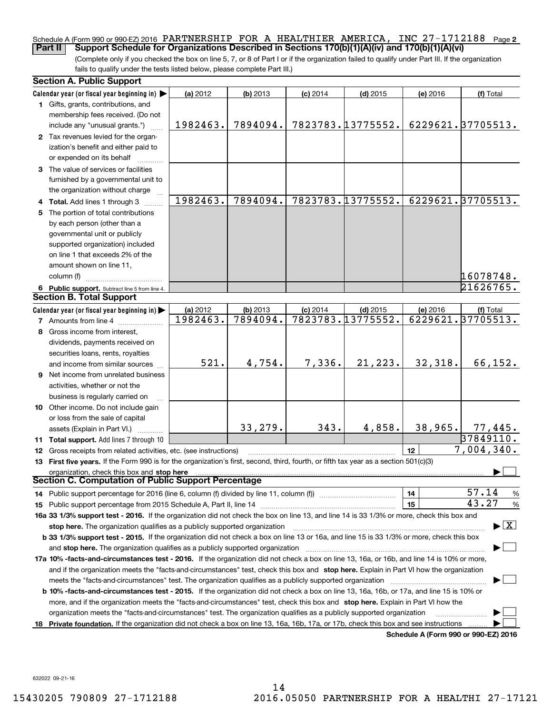#### Schedule A (Form 990 or 990-EZ) 2016 PARTNERSHIP FOR A HEALTHIER AMERICA, INC 27-1712188 <sub>Page</sub> 2 **Part II Support Schedule for Organizations Described in Sections 170(b)(1)(A)(iv) and 170(b)(1)(A)(vi)**

(Complete only if you checked the box on line 5, 7, or 8 of Part I or if the organization failed to qualify under Part III. If the organization fails to qualify under the tests listed below, please complete Part III.)

|    | <b>Section A. Public Support</b>                                                                                                               |          |            |            |                   |          |                                          |
|----|------------------------------------------------------------------------------------------------------------------------------------------------|----------|------------|------------|-------------------|----------|------------------------------------------|
|    | Calendar year (or fiscal year beginning in) $\blacktriangleright$                                                                              | (a) 2012 | $(b)$ 2013 | $(c)$ 2014 | $(d)$ 2015        | (e) 2016 | (f) Total                                |
|    | 1 Gifts, grants, contributions, and                                                                                                            |          |            |            |                   |          |                                          |
|    | membership fees received. (Do not                                                                                                              |          |            |            |                   |          |                                          |
|    | include any "unusual grants.")                                                                                                                 | 1982463. | 7894094.   |            | 7823783.13775552. |          | 6229621.37705513.                        |
|    | 2 Tax revenues levied for the organ-                                                                                                           |          |            |            |                   |          |                                          |
|    | ization's benefit and either paid to                                                                                                           |          |            |            |                   |          |                                          |
|    | or expended on its behalf                                                                                                                      |          |            |            |                   |          |                                          |
|    | 3 The value of services or facilities                                                                                                          |          |            |            |                   |          |                                          |
|    | furnished by a governmental unit to                                                                                                            |          |            |            |                   |          |                                          |
|    | the organization without charge                                                                                                                |          |            |            |                   |          |                                          |
|    | 4 Total. Add lines 1 through 3                                                                                                                 | 1982463. | 7894094.   |            | 7823783.13775552. |          | 6229621.37705513.                        |
|    | 5 The portion of total contributions                                                                                                           |          |            |            |                   |          |                                          |
|    | by each person (other than a                                                                                                                   |          |            |            |                   |          |                                          |
|    | governmental unit or publicly                                                                                                                  |          |            |            |                   |          |                                          |
|    | supported organization) included                                                                                                               |          |            |            |                   |          |                                          |
|    | on line 1 that exceeds 2% of the                                                                                                               |          |            |            |                   |          |                                          |
|    | amount shown on line 11,                                                                                                                       |          |            |            |                   |          |                                          |
|    | column (f)                                                                                                                                     |          |            |            |                   |          | 16078748.                                |
|    | 6 Public support. Subtract line 5 from line 4.                                                                                                 |          |            |            |                   |          | 21626765.                                |
|    | <b>Section B. Total Support</b>                                                                                                                |          |            |            |                   |          |                                          |
|    | Calendar year (or fiscal year beginning in)                                                                                                    | (a) 2012 | $(b)$ 2013 | $(c)$ 2014 | $(d)$ 2015        | (e) 2016 | (f) Total                                |
|    | <b>7</b> Amounts from line 4                                                                                                                   | 1982463. | 7894094.   |            | 7823783.13775552. |          | 6229621.37705513.                        |
|    | 8 Gross income from interest,                                                                                                                  |          |            |            |                   |          |                                          |
|    | dividends, payments received on                                                                                                                |          |            |            |                   |          |                                          |
|    | securities loans, rents, royalties                                                                                                             |          |            |            |                   |          |                                          |
|    | and income from similar sources                                                                                                                | 521.     | 4,754.     | 7,336.     | 21, 223.          | 32,318.  | 66,152.                                  |
|    | <b>9</b> Net income from unrelated business                                                                                                    |          |            |            |                   |          |                                          |
|    | activities, whether or not the                                                                                                                 |          |            |            |                   |          |                                          |
|    | business is regularly carried on                                                                                                               |          |            |            |                   |          |                                          |
|    | 10 Other income. Do not include gain                                                                                                           |          |            |            |                   |          |                                          |
|    | or loss from the sale of capital                                                                                                               |          |            |            |                   |          |                                          |
|    | assets (Explain in Part VI.)                                                                                                                   |          | 33,279.    | 343.       | 4,858.            | 38,965.  | 77,445.                                  |
|    | 11 Total support. Add lines 7 through 10                                                                                                       |          |            |            |                   |          | 37849110.                                |
|    | 12 Gross receipts from related activities, etc. (see instructions)                                                                             |          |            |            |                   | 12       | 7,004,340.                               |
|    | 13 First five years. If the Form 990 is for the organization's first, second, third, fourth, or fifth tax year as a section 501(c)(3)          |          |            |            |                   |          |                                          |
|    | organization, check this box and stop here<br>Section C. Computation of Public Support Percentage                                              |          |            |            |                   |          |                                          |
|    | 14 Public support percentage for 2016 (line 6, column (f) divided by line 11, column (f) <i></i>                                               |          |            |            |                   | 14       | 57.14<br>%                               |
|    |                                                                                                                                                |          |            |            |                   | 15       | 43.27<br>$\%$                            |
|    | 16a 33 1/3% support test - 2016. If the organization did not check the box on line 13, and line 14 is 33 1/3% or more, check this box and      |          |            |            |                   |          |                                          |
|    | stop here. The organization qualifies as a publicly supported organization                                                                     |          |            |            |                   |          | $\blacktriangleright$ $\boxed{\text{X}}$ |
|    | b 33 1/3% support test - 2015. If the organization did not check a box on line 13 or 16a, and line 15 is 33 1/3% or more, check this box       |          |            |            |                   |          |                                          |
|    |                                                                                                                                                |          |            |            |                   |          |                                          |
|    | 17a 10% -facts-and-circumstances test - 2016. If the organization did not check a box on line 13, 16a, or 16b, and line 14 is 10% or more,     |          |            |            |                   |          |                                          |
|    | and if the organization meets the "facts-and-circumstances" test, check this box and stop here. Explain in Part VI how the organization        |          |            |            |                   |          |                                          |
|    |                                                                                                                                                |          |            |            |                   |          |                                          |
|    | <b>b 10% -facts-and-circumstances test - 2015.</b> If the organization did not check a box on line 13, 16a, 16b, or 17a, and line 15 is 10% or |          |            |            |                   |          |                                          |
|    | more, and if the organization meets the "facts-and-circumstances" test, check this box and stop here. Explain in Part VI how the               |          |            |            |                   |          |                                          |
|    | organization meets the "facts-and-circumstances" test. The organization qualifies as a publicly supported organization                         |          |            |            |                   |          |                                          |
| 18 | Private foundation. If the organization did not check a box on line 13, 16a, 16b, 17a, or 17b, check this box and see instructions             |          |            |            |                   |          |                                          |
|    |                                                                                                                                                |          |            |            |                   |          | Schedule A (Form 990 or 990-EZ) 2016     |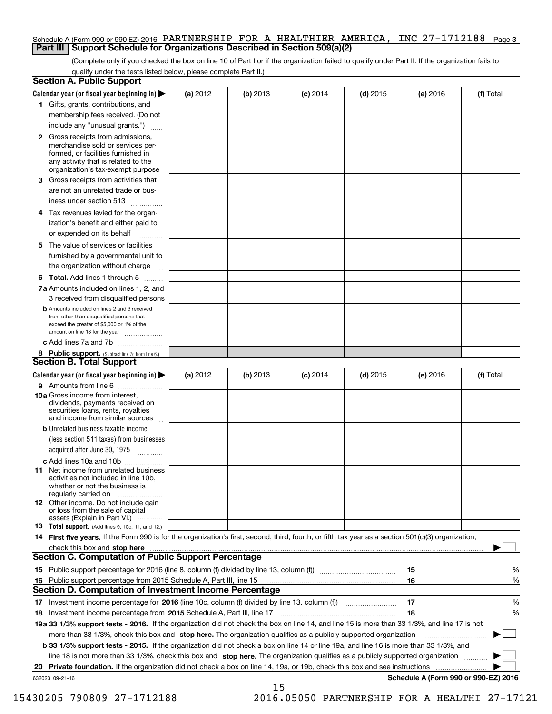#### Schedule A (Form 990 or 990-EZ) 2016 PARTNERSHIP FOR A HEALTHIER AMERICA, INC 27-1712188 <sub>Page 3</sub> **Part III Support Schedule for Organizations Described in Section 509(a)(2)**

(Complete only if you checked the box on line 10 of Part I or if the organization failed to qualify under Part II. If the organization fails to qualify under the tests listed below, please complete Part II.)

|    | <b>Section A. Public Support</b>                                                                                                                                                                                                                                         |          |            |            |            |          |                                      |
|----|--------------------------------------------------------------------------------------------------------------------------------------------------------------------------------------------------------------------------------------------------------------------------|----------|------------|------------|------------|----------|--------------------------------------|
|    | Calendar year (or fiscal year beginning in) $\blacktriangleright$                                                                                                                                                                                                        | (a) 2012 | $(b)$ 2013 | $(c)$ 2014 | $(d)$ 2015 | (e) 2016 | (f) Total                            |
|    | 1 Gifts, grants, contributions, and                                                                                                                                                                                                                                      |          |            |            |            |          |                                      |
|    | membership fees received. (Do not                                                                                                                                                                                                                                        |          |            |            |            |          |                                      |
|    | include any "unusual grants.")                                                                                                                                                                                                                                           |          |            |            |            |          |                                      |
|    | 2 Gross receipts from admissions,<br>merchandise sold or services per-<br>formed, or facilities furnished in<br>any activity that is related to the<br>organization's tax-exempt purpose                                                                                 |          |            |            |            |          |                                      |
|    | 3 Gross receipts from activities that<br>are not an unrelated trade or bus-                                                                                                                                                                                              |          |            |            |            |          |                                      |
|    | iness under section 513                                                                                                                                                                                                                                                  |          |            |            |            |          |                                      |
|    | 4 Tax revenues levied for the organ-                                                                                                                                                                                                                                     |          |            |            |            |          |                                      |
|    | ization's benefit and either paid to<br>or expended on its behalf<br>.                                                                                                                                                                                                   |          |            |            |            |          |                                      |
|    | 5 The value of services or facilities                                                                                                                                                                                                                                    |          |            |            |            |          |                                      |
|    | furnished by a governmental unit to                                                                                                                                                                                                                                      |          |            |            |            |          |                                      |
|    | the organization without charge                                                                                                                                                                                                                                          |          |            |            |            |          |                                      |
|    | <b>6 Total.</b> Add lines 1 through 5                                                                                                                                                                                                                                    |          |            |            |            |          |                                      |
|    | 7a Amounts included on lines 1, 2, and<br>3 received from disqualified persons                                                                                                                                                                                           |          |            |            |            |          |                                      |
|    | <b>b</b> Amounts included on lines 2 and 3 received<br>from other than disqualified persons that<br>exceed the greater of \$5,000 or 1% of the<br>amount on line 13 for the year                                                                                         |          |            |            |            |          |                                      |
|    | c Add lines 7a and 7b                                                                                                                                                                                                                                                    |          |            |            |            |          |                                      |
|    | 8 Public support. (Subtract line 7c from line 6.)                                                                                                                                                                                                                        |          |            |            |            |          |                                      |
|    | <b>Section B. Total Support</b>                                                                                                                                                                                                                                          |          |            |            |            |          |                                      |
|    | Calendar year (or fiscal year beginning in) $\blacktriangleright$                                                                                                                                                                                                        | (a) 2012 | (b) 2013   | $(c)$ 2014 | $(d)$ 2015 | (e) 2016 | (f) Total                            |
|    | 9 Amounts from line 6<br>10a Gross income from interest,                                                                                                                                                                                                                 |          |            |            |            |          |                                      |
|    | dividends, payments received on<br>securities loans, rents, royalties<br>and income from similar sources                                                                                                                                                                 |          |            |            |            |          |                                      |
|    | <b>b</b> Unrelated business taxable income<br>(less section 511 taxes) from businesses                                                                                                                                                                                   |          |            |            |            |          |                                      |
|    | acquired after June 30, 1975                                                                                                                                                                                                                                             |          |            |            |            |          |                                      |
|    | c Add lines 10a and 10b<br>11 Net income from unrelated business<br>activities not included in line 10b,<br>whether or not the business is<br>regularly carried on                                                                                                       |          |            |            |            |          |                                      |
|    | <b>12</b> Other income. Do not include gain<br>or loss from the sale of capital<br>assets (Explain in Part VI.)                                                                                                                                                          |          |            |            |            |          |                                      |
|    | <b>13</b> Total support. (Add lines 9, 10c, 11, and 12.)                                                                                                                                                                                                                 |          |            |            |            |          |                                      |
|    | 14 First five years. If the Form 990 is for the organization's first, second, third, fourth, or fifth tax year as a section 501(c)(3) organization,                                                                                                                      |          |            |            |            |          |                                      |
|    | check this box and stop here with the continuum control to the state of the state of the state of the state of                                                                                                                                                           |          |            |            |            |          |                                      |
|    | <b>Section C. Computation of Public Support Percentage</b>                                                                                                                                                                                                               |          |            |            |            |          |                                      |
|    |                                                                                                                                                                                                                                                                          |          |            |            |            | 15       | %                                    |
|    | 16 Public support percentage from 2015 Schedule A, Part III, line 15                                                                                                                                                                                                     |          |            |            |            | 16       | %                                    |
|    | <b>Section D. Computation of Investment Income Percentage</b>                                                                                                                                                                                                            |          |            |            |            |          |                                      |
|    | 17 Investment income percentage for 2016 (line 10c, column (f) divided by line 13, column (f))                                                                                                                                                                           |          |            |            |            | 17       | %                                    |
|    | <b>18</b> Investment income percentage from <b>2015</b> Schedule A, Part III, line 17<br>19a 33 1/3% support tests - 2016. If the organization did not check the box on line 14, and line 15 is more than 33 1/3%, and line 17 is not                                    |          |            |            |            | 18       | %                                    |
|    |                                                                                                                                                                                                                                                                          |          |            |            |            |          |                                      |
|    | more than 33 1/3%, check this box and stop here. The organization qualifies as a publicly supported organization                                                                                                                                                         |          |            |            |            |          | ▶                                    |
|    | b 33 1/3% support tests - 2015. If the organization did not check a box on line 14 or line 19a, and line 16 is more than 33 1/3%, and<br>line 18 is not more than 33 1/3%, check this box and stop here. The organization qualifies as a publicly supported organization |          |            |            |            |          |                                      |
| 20 |                                                                                                                                                                                                                                                                          |          |            |            |            |          |                                      |
|    | 632023 09-21-16                                                                                                                                                                                                                                                          |          |            |            |            |          | Schedule A (Form 990 or 990-EZ) 2016 |
|    |                                                                                                                                                                                                                                                                          |          | 15         |            |            |          |                                      |

 <sup>15430205 790809 27-1712188 2016.05050</sup> PARTNERSHIP FOR A HEALTHI 27-17121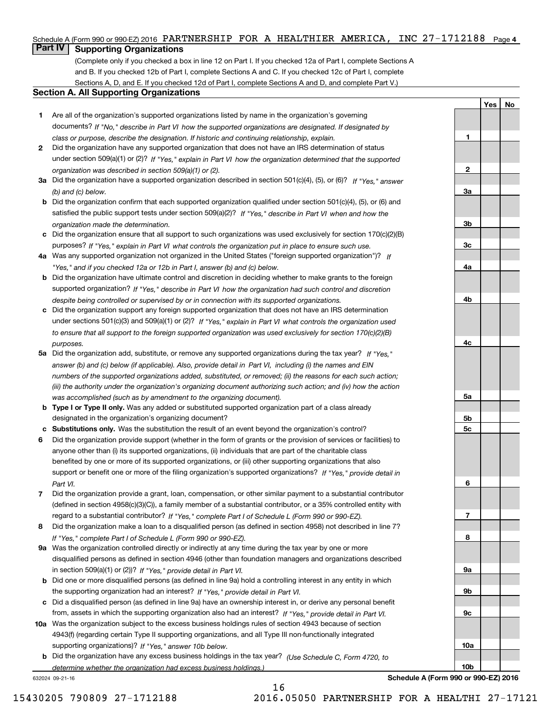# Schedule A (Form 990 or 990-EZ) 2016 PARTNERSHIP FOR A HEALTHIER AMERICA, INC 27-1712188 <sub>Page 4</sub>

## **Part IV Supporting Organizations**

(Complete only if you checked a box in line 12 on Part I. If you checked 12a of Part I, complete Sections A and B. If you checked 12b of Part I, complete Sections A and C. If you checked 12c of Part I, complete Sections A, D, and E. If you checked 12d of Part I, complete Sections A and D, and complete Part V.)

#### **Section A. All Supporting Organizations**

- **1** Are all of the organization's supported organizations listed by name in the organization's governing documents? If "No," describe in Part VI how the supported organizations are designated. If designated by *class or purpose, describe the designation. If historic and continuing relationship, explain.*
- **2** Did the organization have any supported organization that does not have an IRS determination of status under section 509(a)(1) or (2)? If "Yes," explain in Part VI how the organization determined that the supported *organization was described in section 509(a)(1) or (2).*
- **3a** Did the organization have a supported organization described in section 501(c)(4), (5), or (6)? If "Yes," answer *(b) and (c) below.*
- **b** Did the organization confirm that each supported organization qualified under section 501(c)(4), (5), or (6) and satisfied the public support tests under section 509(a)(2)? If "Yes," describe in Part VI when and how the *organization made the determination.*
- **c**Did the organization ensure that all support to such organizations was used exclusively for section 170(c)(2)(B) purposes? If "Yes," explain in Part VI what controls the organization put in place to ensure such use.
- **4a***If* Was any supported organization not organized in the United States ("foreign supported organization")? *"Yes," and if you checked 12a or 12b in Part I, answer (b) and (c) below.*
- **b** Did the organization have ultimate control and discretion in deciding whether to make grants to the foreign supported organization? If "Yes," describe in Part VI how the organization had such control and discretion *despite being controlled or supervised by or in connection with its supported organizations.*
- **c** Did the organization support any foreign supported organization that does not have an IRS determination under sections 501(c)(3) and 509(a)(1) or (2)? If "Yes," explain in Part VI what controls the organization used *to ensure that all support to the foreign supported organization was used exclusively for section 170(c)(2)(B) purposes.*
- **5a** Did the organization add, substitute, or remove any supported organizations during the tax year? If "Yes," answer (b) and (c) below (if applicable). Also, provide detail in Part VI, including (i) the names and EIN *numbers of the supported organizations added, substituted, or removed; (ii) the reasons for each such action; (iii) the authority under the organization's organizing document authorizing such action; and (iv) how the action was accomplished (such as by amendment to the organizing document).*
- **b** Type I or Type II only. Was any added or substituted supported organization part of a class already designated in the organization's organizing document?
- **cSubstitutions only.**  Was the substitution the result of an event beyond the organization's control?
- **6** Did the organization provide support (whether in the form of grants or the provision of services or facilities) to *If "Yes," provide detail in* support or benefit one or more of the filing organization's supported organizations? anyone other than (i) its supported organizations, (ii) individuals that are part of the charitable class benefited by one or more of its supported organizations, or (iii) other supporting organizations that also *Part VI.*
- **7**Did the organization provide a grant, loan, compensation, or other similar payment to a substantial contributor *If "Yes," complete Part I of Schedule L (Form 990 or 990-EZ).* regard to a substantial contributor? (defined in section 4958(c)(3)(C)), a family member of a substantial contributor, or a 35% controlled entity with
- **8** Did the organization make a loan to a disqualified person (as defined in section 4958) not described in line 7? *If "Yes," complete Part I of Schedule L (Form 990 or 990-EZ).*
- **9a** Was the organization controlled directly or indirectly at any time during the tax year by one or more in section 509(a)(1) or (2))? If "Yes," *provide detail in Part VI.* disqualified persons as defined in section 4946 (other than foundation managers and organizations described
- **b** Did one or more disqualified persons (as defined in line 9a) hold a controlling interest in any entity in which the supporting organization had an interest? If "Yes," provide detail in Part VI.
- **c**Did a disqualified person (as defined in line 9a) have an ownership interest in, or derive any personal benefit from, assets in which the supporting organization also had an interest? If "Yes," provide detail in Part VI.
- **10a** Was the organization subject to the excess business holdings rules of section 4943 because of section supporting organizations)? If "Yes," answer 10b below. 4943(f) (regarding certain Type II supporting organizations, and all Type III non-functionally integrated
- **b** Did the organization have any excess business holdings in the tax year? (Use Schedule C, Form 4720, to *determine whether the organization had excess business holdings.)*

16

632024 09-21-16



**YesNo**

**1**

**2**

**Schedule A (Form 990 or 990-EZ) 2016**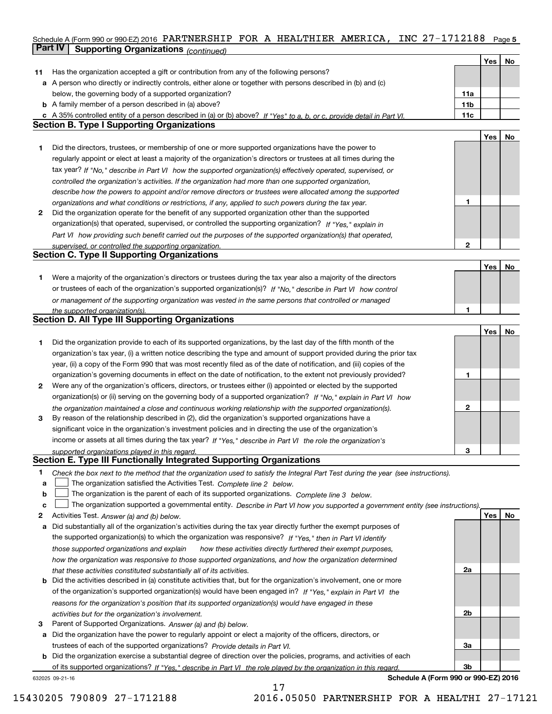## Schedule A (Form 990 or 990-EZ) 2016 PARTNERSHIP FOR A HEALTHIER AMERICA, INC 27-1712188 <sub>Page 5</sub> **Part IV Supporting Organizations** *(continued)*

|    |                                                                                                                                   |                 | Yes | No  |
|----|-----------------------------------------------------------------------------------------------------------------------------------|-----------------|-----|-----|
| 11 | Has the organization accepted a gift or contribution from any of the following persons?                                           |                 |     |     |
|    | a A person who directly or indirectly controls, either alone or together with persons described in (b) and (c)                    |                 |     |     |
|    | below, the governing body of a supported organization?                                                                            | 11a             |     |     |
|    | <b>b</b> A family member of a person described in (a) above?                                                                      | 11 <sub>b</sub> |     |     |
|    | c A 35% controlled entity of a person described in (a) or (b) above? If "Yes" to a, b, or c, provide detail in Part VI.           | 11c             |     |     |
|    | <b>Section B. Type I Supporting Organizations</b>                                                                                 |                 |     |     |
|    |                                                                                                                                   |                 | Yes | No  |
| 1  | Did the directors, trustees, or membership of one or more supported organizations have the power to                               |                 |     |     |
|    | regularly appoint or elect at least a majority of the organization's directors or trustees at all times during the                |                 |     |     |
|    | tax year? If "No," describe in Part VI how the supported organization(s) effectively operated, supervised, or                     |                 |     |     |
|    | controlled the organization's activities. If the organization had more than one supported organization,                           |                 |     |     |
|    | describe how the powers to appoint and/or remove directors or trustees were allocated among the supported                         |                 |     |     |
|    | organizations and what conditions or restrictions, if any, applied to such powers during the tax year.                            | 1               |     |     |
| 2  | Did the organization operate for the benefit of any supported organization other than the supported                               |                 |     |     |
|    | organization(s) that operated, supervised, or controlled the supporting organization? If "Yes," explain in                        |                 |     |     |
|    |                                                                                                                                   |                 |     |     |
|    | Part VI how providing such benefit carried out the purposes of the supported organization(s) that operated,                       | $\mathbf 2$     |     |     |
|    | supervised, or controlled the supporting organization.<br><b>Section C. Type II Supporting Organizations</b>                      |                 |     |     |
|    |                                                                                                                                   |                 |     |     |
|    |                                                                                                                                   |                 | Yes | No. |
| 1  | Were a majority of the organization's directors or trustees during the tax year also a majority of the directors                  |                 |     |     |
|    | or trustees of each of the organization's supported organization(s)? If "No," describe in Part VI how control                     |                 |     |     |
|    | or management of the supporting organization was vested in the same persons that controlled or managed                            |                 |     |     |
|    | the supported organization(s).                                                                                                    | 1               |     |     |
|    | <b>Section D. All Type III Supporting Organizations</b>                                                                           |                 |     |     |
|    |                                                                                                                                   |                 | Yes | No  |
| 1  | Did the organization provide to each of its supported organizations, by the last day of the fifth month of the                    |                 |     |     |
|    | organization's tax year, (i) a written notice describing the type and amount of support provided during the prior tax             |                 |     |     |
|    | year, (ii) a copy of the Form 990 that was most recently filed as of the date of notification, and (iii) copies of the            |                 |     |     |
|    | organization's governing documents in effect on the date of notification, to the extent not previously provided?                  | 1               |     |     |
| 2  | Were any of the organization's officers, directors, or trustees either (i) appointed or elected by the supported                  |                 |     |     |
|    | organization(s) or (ii) serving on the governing body of a supported organization? If "No," explain in Part VI how                |                 |     |     |
|    | the organization maintained a close and continuous working relationship with the supported organization(s).                       | 2               |     |     |
| 3  | By reason of the relationship described in (2), did the organization's supported organizations have a                             |                 |     |     |
|    | significant voice in the organization's investment policies and in directing the use of the organization's                        |                 |     |     |
|    | income or assets at all times during the tax year? If "Yes," describe in Part VI the role the organization's                      |                 |     |     |
|    | supported organizations played in this regard.                                                                                    | з               |     |     |
|    | Section E. Type III Functionally Integrated Supporting Organizations                                                              |                 |     |     |
| 1  | Check the box next to the method that the organization used to satisfy the Integral Part Test during the year (see instructions). |                 |     |     |
| a  | The organization satisfied the Activities Test. Complete line 2 below.                                                            |                 |     |     |
| b  | The organization is the parent of each of its supported organizations. Complete line 3 below.                                     |                 |     |     |
| c  | The organization supported a governmental entity. Describe in Part VI how you supported a government entity (see instructions).   |                 |     |     |
| 2  | Activities Test. Answer (a) and (b) below.                                                                                        |                 | Yes | No  |
| а  | Did substantially all of the organization's activities during the tax year directly further the exempt purposes of                |                 |     |     |
|    | the supported organization(s) to which the organization was responsive? If "Yes," then in Part VI identify                        |                 |     |     |
|    | those supported organizations and explain<br>how these activities directly furthered their exempt purposes,                       |                 |     |     |
|    | how the organization was responsive to those supported organizations, and how the organization determined                         |                 |     |     |
|    | that these activities constituted substantially all of its activities.                                                            | 2a              |     |     |
| b  | Did the activities described in (a) constitute activities that, but for the organization's involvement, one or more               |                 |     |     |
|    | of the organization's supported organization(s) would have been engaged in? If "Yes," explain in Part VI the                      |                 |     |     |
|    | reasons for the organization's position that its supported organization(s) would have engaged in these                            |                 |     |     |
|    | activities but for the organization's involvement.                                                                                | 2b              |     |     |
| З  | Parent of Supported Organizations. Answer (a) and (b) below.                                                                      |                 |     |     |
| а  | Did the organization have the power to regularly appoint or elect a majority of the officers, directors, or                       |                 |     |     |
|    | trustees of each of the supported organizations? Provide details in Part VI.                                                      | За              |     |     |
| b  | Did the organization exercise a substantial degree of direction over the policies, programs, and activities of each               |                 |     |     |
|    |                                                                                                                                   | 3b              |     |     |
|    | of its supported organizations? If "Yes," describe in Part VI the role played by the organization in this regard.                 |                 |     |     |
|    | Schedule A (Form 990 or 990-EZ) 2016<br>632025 09-21-16                                                                           |                 |     |     |

17

15430205 790809 27-1712188 2016.05050 PARTNERSHIP FOR A HEALTHI 27-17121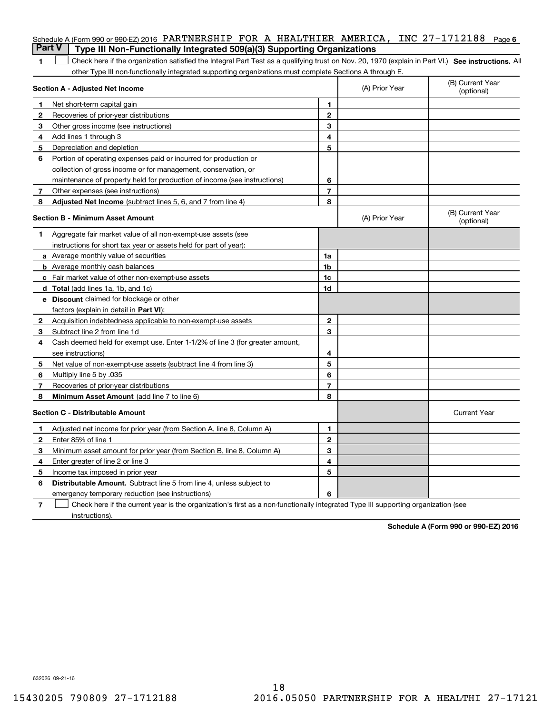|                | Schedule A (Form 990 or 990-EZ) 2016 PARTNERSHIP FOR A HEALTHIER AMERICA, INC 27-1712188<br><b>Part V</b><br>Type III Non-Functionally Integrated 509(a)(3) Supporting Organizations |                |                | Page 6                         |
|----------------|--------------------------------------------------------------------------------------------------------------------------------------------------------------------------------------|----------------|----------------|--------------------------------|
| 1              | Check here if the organization satisfied the Integral Part Test as a qualifying trust on Nov. 20, 1970 (explain in Part VI.) See instructions. Al                                    |                |                |                                |
|                | other Type III non-functionally integrated supporting organizations must complete Sections A through E.                                                                              |                |                |                                |
|                | Section A - Adjusted Net Income                                                                                                                                                      |                | (A) Prior Year | (B) Current Year<br>(optional) |
| 1              | Net short-term capital gain                                                                                                                                                          | 1.             |                |                                |
| $\overline{2}$ | Recoveries of prior-year distributions                                                                                                                                               | $\mathbf{2}$   |                |                                |
| З              | Other gross income (see instructions)                                                                                                                                                | 3              |                |                                |
| 4              | Add lines 1 through 3                                                                                                                                                                | 4              |                |                                |
| 5              | Depreciation and depletion                                                                                                                                                           | 5              |                |                                |
| 6              | Portion of operating expenses paid or incurred for production or                                                                                                                     |                |                |                                |
|                | collection of gross income or for management, conservation, or                                                                                                                       |                |                |                                |
|                | maintenance of property held for production of income (see instructions)                                                                                                             | 6              |                |                                |
| 7              | Other expenses (see instructions)                                                                                                                                                    | $\overline{7}$ |                |                                |
| 8              | Adjusted Net Income (subtract lines 5, 6, and 7 from line 4)                                                                                                                         | 8              |                |                                |
|                | <b>Section B - Minimum Asset Amount</b>                                                                                                                                              |                | (A) Prior Year | (B) Current Year<br>(optional) |
| 1              | Aggregate fair market value of all non-exempt-use assets (see                                                                                                                        |                |                |                                |
|                | instructions for short tax year or assets held for part of year):                                                                                                                    |                |                |                                |
|                | <b>a</b> Average monthly value of securities                                                                                                                                         | 1a             |                |                                |
|                | <b>b</b> Average monthly cash balances                                                                                                                                               | 1b             |                |                                |
|                | c Fair market value of other non-exempt-use assets                                                                                                                                   | 1c             |                |                                |
|                | d Total (add lines 1a, 1b, and 1c)                                                                                                                                                   | 1d             |                |                                |
|                | <b>e</b> Discount claimed for blockage or other                                                                                                                                      |                |                |                                |
|                | factors (explain in detail in Part VI):                                                                                                                                              |                |                |                                |
| 2              | Acquisition indebtedness applicable to non-exempt-use assets                                                                                                                         | $\mathbf{2}$   |                |                                |
| 3              | Subtract line 2 from line 1d                                                                                                                                                         | 3              |                |                                |
| 4              | Cash deemed held for exempt use. Enter 1-1/2% of line 3 (for greater amount,                                                                                                         |                |                |                                |
|                | see instructions)                                                                                                                                                                    | 4              |                |                                |
| 5              | Net value of non-exempt-use assets (subtract line 4 from line 3)                                                                                                                     | 5              |                |                                |
| 6              | Multiply line 5 by .035                                                                                                                                                              | 6              |                |                                |
| 7              | Recoveries of prior-year distributions                                                                                                                                               | $\overline{7}$ |                |                                |
| 8              | Minimum Asset Amount (add line 7 to line 6)                                                                                                                                          | 8              |                |                                |
|                | <b>Section C - Distributable Amount</b>                                                                                                                                              |                |                | <b>Current Year</b>            |
|                | Adjusted net income for prior year (from Section A, line 8, Column A)                                                                                                                | 1              |                |                                |
|                | Enter 85% of line 1                                                                                                                                                                  | 2              |                |                                |
| 3              | Minimum asset amount for prior year (from Section B, line 8, Column A)                                                                                                               | 3              |                |                                |
| 4              | Enter greater of line 2 or line 3                                                                                                                                                    | 4              |                |                                |
| 5              | Income tax imposed in prior year                                                                                                                                                     | 5              |                |                                |
| 6              | <b>Distributable Amount.</b> Subtract line 5 from line 4, unless subject to                                                                                                          |                |                |                                |
|                | emergency temporary reduction (see instructions)                                                                                                                                     | 6              |                |                                |
| 7              | Check here if the current year is the organization's first as a non-functionally integrated Type III supporting organization (see                                                    |                |                |                                |

instructions).

**Schedule A (Form 990 or 990-EZ) 2016**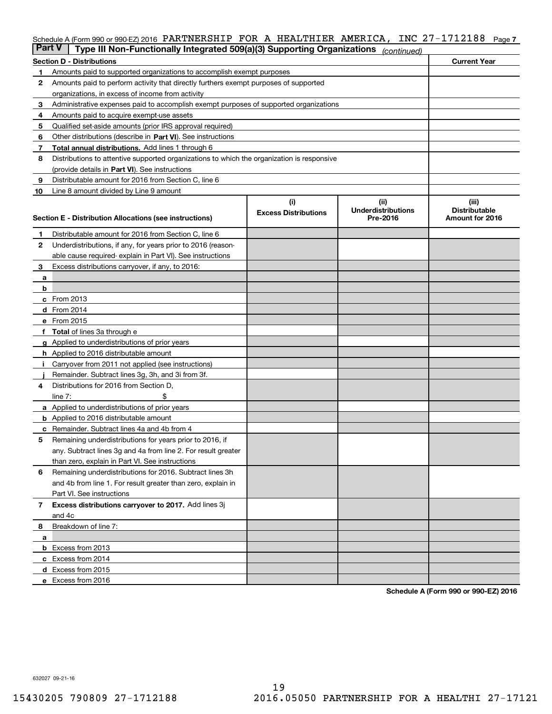#### Schedule A (Form 990 or 990-EZ) 2016 PARTNERSHIP FOR A HEALTHIER AMERICA, INC 27-1712188 <sub>Page 7</sub>

| <b>Part V</b> | Type III Non-Functionally Integrated 509(a)(3) Supporting Organizations                    |                                    | (continued)                        |                               |
|---------------|--------------------------------------------------------------------------------------------|------------------------------------|------------------------------------|-------------------------------|
|               | <b>Section D - Distributions</b>                                                           |                                    |                                    | <b>Current Year</b>           |
| 1             | Amounts paid to supported organizations to accomplish exempt purposes                      |                                    |                                    |                               |
| 2             | Amounts paid to perform activity that directly furthers exempt purposes of supported       |                                    |                                    |                               |
|               | organizations, in excess of income from activity                                           |                                    |                                    |                               |
| з             | Administrative expenses paid to accomplish exempt purposes of supported organizations      |                                    |                                    |                               |
| 4             | Amounts paid to acquire exempt-use assets                                                  |                                    |                                    |                               |
| 5             | Qualified set-aside amounts (prior IRS approval required)                                  |                                    |                                    |                               |
| 6             | Other distributions (describe in Part VI). See instructions                                |                                    |                                    |                               |
| 7             | <b>Total annual distributions.</b> Add lines 1 through 6                                   |                                    |                                    |                               |
| 8             | Distributions to attentive supported organizations to which the organization is responsive |                                    |                                    |                               |
|               | (provide details in Part VI). See instructions                                             |                                    |                                    |                               |
| 9             | Distributable amount for 2016 from Section C, line 6                                       |                                    |                                    |                               |
| 10            | Line 8 amount divided by Line 9 amount                                                     |                                    |                                    |                               |
|               |                                                                                            | (i)<br><b>Excess Distributions</b> | (iii)<br><b>Underdistributions</b> | (iii)<br><b>Distributable</b> |
|               | Section E - Distribution Allocations (see instructions)                                    |                                    | Pre-2016                           | Amount for 2016               |
| 1             | Distributable amount for 2016 from Section C, line 6                                       |                                    |                                    |                               |
| 2             | Underdistributions, if any, for years prior to 2016 (reason-                               |                                    |                                    |                               |
|               | able cause required-explain in Part VI). See instructions                                  |                                    |                                    |                               |
| 3             | Excess distributions carryover, if any, to 2016:                                           |                                    |                                    |                               |
| а             |                                                                                            |                                    |                                    |                               |
| b             |                                                                                            |                                    |                                    |                               |
|               | c From 2013                                                                                |                                    |                                    |                               |
|               | d From 2014                                                                                |                                    |                                    |                               |
|               | e From 2015                                                                                |                                    |                                    |                               |
|               | Total of lines 3a through e                                                                |                                    |                                    |                               |
|               | <b>g</b> Applied to underdistributions of prior years                                      |                                    |                                    |                               |
|               | h Applied to 2016 distributable amount                                                     |                                    |                                    |                               |
|               | Carryover from 2011 not applied (see instructions)                                         |                                    |                                    |                               |
|               | Remainder. Subtract lines 3g, 3h, and 3i from 3f.                                          |                                    |                                    |                               |
| 4             | Distributions for 2016 from Section D,                                                     |                                    |                                    |                               |
|               | line $7:$                                                                                  |                                    |                                    |                               |
|               | a Applied to underdistributions of prior years                                             |                                    |                                    |                               |
|               | <b>b</b> Applied to 2016 distributable amount                                              |                                    |                                    |                               |
| с             | Remainder. Subtract lines 4a and 4b from 4                                                 |                                    |                                    |                               |
| 5             | Remaining underdistributions for years prior to 2016, if                                   |                                    |                                    |                               |
|               | any. Subtract lines 3g and 4a from line 2. For result greater                              |                                    |                                    |                               |
|               | than zero, explain in Part VI. See instructions                                            |                                    |                                    |                               |
| 6             | Remaining underdistributions for 2016. Subtract lines 3h                                   |                                    |                                    |                               |
|               | and 4b from line 1. For result greater than zero, explain in                               |                                    |                                    |                               |
|               | Part VI. See instructions                                                                  |                                    |                                    |                               |
| 7             | Excess distributions carryover to 2017. Add lines 3j<br>and 4c                             |                                    |                                    |                               |
| 8             | Breakdown of line 7:                                                                       |                                    |                                    |                               |
| а             |                                                                                            |                                    |                                    |                               |
|               | <b>b</b> Excess from 2013                                                                  |                                    |                                    |                               |
|               | c Excess from 2014                                                                         |                                    |                                    |                               |
|               | <b>d</b> Excess from 2015                                                                  |                                    |                                    |                               |
|               | e Excess from 2016                                                                         |                                    |                                    |                               |

**Schedule A (Form 990 or 990-EZ) 2016**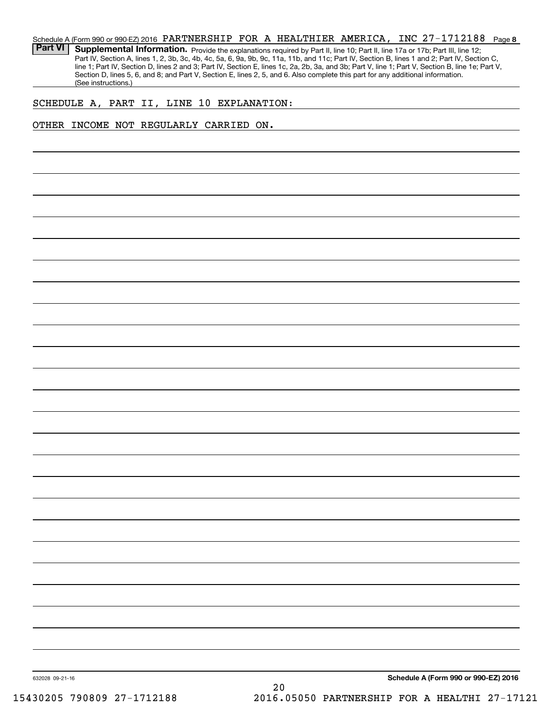#### **8**27-1712188 Schedule A (Form 990 or 990-EZ) 2016  $\,$  PARTNERSHIP  $\,$  FOR  $\,$  A <code>HEALTHIER</code>  $\,$  <code>AMERICA</code> , <code>INC 27–1712188</code>  $\,$  <code>Page</code>

Part VI | Supplemental Information. Provide the explanations required by Part II, line 10; Part II, line 17a or 17b; Part III, line 12; Part IV, Section A, lines 1, 2, 3b, 3c, 4b, 4c, 5a, 6, 9a, 9b, 9c, 11a, 11b, and 11c; Part IV, Section B, lines 1 and 2; Part IV, Section C, line 1; Part IV, Section D, lines 2 and 3; Part IV, Section E, lines 1c, 2a, 2b, 3a, and 3b; Part V, line 1; Part V, Section B, line 1e; Part V, Section D, lines 5, 6, and 8; and Part V, Section E, lines 2, 5, and 6. Also complete this part for any additional information. (See instructions.)

## SCHEDULE A, PART II, LINE 10 EXPLANATION:

#### OTHER INCOME NOT REGULARLY CARRIED ON.

**Schedule A (Form 990 or 990-EZ) 2016**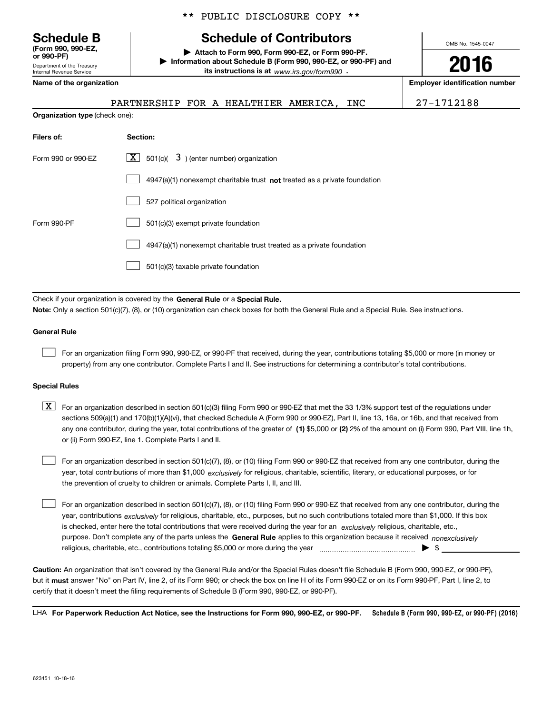Department of the Treasury Internal Revenue Service **(Form 990, 990-EZ, or 990-PF)**

\*\* PUBLIC DISCLOSURE COPY \*\*

# **Schedule B Schedule of Contributors**

**| Attach to Form 990, Form 990-EZ, or Form 990-PF. | Information about Schedule B (Form 990, 990-EZ, or 990-PF) and its instructions is at** www.irs.gov/form990  $\cdot$ 

**Name of the organization Employer identification number**

**Organization type** (check one):

| .                                        |  |  |            |
|------------------------------------------|--|--|------------|
| PARTNERSHIP FOR A HEALTHIER AMERICA, INC |  |  | 27-1712188 |

OMB No. 1545-0047

**2016**

| Filers of:         | Section:                                                                    |
|--------------------|-----------------------------------------------------------------------------|
| Form 990 or 990-EZ | $\lfloor x \rfloor$ 501(c)( 3) (enter number) organization                  |
|                    | $4947(a)(1)$ nonexempt charitable trust not treated as a private foundation |
|                    | 527 political organization                                                  |
| Form 990-PF        | 501(c)(3) exempt private foundation                                         |
|                    | 4947(a)(1) nonexempt charitable trust treated as a private foundation       |
|                    | 501(c)(3) taxable private foundation                                        |
|                    |                                                                             |

Check if your organization is covered by the **General Rule** or a **Special Rule. Note:**  Only a section 501(c)(7), (8), or (10) organization can check boxes for both the General Rule and a Special Rule. See instructions.

#### **General Rule**

 $\mathcal{L}^{\text{max}}$ 

For an organization filing Form 990, 990-EZ, or 990-PF that received, during the year, contributions totaling \$5,000 or more (in money or property) from any one contributor. Complete Parts I and II. See instructions for determining a contributor's total contributions.

#### **Special Rules**

 $\mathcal{L}^{\text{max}}$ 

any one contributor, during the year, total contributions of the greater of  $\,$  (1) \$5,000 or (2) 2% of the amount on (i) Form 990, Part VIII, line 1h,  $\boxed{\textbf{X}}$  For an organization described in section 501(c)(3) filing Form 990 or 990-EZ that met the 33 1/3% support test of the regulations under sections 509(a)(1) and 170(b)(1)(A)(vi), that checked Schedule A (Form 990 or 990-EZ), Part II, line 13, 16a, or 16b, and that received from or (ii) Form 990-EZ, line 1. Complete Parts I and II.

year, total contributions of more than \$1,000 *exclusively* for religious, charitable, scientific, literary, or educational purposes, or for For an organization described in section 501(c)(7), (8), or (10) filing Form 990 or 990-EZ that received from any one contributor, during the the prevention of cruelty to children or animals. Complete Parts I, II, and III.  $\mathcal{L}^{\text{max}}$ 

purpose. Don't complete any of the parts unless the **General Rule** applies to this organization because it received *nonexclusively* year, contributions <sub>exclusively</sub> for religious, charitable, etc., purposes, but no such contributions totaled more than \$1,000. If this box is checked, enter here the total contributions that were received during the year for an  $\;$ exclusively religious, charitable, etc., For an organization described in section 501(c)(7), (8), or (10) filing Form 990 or 990-EZ that received from any one contributor, during the religious, charitable, etc., contributions totaling \$5,000 or more during the year  $\Box$ — $\Box$   $\Box$ 

**Caution:**  An organization that isn't covered by the General Rule and/or the Special Rules doesn't file Schedule B (Form 990, 990-EZ, or 990-PF),  **must** but it answer "No" on Part IV, line 2, of its Form 990; or check the box on line H of its Form 990-EZ or on its Form 990-PF, Part I, line 2, to certify that it doesn't meet the filing requirements of Schedule B (Form 990, 990-EZ, or 990-PF).

**Schedule B (Form 990, 990-EZ, or 990-PF) (2016) For Paperwork Reduction Act Notice, see the Instructions for Form 990, 990-EZ, or 990-PF.** LHA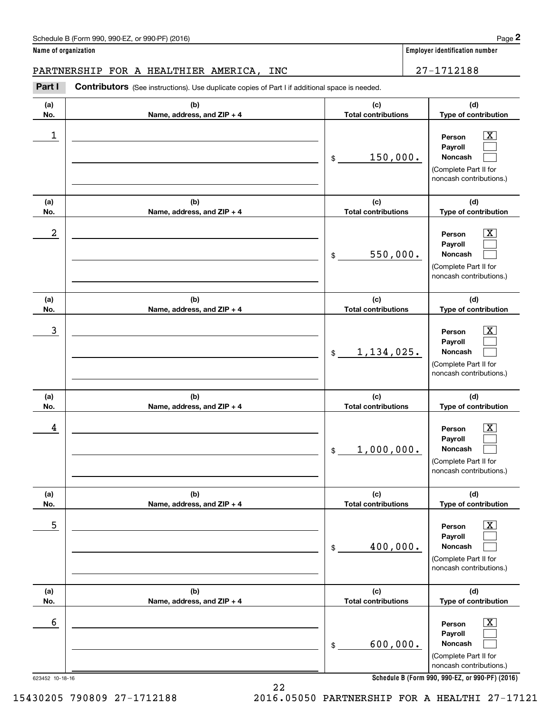### PARTNERSHIP FOR A HEALTHIER AMERICA, INC 27-1712188

Contributors (See instructions). Use duplicate copies of Part I if additional space is needed. Chedule B (Form 990, 990-EZ, or 990-PF) (2016)<br>**2Part I 27–1712188**<br>**PARTNERSHIP FOR A HEALTHIER AMERICA, INC** 27–1712188

| (a)                  | (b)                          | (c)                                          | (d)                                                                                                                                      |
|----------------------|------------------------------|----------------------------------------------|------------------------------------------------------------------------------------------------------------------------------------------|
| No.                  | Name, address, and ZIP + 4   | <b>Total contributions</b>                   | Type of contribution                                                                                                                     |
| 1                    |                              | 150,000.<br>\$                               | х<br>Person<br>Payroll<br>Noncash<br>(Complete Part II for<br>noncash contributions.)                                                    |
| (a)                  | (b)                          | (c)                                          | (d)                                                                                                                                      |
| No.<br>2             | Name, address, and ZIP + 4   | <b>Total contributions</b><br>550,000.<br>\$ | Type of contribution<br>Person<br>x<br>Payroll<br>Noncash<br>(Complete Part II for<br>noncash contributions.)                            |
| (a)                  | (b)                          | (c)                                          | (d)                                                                                                                                      |
| No.                  | Name, address, and ZIP + 4   | <b>Total contributions</b>                   | Type of contribution                                                                                                                     |
| 3                    |                              | 1,134,025.<br>\$                             | Person<br>Payroll<br>Noncash<br>(Complete Part II for<br>noncash contributions.)                                                         |
|                      |                              |                                              |                                                                                                                                          |
| (a)                  | (b)                          | (c)                                          | (d)                                                                                                                                      |
| No.                  | Name, address, and ZIP + 4   | <b>Total contributions</b>                   | Type of contribution                                                                                                                     |
| 4                    |                              | 1,000,000.<br>\$                             | Person<br>Payroll<br>Noncash<br>(Complete Part II for<br>noncash contributions.)                                                         |
| (a)                  | (b)                          | (c)                                          | (d)                                                                                                                                      |
| No.                  | Name, address, and $ZIP + 4$ | Total contributions                          | Type of contribution                                                                                                                     |
| 5                    |                              | 400,000.<br>\$                               | $\overline{\text{x}}$<br>Person<br>Payroll<br>Noncash<br>(Complete Part II for<br>noncash contributions.)                                |
| (a)                  | (b)                          | (c)                                          | (d)                                                                                                                                      |
| No.                  | Name, address, and ZIP + 4   | <b>Total contributions</b>                   | Type of contribution                                                                                                                     |
| 6<br>623452 10-18-16 |                              | 600,000.<br>\$                               | x<br>Person<br>Payroll<br>Noncash<br>(Complete Part II for<br>noncash contributions.)<br>Schedule B (Form 990, 990-EZ, or 990-PF) (2016) |

**Schedule B (Form 990, 990-EZ, or 990-PF) (2016)**

22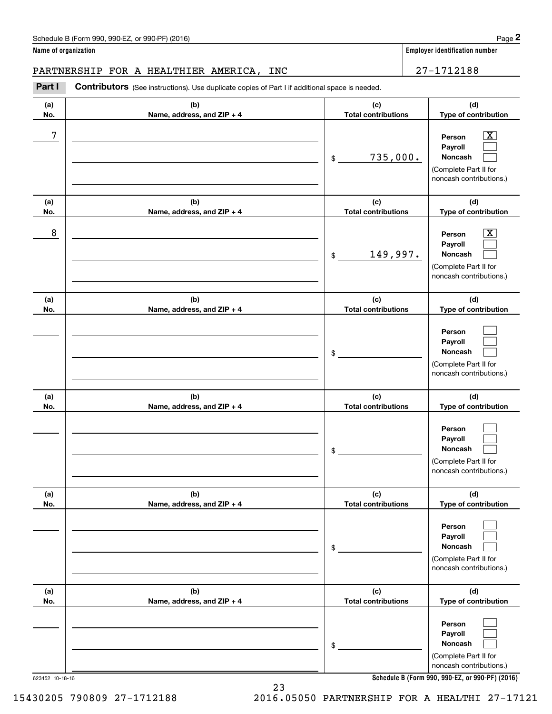**(a)No.**

**(a)No.**

**(a)No.**

**(a) No.**

**(a) No.**

**(a) No.**

Chedule B (Form 990, 990-EZ, or 990-PF) (2016)<br>**2Part I 27–1712188**<br>**PARTNERSHIP FOR A HEALTHIER AMERICA, INC** 27–1712188 PARTNERSHIP FOR A HEALTHIER AMERICA, INC  $\vert$  27-1712188

> **(b)Name, address, and ZIP + 4**

Contributors (See instructions). Use duplicate copies of Part I if additional space is needed.

7 X

8 X

**(b)Name, address, and ZIP + 4**

**(b)Name, address, and ZIP + 4**

**(b) Name, address, and ZIP + 4**

**(b) Name, address, and ZIP + 4**

**(b)Name, address, and ZIP + 4** **Person** $\mathcal{L}^{\text{max}}$ 

> $\mathcal{L}^{\text{max}}$  $\mathcal{L}^{\text{max}}$

> $\mathcal{L}^{\text{max}}$  $\mathcal{L}^{\text{max}}$  $\mathcal{L}^{\text{max}}$

| Schedule B (Form 990, 990-EZ, or 990-PF) |  |
|------------------------------------------|--|

23

\$

623452 10-18-16

**Schedule B (Form 990, 990-EZ, or 990-PF) (2016)**

|  | וגי |
|--|-----|
|  |     |

 $|X|$  $\mathcal{L}^{\text{max}}$  $\mathcal{L}^{\text{max}}$ 

 $\boxed{\text{X}}$  $\mathcal{L}^{\text{max}}$  $\mathcal{L}^{\text{max}}$ 

 $\mathcal{L}^{\text{max}}$  $\mathcal{L}^{\text{max}}$  $\mathcal{L}^{\text{max}}$ 

 $\mathcal{L}^{\text{max}}$  $\mathcal{L}^{\text{max}}$  $\mathcal{L}^{\text{max}}$ 

**(d)Type of contribution**

**(d)Type of contribution**

(Complete Part II for noncash contributions.)

> **(d)Type of contribution**

(Complete Part II for noncash contributions.)

**(d) Type of contribution**

**(d) Type of contribution**

(Complete Part II for noncash contributions.)

**(d)Type of contribution**

**Name of organization Employer identification number**

**PersonPayrollNoncash**

**PersonPayrollNoncash**

**PersonPayrollNoncash**

(Complete Part II for noncash contributions.)

> **PersonPayrollNoncash**

**PayrollNoncash**

(Complete Part II for noncash contributions.)

> **PersonPayrollNoncash**

(Complete Part II for noncash contributions.)

**(c)Total contributions**

**(c)Total contributions**

735,000.

149,997.

\$

\$

\$

\$

\$

**(c)Total contributions**

**(c) Total contributions**

**(c) Total contributions**

**(c) Total contributions**

|  | 15430205 790809 27-1712188 |
|--|----------------------------|
|  |                            |

15430205 790809 27-1712188 2016.05050 PARTNERSHIP FOR A HEALTHI 27-17121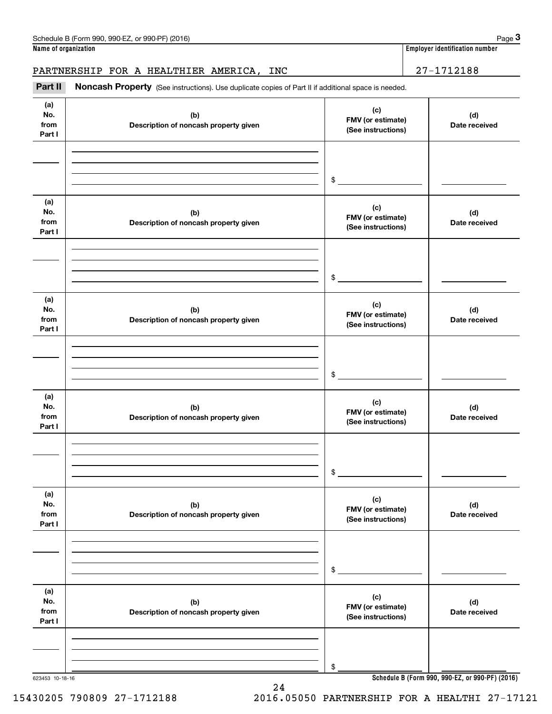## PARTNERSHIP FOR A HEALTHIER AMERICA, INC 27-1712188

Chedule B (Form 990, 990-EZ, or 990-PF) (2016)<br> **3 ame of organization**<br> **37-1712188**<br> **Part II if additional space is needed.** 

| (a)<br>No.<br>from<br>Part I | (b)<br>Description of noncash property given | (c)<br>FMV (or estimate)<br>(See instructions) | (d)<br>Date received                            |
|------------------------------|----------------------------------------------|------------------------------------------------|-------------------------------------------------|
|                              |                                              |                                                |                                                 |
|                              |                                              |                                                |                                                 |
|                              |                                              | $\frac{1}{2}$                                  |                                                 |
| (a)<br>No.<br>from<br>Part I | (b)<br>Description of noncash property given | (c)<br>FMV (or estimate)<br>(See instructions) | (d)<br>Date received                            |
|                              |                                              |                                                |                                                 |
|                              |                                              |                                                |                                                 |
|                              |                                              | $\frac{1}{2}$                                  |                                                 |
| (a)<br>No.<br>from<br>Part I | (b)<br>Description of noncash property given | (c)<br>FMV (or estimate)<br>(See instructions) | (d)<br>Date received                            |
|                              |                                              |                                                |                                                 |
|                              |                                              |                                                |                                                 |
|                              |                                              | $\frac{1}{2}$                                  |                                                 |
| (a)                          |                                              |                                                |                                                 |
| No.<br>from<br>Part I        | (b)<br>Description of noncash property given | (c)<br>FMV (or estimate)<br>(See instructions) | (d)<br>Date received                            |
|                              |                                              |                                                |                                                 |
|                              |                                              |                                                |                                                 |
|                              |                                              | $$\circ$$                                      |                                                 |
| (a)<br>No.<br>from<br>Part I | (b)<br>Description of noncash property given | (c)<br>FMV (or estimate)<br>(See instructions) | (d)<br>Date received                            |
|                              |                                              |                                                |                                                 |
|                              |                                              |                                                |                                                 |
|                              |                                              | \$                                             |                                                 |
| (a)                          |                                              |                                                |                                                 |
| No.<br>from<br>Part I        | (b)<br>Description of noncash property given | (c)<br>FMV (or estimate)<br>(See instructions) | (d)<br>Date received                            |
|                              |                                              |                                                |                                                 |
|                              |                                              |                                                |                                                 |
| 623453 10-18-16              |                                              | \$                                             | Schedule B (Form 990, 990-EZ, or 990-PF) (2016) |

24

**Schedule B (Form 990, 990-EZ, or 990-PF) (2016)**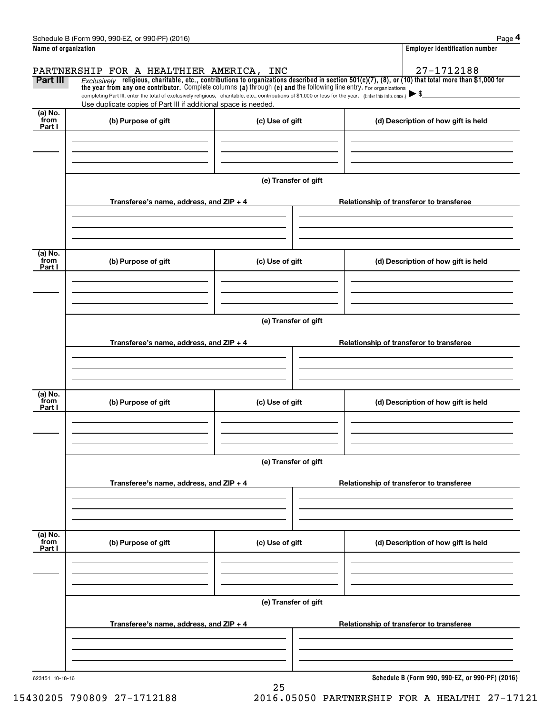|                           | Schedule B (Form 990, 990-EZ, or 990-PF) (2016)                                                                                                                                                                                                                                 |                      |  | Page 4                                          |  |  |  |  |  |  |
|---------------------------|---------------------------------------------------------------------------------------------------------------------------------------------------------------------------------------------------------------------------------------------------------------------------------|----------------------|--|-------------------------------------------------|--|--|--|--|--|--|
| Name of organization      |                                                                                                                                                                                                                                                                                 |                      |  | <b>Employer identification number</b>           |  |  |  |  |  |  |
|                           | PARTNERSHIP FOR A HEALTHIER AMERICA, INC                                                                                                                                                                                                                                        |                      |  | 27-1712188                                      |  |  |  |  |  |  |
| <b>Part III</b>           | Exclusively religious, charitable, etc., contributions to organizations described in section $501(c)(7)$ , (8), or (10) that total more than \$1,000 for<br>the year from any one contributor. Complete columns (a) through (e) and the following line entry. For organizations |                      |  |                                                 |  |  |  |  |  |  |
|                           | completing Part III, enter the total of exclusively religious, charitable, etc., contributions of \$1,000 or less for the year. (Enter this info. once.)<br>Use duplicate copies of Part III if additional space is needed.                                                     |                      |  |                                                 |  |  |  |  |  |  |
| (a) No.                   |                                                                                                                                                                                                                                                                                 |                      |  |                                                 |  |  |  |  |  |  |
| from<br>Part I            | (b) Purpose of gift                                                                                                                                                                                                                                                             | (c) Use of gift      |  | (d) Description of how gift is held             |  |  |  |  |  |  |
|                           |                                                                                                                                                                                                                                                                                 |                      |  |                                                 |  |  |  |  |  |  |
|                           |                                                                                                                                                                                                                                                                                 |                      |  |                                                 |  |  |  |  |  |  |
|                           |                                                                                                                                                                                                                                                                                 |                      |  |                                                 |  |  |  |  |  |  |
|                           |                                                                                                                                                                                                                                                                                 | (e) Transfer of gift |  |                                                 |  |  |  |  |  |  |
|                           | Transferee's name, address, and $ZIP + 4$                                                                                                                                                                                                                                       |                      |  | Relationship of transferor to transferee        |  |  |  |  |  |  |
|                           |                                                                                                                                                                                                                                                                                 |                      |  |                                                 |  |  |  |  |  |  |
|                           |                                                                                                                                                                                                                                                                                 |                      |  |                                                 |  |  |  |  |  |  |
| (a) No.                   |                                                                                                                                                                                                                                                                                 |                      |  |                                                 |  |  |  |  |  |  |
| from<br>Part I            | (b) Purpose of gift                                                                                                                                                                                                                                                             | (c) Use of gift      |  | (d) Description of how gift is held             |  |  |  |  |  |  |
|                           |                                                                                                                                                                                                                                                                                 |                      |  |                                                 |  |  |  |  |  |  |
|                           |                                                                                                                                                                                                                                                                                 |                      |  |                                                 |  |  |  |  |  |  |
|                           |                                                                                                                                                                                                                                                                                 |                      |  |                                                 |  |  |  |  |  |  |
|                           | (e) Transfer of gift                                                                                                                                                                                                                                                            |                      |  |                                                 |  |  |  |  |  |  |
|                           | Transferee's name, address, and ZIP + 4                                                                                                                                                                                                                                         |                      |  | Relationship of transferor to transferee        |  |  |  |  |  |  |
|                           |                                                                                                                                                                                                                                                                                 |                      |  |                                                 |  |  |  |  |  |  |
|                           |                                                                                                                                                                                                                                                                                 |                      |  |                                                 |  |  |  |  |  |  |
|                           |                                                                                                                                                                                                                                                                                 |                      |  |                                                 |  |  |  |  |  |  |
| (a) No.<br>from<br>Part I | (b) Purpose of gift                                                                                                                                                                                                                                                             | (c) Use of gift      |  | (d) Description of how gift is held             |  |  |  |  |  |  |
|                           |                                                                                                                                                                                                                                                                                 |                      |  |                                                 |  |  |  |  |  |  |
|                           |                                                                                                                                                                                                                                                                                 |                      |  |                                                 |  |  |  |  |  |  |
|                           |                                                                                                                                                                                                                                                                                 |                      |  |                                                 |  |  |  |  |  |  |
|                           |                                                                                                                                                                                                                                                                                 | (e) Transfer of gift |  |                                                 |  |  |  |  |  |  |
|                           | Transferee's name, address, and ZIP + 4                                                                                                                                                                                                                                         |                      |  | Relationship of transferor to transferee        |  |  |  |  |  |  |
|                           |                                                                                                                                                                                                                                                                                 |                      |  |                                                 |  |  |  |  |  |  |
|                           |                                                                                                                                                                                                                                                                                 |                      |  |                                                 |  |  |  |  |  |  |
|                           |                                                                                                                                                                                                                                                                                 |                      |  |                                                 |  |  |  |  |  |  |
| (a) No.<br>from<br>Part I | (b) Purpose of gift                                                                                                                                                                                                                                                             | (c) Use of gift      |  | (d) Description of how gift is held             |  |  |  |  |  |  |
|                           |                                                                                                                                                                                                                                                                                 |                      |  |                                                 |  |  |  |  |  |  |
|                           |                                                                                                                                                                                                                                                                                 |                      |  |                                                 |  |  |  |  |  |  |
|                           |                                                                                                                                                                                                                                                                                 |                      |  |                                                 |  |  |  |  |  |  |
|                           |                                                                                                                                                                                                                                                                                 | (e) Transfer of gift |  |                                                 |  |  |  |  |  |  |
|                           | Transferee's name, address, and ZIP + 4                                                                                                                                                                                                                                         |                      |  | Relationship of transferor to transferee        |  |  |  |  |  |  |
|                           |                                                                                                                                                                                                                                                                                 |                      |  |                                                 |  |  |  |  |  |  |
|                           |                                                                                                                                                                                                                                                                                 |                      |  |                                                 |  |  |  |  |  |  |
|                           |                                                                                                                                                                                                                                                                                 |                      |  |                                                 |  |  |  |  |  |  |
| 623454 10-18-16           |                                                                                                                                                                                                                                                                                 |                      |  | Schedule B (Form 990, 990-EZ, or 990-PF) (2016) |  |  |  |  |  |  |

15430205 790809 27-1712188 2016.05050 PARTNERSHIP FOR A HEALTHI 27-17121

**Schedule B (Form 990, 990-EZ, or 990-PF) (2016)**

25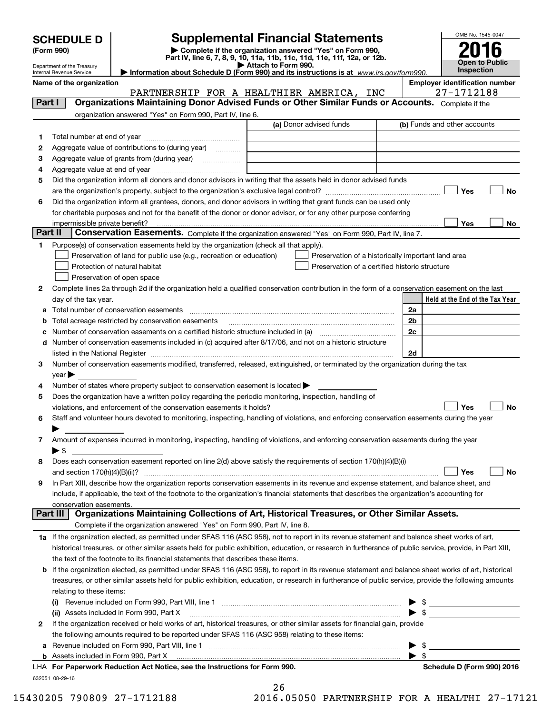# **SCHEDULE D Supplemental Financial Statements**<br> **Supplemental Financial Statements**<br> **P** Complete if the organization answered "Yes" on Form 990,

**(Form 990)** (**Form 990,**<br>Part IV, line 6, 7, 8, 9, 10, 11a, 11b, 11c, 11d, 11e, 11f, 12a, or 12b.<br>Department of the Treasury



|          | Department of the Treasury<br>Internal Revenue Service                                                                                                                                                                        | Attach to Form 990.<br>Information about Schedule D (Form 990) and its instructions is at www.irs.gov/form990. |              | Open to Public<br><b>Inspection</b>   |  |
|----------|-------------------------------------------------------------------------------------------------------------------------------------------------------------------------------------------------------------------------------|----------------------------------------------------------------------------------------------------------------|--------------|---------------------------------------|--|
|          | Name of the organization                                                                                                                                                                                                      |                                                                                                                |              | <b>Employer identification number</b> |  |
|          |                                                                                                                                                                                                                               | PARTNERSHIP FOR A HEALTHIER AMERICA, INC                                                                       |              | 27-1712188                            |  |
| Part I   | Organizations Maintaining Donor Advised Funds or Other Similar Funds or Accounts. Complete if the                                                                                                                             |                                                                                                                |              |                                       |  |
|          | organization answered "Yes" on Form 990, Part IV, line 6.                                                                                                                                                                     |                                                                                                                |              |                                       |  |
|          |                                                                                                                                                                                                                               | (a) Donor advised funds                                                                                        |              | (b) Funds and other accounts          |  |
| 1.       |                                                                                                                                                                                                                               |                                                                                                                |              |                                       |  |
| 2        | Aggregate value of contributions to (during year)                                                                                                                                                                             |                                                                                                                |              |                                       |  |
| з        | Aggregate value of grants from (during year)                                                                                                                                                                                  |                                                                                                                |              |                                       |  |
| 4        |                                                                                                                                                                                                                               |                                                                                                                |              |                                       |  |
| 5        | Did the organization inform all donors and donor advisors in writing that the assets held in donor advised funds                                                                                                              |                                                                                                                |              |                                       |  |
|          |                                                                                                                                                                                                                               |                                                                                                                |              | Yes<br>No                             |  |
| 6        | Did the organization inform all grantees, donors, and donor advisors in writing that grant funds can be used only                                                                                                             |                                                                                                                |              |                                       |  |
|          | for charitable purposes and not for the benefit of the donor or donor advisor, or for any other purpose conferring                                                                                                            |                                                                                                                |              |                                       |  |
|          | impermissible private benefit?                                                                                                                                                                                                |                                                                                                                |              | Yes<br>No                             |  |
| Part II  | Conservation Easements. Complete if the organization answered "Yes" on Form 990, Part IV, line 7.                                                                                                                             |                                                                                                                |              |                                       |  |
| 1.       | Purpose(s) of conservation easements held by the organization (check all that apply).                                                                                                                                         |                                                                                                                |              |                                       |  |
|          | Preservation of land for public use (e.g., recreation or education)                                                                                                                                                           | Preservation of a historically important land area                                                             |              |                                       |  |
|          | Protection of natural habitat                                                                                                                                                                                                 | Preservation of a certified historic structure                                                                 |              |                                       |  |
|          | Preservation of open space                                                                                                                                                                                                    |                                                                                                                |              |                                       |  |
| 2        | Complete lines 2a through 2d if the organization held a qualified conservation contribution in the form of a conservation easement on the last                                                                                |                                                                                                                |              |                                       |  |
|          | day of the tax year.                                                                                                                                                                                                          |                                                                                                                |              | Held at the End of the Tax Year       |  |
| а        | Total number of conservation easements                                                                                                                                                                                        |                                                                                                                | 2a           |                                       |  |
| b        | Total acreage restricted by conservation easements                                                                                                                                                                            |                                                                                                                | 2b           |                                       |  |
| с        |                                                                                                                                                                                                                               |                                                                                                                | 2c           |                                       |  |
| d        | Number of conservation easements included in (c) acquired after 8/17/06, and not on a historic structure                                                                                                                      |                                                                                                                |              |                                       |  |
|          | listed in the National Register [111] Marshall Register [11] Marshall Register [11] Marshall Register [11] Marshall Register [11] Marshall Register [11] Marshall Register [11] Marshall Register [11] Marshall Register [11] |                                                                                                                | 2d           |                                       |  |
| 3.       | Number of conservation easements modified, transferred, released, extinguished, or terminated by the organization during the tax                                                                                              |                                                                                                                |              |                                       |  |
|          | $year \blacktriangleright$                                                                                                                                                                                                    |                                                                                                                |              |                                       |  |
| 4        | Number of states where property subject to conservation easement is located                                                                                                                                                   |                                                                                                                |              |                                       |  |
| 5        | Does the organization have a written policy regarding the periodic monitoring, inspection, handling of                                                                                                                        |                                                                                                                |              |                                       |  |
|          | violations, and enforcement of the conservation easements it holds?                                                                                                                                                           |                                                                                                                |              | No<br>Yes                             |  |
| 6        | Staff and volunteer hours devoted to monitoring, inspecting, handling of violations, and enforcing conservation easements during the year                                                                                     |                                                                                                                |              |                                       |  |
|          |                                                                                                                                                                                                                               |                                                                                                                |              |                                       |  |
| 7        | Amount of expenses incurred in monitoring, inspecting, handling of violations, and enforcing conservation easements during the year                                                                                           |                                                                                                                |              |                                       |  |
|          | $\blacktriangleright$ \$                                                                                                                                                                                                      |                                                                                                                |              |                                       |  |
| 8        | Does each conservation easement reported on line 2(d) above satisfy the requirements of section 170(h)(4)(B)(i)                                                                                                               |                                                                                                                |              |                                       |  |
|          | and section $170(h)(4)(B)(ii)?$                                                                                                                                                                                               |                                                                                                                |              | Yes<br>No                             |  |
| 9        | In Part XIII, describe how the organization reports conservation easements in its revenue and expense statement, and balance sheet, and                                                                                       |                                                                                                                |              |                                       |  |
|          | include, if applicable, the text of the footnote to the organization's financial statements that describes the organization's accounting for                                                                                  |                                                                                                                |              |                                       |  |
| Part III | conservation easements.<br>Organizations Maintaining Collections of Art, Historical Treasures, or Other Similar Assets.                                                                                                       |                                                                                                                |              |                                       |  |
|          |                                                                                                                                                                                                                               |                                                                                                                |              |                                       |  |
|          | Complete if the organization answered "Yes" on Form 990, Part IV, line 8.                                                                                                                                                     |                                                                                                                |              |                                       |  |
|          | 1a If the organization elected, as permitted under SFAS 116 (ASC 958), not to report in its revenue statement and balance sheet works of art,                                                                                 |                                                                                                                |              |                                       |  |
|          | historical treasures, or other similar assets held for public exhibition, education, or research in furtherance of public service, provide, in Part XIII,                                                                     |                                                                                                                |              |                                       |  |
|          | the text of the footnote to its financial statements that describes these items.                                                                                                                                              |                                                                                                                |              |                                       |  |
| b        | If the organization elected, as permitted under SFAS 116 (ASC 958), to report in its revenue statement and balance sheet works of art, historical                                                                             |                                                                                                                |              |                                       |  |
|          | treasures, or other similar assets held for public exhibition, education, or research in furtherance of public service, provide the following amounts                                                                         |                                                                                                                |              |                                       |  |
|          | relating to these items:                                                                                                                                                                                                      |                                                                                                                |              |                                       |  |
|          | (i)                                                                                                                                                                                                                           |                                                                                                                | \$           |                                       |  |
|          | (ii) Assets included in Form 990, Part X                                                                                                                                                                                      |                                                                                                                | $\mathbb{S}$ |                                       |  |
| 2        | If the organization received or held works of art, historical treasures, or other similar assets for financial gain, provide                                                                                                  |                                                                                                                |              |                                       |  |
|          | the following amounts required to be reported under SFAS 116 (ASC 958) relating to these items:                                                                                                                               |                                                                                                                |              |                                       |  |
|          | Revenue included on Form 990, Part VIII, line 1 [2000] [2000] [2000] [2000] [3000] [3000] [3000] [3000] [3000                                                                                                                 |                                                                                                                | \$           |                                       |  |

**b** Assets included in Form 990, Part X

26

 $\blacktriangleright$  \$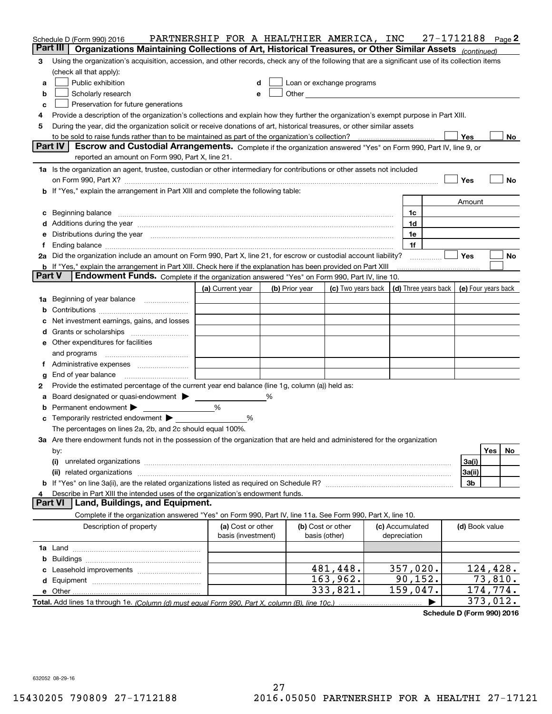|               | Schedule D (Form 990) 2016                                                                                                                                                                                                     | PARTNERSHIP FOR A HEALTHIER AMERICA, INC |   |                |                                                                                                                                                                                                                               |                 | 27-1712188 |                | Page 2    |
|---------------|--------------------------------------------------------------------------------------------------------------------------------------------------------------------------------------------------------------------------------|------------------------------------------|---|----------------|-------------------------------------------------------------------------------------------------------------------------------------------------------------------------------------------------------------------------------|-----------------|------------|----------------|-----------|
|               | Part III<br>Organizations Maintaining Collections of Art, Historical Treasures, or Other Similar Assets (continued)                                                                                                            |                                          |   |                |                                                                                                                                                                                                                               |                 |            |                |           |
| 3             | Using the organization's acquisition, accession, and other records, check any of the following that are a significant use of its collection items                                                                              |                                          |   |                |                                                                                                                                                                                                                               |                 |            |                |           |
|               | (check all that apply):                                                                                                                                                                                                        |                                          |   |                |                                                                                                                                                                                                                               |                 |            |                |           |
| а             | Public exhibition                                                                                                                                                                                                              | d                                        |   |                | Loan or exchange programs                                                                                                                                                                                                     |                 |            |                |           |
| b             | Scholarly research                                                                                                                                                                                                             | e                                        |   |                | Other and the contract of the contract of the contract of the contract of the contract of the contract of the contract of the contract of the contract of the contract of the contract of the contract of the contract of the |                 |            |                |           |
| c             | Preservation for future generations                                                                                                                                                                                            |                                          |   |                |                                                                                                                                                                                                                               |                 |            |                |           |
| 4             | Provide a description of the organization's collections and explain how they further the organization's exempt purpose in Part XIII.                                                                                           |                                          |   |                |                                                                                                                                                                                                                               |                 |            |                |           |
| 5             | During the year, did the organization solicit or receive donations of art, historical treasures, or other similar assets                                                                                                       |                                          |   |                |                                                                                                                                                                                                                               |                 |            |                |           |
|               |                                                                                                                                                                                                                                |                                          |   |                |                                                                                                                                                                                                                               |                 |            | Yes            | No        |
|               | Part IV<br>Escrow and Custodial Arrangements. Complete if the organization answered "Yes" on Form 990, Part IV, line 9, or                                                                                                     |                                          |   |                |                                                                                                                                                                                                                               |                 |            |                |           |
|               | reported an amount on Form 990, Part X, line 21.                                                                                                                                                                               |                                          |   |                |                                                                                                                                                                                                                               |                 |            |                |           |
|               | 1a Is the organization an agent, trustee, custodian or other intermediary for contributions or other assets not included                                                                                                       |                                          |   |                |                                                                                                                                                                                                                               |                 |            |                |           |
|               |                                                                                                                                                                                                                                |                                          |   |                |                                                                                                                                                                                                                               |                 |            | Yes            | No        |
|               | <b>b</b> If "Yes," explain the arrangement in Part XIII and complete the following table:                                                                                                                                      |                                          |   |                |                                                                                                                                                                                                                               |                 |            |                |           |
|               |                                                                                                                                                                                                                                |                                          |   |                |                                                                                                                                                                                                                               |                 |            | Amount         |           |
|               | c Beginning balance measurements and the contract of the contract of the contract of the contract of the contract of the contract of the contract of the contract of the contract of the contract of the contract of the contr |                                          |   |                |                                                                                                                                                                                                                               | 1c              |            |                |           |
|               |                                                                                                                                                                                                                                |                                          |   |                |                                                                                                                                                                                                                               | 1d              |            |                |           |
|               | e Distributions during the year manufactured and continuum and contact the year manufactured and contact the year manufactured and contact the year manufactured and contact the year manufactured and contact the year manufa |                                          |   |                |                                                                                                                                                                                                                               | 1e              |            |                |           |
|               |                                                                                                                                                                                                                                |                                          |   |                |                                                                                                                                                                                                                               | 1f              |            | Yes            | No        |
|               | 2a Did the organization include an amount on Form 990, Part X, line 21, for escrow or custodial account liability?                                                                                                             |                                          |   |                |                                                                                                                                                                                                                               |                 |            |                |           |
| <b>Part V</b> | <b>b</b> If "Yes," explain the arrangement in Part XIII. Check here if the explanation has been provided on Part XIII<br>Endowment Funds. Complete if the organization answered "Yes" on Form 990, Part IV, line 10.           |                                          |   |                |                                                                                                                                                                                                                               |                 |            |                |           |
|               |                                                                                                                                                                                                                                | (a) Current year                         |   | (b) Prior year | (c) Two years back   (d) Three years back   (e) Four years back                                                                                                                                                               |                 |            |                |           |
|               | 1a Beginning of year balance                                                                                                                                                                                                   |                                          |   |                |                                                                                                                                                                                                                               |                 |            |                |           |
| b             |                                                                                                                                                                                                                                |                                          |   |                |                                                                                                                                                                                                                               |                 |            |                |           |
| c             | Net investment earnings, gains, and losses                                                                                                                                                                                     |                                          |   |                |                                                                                                                                                                                                                               |                 |            |                |           |
|               |                                                                                                                                                                                                                                |                                          |   |                |                                                                                                                                                                                                                               |                 |            |                |           |
|               | e Other expenditures for facilities                                                                                                                                                                                            |                                          |   |                |                                                                                                                                                                                                                               |                 |            |                |           |
|               |                                                                                                                                                                                                                                |                                          |   |                |                                                                                                                                                                                                                               |                 |            |                |           |
|               |                                                                                                                                                                                                                                |                                          |   |                |                                                                                                                                                                                                                               |                 |            |                |           |
| g             | End of year balance                                                                                                                                                                                                            |                                          |   |                |                                                                                                                                                                                                                               |                 |            |                |           |
| 2             | Provide the estimated percentage of the current year end balance (line 1g, column (a)) held as:                                                                                                                                |                                          |   |                |                                                                                                                                                                                                                               |                 |            |                |           |
| а             | Board designated or quasi-endowment > ______                                                                                                                                                                                   |                                          | % |                |                                                                                                                                                                                                                               |                 |            |                |           |
|               | <b>b</b> Permanent endowment $\blacktriangleright$                                                                                                                                                                             | %                                        |   |                |                                                                                                                                                                                                                               |                 |            |                |           |
|               | <b>c</b> Temporarily restricted endowment $\blacktriangleright$                                                                                                                                                                | %                                        |   |                |                                                                                                                                                                                                                               |                 |            |                |           |
|               | The percentages on lines 2a, 2b, and 2c should equal 100%.                                                                                                                                                                     |                                          |   |                |                                                                                                                                                                                                                               |                 |            |                |           |
|               | 3a Are there endowment funds not in the possession of the organization that are held and administered for the organization                                                                                                     |                                          |   |                |                                                                                                                                                                                                                               |                 |            |                |           |
|               | by:                                                                                                                                                                                                                            |                                          |   |                |                                                                                                                                                                                                                               |                 |            |                | Yes<br>No |
|               | (i)                                                                                                                                                                                                                            |                                          |   |                |                                                                                                                                                                                                                               |                 |            | 3a(i)          |           |
|               |                                                                                                                                                                                                                                |                                          |   |                |                                                                                                                                                                                                                               |                 |            | 3a(ii)         |           |
|               |                                                                                                                                                                                                                                |                                          |   |                |                                                                                                                                                                                                                               |                 |            | 3b             |           |
| 4             | Describe in Part XIII the intended uses of the organization's endowment funds.                                                                                                                                                 |                                          |   |                |                                                                                                                                                                                                                               |                 |            |                |           |
|               | Land, Buildings, and Equipment.<br><b>Part VI</b>                                                                                                                                                                              |                                          |   |                |                                                                                                                                                                                                                               |                 |            |                |           |
|               | Complete if the organization answered "Yes" on Form 990, Part IV, line 11a. See Form 990, Part X, line 10.                                                                                                                     |                                          |   |                |                                                                                                                                                                                                                               |                 |            |                |           |
|               | Description of property                                                                                                                                                                                                        | (a) Cost or other                        |   |                | (b) Cost or other                                                                                                                                                                                                             | (c) Accumulated |            | (d) Book value |           |
|               |                                                                                                                                                                                                                                | basis (investment)                       |   |                | basis (other)                                                                                                                                                                                                                 | depreciation    |            |                |           |
|               |                                                                                                                                                                                                                                |                                          |   |                |                                                                                                                                                                                                                               |                 |            |                |           |
|               |                                                                                                                                                                                                                                |                                          |   |                |                                                                                                                                                                                                                               |                 |            |                |           |
|               |                                                                                                                                                                                                                                |                                          |   |                | 481,448.                                                                                                                                                                                                                      | 357,020.        |            |                | 124,428.  |
|               |                                                                                                                                                                                                                                |                                          |   |                | 163,962.                                                                                                                                                                                                                      | 90, 152.        |            |                | 73,810.   |
|               |                                                                                                                                                                                                                                |                                          |   |                | 333,821.                                                                                                                                                                                                                      | 159,047.        |            |                | 174,774.  |
|               |                                                                                                                                                                                                                                |                                          |   |                |                                                                                                                                                                                                                               |                 |            |                | 373,012.  |

**Schedule D (Form 990) 2016**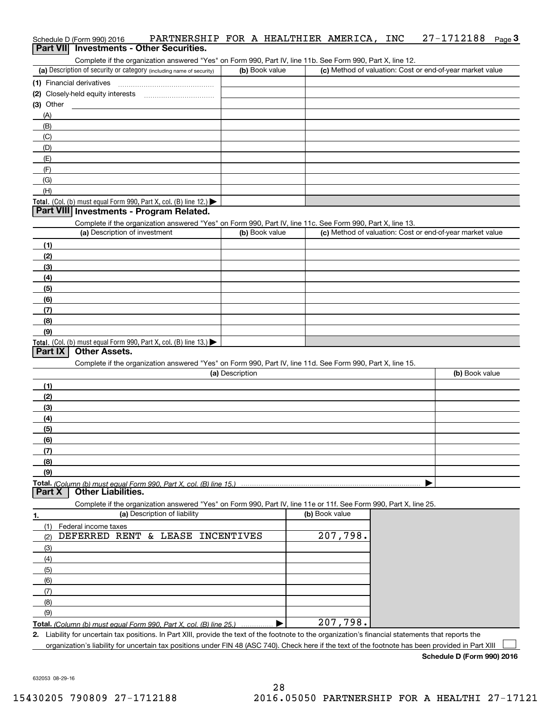| Schedule D (Form 990) 2016 |  |                                          |  |  | PARTNERSHIP FOR A HEALTHIER AMERICA, INC 27-1712188 Page 3 |  |
|----------------------------|--|------------------------------------------|--|--|------------------------------------------------------------|--|
|                            |  | Part VII Investments - Other Securities. |  |  |                                                            |  |

Complete if the organization answered "Yes" on Form 990, Part IV, line 11b. See Form 990, Part X, line 12.

| (a) Description of security or category (including name of security)                   | (b) Book value | (c) Method of valuation: Cost or end-of-year market value |
|----------------------------------------------------------------------------------------|----------------|-----------------------------------------------------------|
| (1) Financial derivatives                                                              |                |                                                           |
| (2) Closely-held equity interests                                                      |                |                                                           |
| $(3)$ Other                                                                            |                |                                                           |
| (A)                                                                                    |                |                                                           |
| (B)                                                                                    |                |                                                           |
| (C)                                                                                    |                |                                                           |
| (D)                                                                                    |                |                                                           |
| (E)                                                                                    |                |                                                           |
| (F)                                                                                    |                |                                                           |
| (G)                                                                                    |                |                                                           |
| (H)                                                                                    |                |                                                           |
| Total. (Col. (b) must equal Form 990, Part X, col. (B) line 12.) $\blacktriangleright$ |                |                                                           |

#### **Part VIII Investments - Program Related.**

Complete if the organization answered "Yes" on Form 990, Part IV, line 11c. See Form 990, Part X, line 13.

| (a) Description of investment                                                                 | (b) Book value | (c) Method of valuation: Cost or end-of-year market value |
|-----------------------------------------------------------------------------------------------|----------------|-----------------------------------------------------------|
| (1)                                                                                           |                |                                                           |
| (2)                                                                                           |                |                                                           |
| $\frac{1}{2}$                                                                                 |                |                                                           |
| (4)                                                                                           |                |                                                           |
| $\left(5\right)$                                                                              |                |                                                           |
| (6)                                                                                           |                |                                                           |
| (7)                                                                                           |                |                                                           |
| (8)                                                                                           |                |                                                           |
| (9)                                                                                           |                |                                                           |
| <b>Total.</b> (Col. (b) must equal Form 990, Part X, col. (B) line 13.) $\blacktriangleright$ |                |                                                           |

#### **Part IX Other Assets.**

Complete if the organization answered "Yes" on Form 990, Part IV, line 11d. See Form 990, Part X, line 15.

| (a) Description                                                                                       | (b) Book value |
|-------------------------------------------------------------------------------------------------------|----------------|
| (1)                                                                                                   |                |
| (2)                                                                                                   |                |
| $\frac{1}{2}$                                                                                         |                |
| (4)                                                                                                   |                |
| $\frac{1}{2}$                                                                                         |                |
| (6)                                                                                                   |                |
| (7)                                                                                                   |                |
| (8)                                                                                                   |                |
| (9)                                                                                                   |                |
| Total. (Column (b) must equal Form 990, Part X, col. (B) line 15.) …………………………………………………………………………………… ▶ |                |

**Part X Other Liabilities.**

Complete if the organization answered "Yes" on Form 990, Part IV, line 11e or 11f. See Form 990, Part X, line 25.

| 1.  | (a) Description of liability                                       | (b) Book value |
|-----|--------------------------------------------------------------------|----------------|
|     | Federal income taxes                                               |                |
| (2) | DEFERRED RENT & LEASE INCENTIVES                                   | 207,798.       |
| (3) |                                                                    |                |
| (4) |                                                                    |                |
| (5) |                                                                    |                |
| (6) |                                                                    |                |
|     |                                                                    |                |
| (8) |                                                                    |                |
| (9) |                                                                    |                |
|     | Total. (Column (b) must equal Form 990, Part X, col. (B) line 25.) | 207,798.       |

**2.** Liability for uncertain tax positions. In Part XIII, provide the text of the footnote to the organization's financial statements that reports the organization's liability for uncertain tax positions under FIN 48 (ASC 740). Check here if the text of the footnote has been provided in Part XIII

 $\mathcal{L}^{\text{max}}$ 

**Schedule D (Form 990) 2016**

632053 08-29-16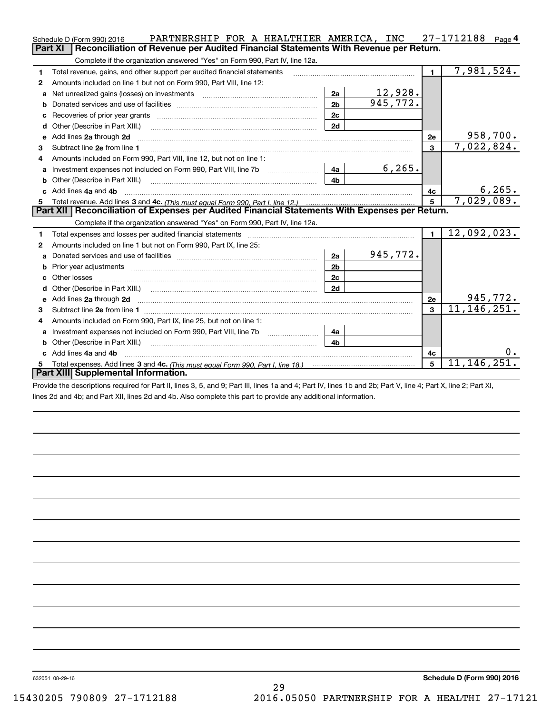|   | PARTNERSHIP FOR A HEALTHIER AMERICA, INC<br>Schedule D (Form 990) 2016                                                                                                                                                        |                |           |                | 27-1712188<br>Page 4      |  |  |  |  |
|---|-------------------------------------------------------------------------------------------------------------------------------------------------------------------------------------------------------------------------------|----------------|-----------|----------------|---------------------------|--|--|--|--|
|   | Reconciliation of Revenue per Audited Financial Statements With Revenue per Return.<br>Part XI                                                                                                                                |                |           |                |                           |  |  |  |  |
|   | Complete if the organization answered "Yes" on Form 990, Part IV, line 12a.                                                                                                                                                   |                |           |                |                           |  |  |  |  |
| 1 | Total revenue, gains, and other support per audited financial statements                                                                                                                                                      |                |           | $\blacksquare$ | 7,981,524.                |  |  |  |  |
| 2 | Amounts included on line 1 but not on Form 990, Part VIII, line 12:                                                                                                                                                           |                |           |                |                           |  |  |  |  |
| a | Net unrealized gains (losses) on investments [11] matter contracts and the unrealized gains (losses) on investments                                                                                                           | 12,928.<br>2a  |           |                |                           |  |  |  |  |
| b |                                                                                                                                                                                                                               | 2 <sub>b</sub> | 945, 772. |                |                           |  |  |  |  |
|   |                                                                                                                                                                                                                               | 2c             |           |                |                           |  |  |  |  |
| d |                                                                                                                                                                                                                               | 2d             |           |                |                           |  |  |  |  |
| e | Add lines 2a through 2d                                                                                                                                                                                                       |                |           | <b>2e</b>      | 958,700.                  |  |  |  |  |
| 3 |                                                                                                                                                                                                                               |                |           | $\mathbf{3}$   | $\overline{7,022,824}$ .  |  |  |  |  |
| 4 | Amounts included on Form 990, Part VIII, line 12, but not on line 1:                                                                                                                                                          |                |           |                |                           |  |  |  |  |
| a |                                                                                                                                                                                                                               |                | 6, 265.   |                |                           |  |  |  |  |
|   | Other (Describe in Part XIII.) <b>Construction Contract Construction</b>                                                                                                                                                      | 4 <sub>b</sub> |           |                |                           |  |  |  |  |
|   | c Add lines 4a and 4b                                                                                                                                                                                                         |                |           | 4c             | 6, 265.                   |  |  |  |  |
|   |                                                                                                                                                                                                                               |                | 5         | 7,029,089.     |                           |  |  |  |  |
|   |                                                                                                                                                                                                                               |                |           |                |                           |  |  |  |  |
|   | Part XII   Reconciliation of Expenses per Audited Financial Statements With Expenses per Return.                                                                                                                              |                |           |                |                           |  |  |  |  |
|   | Complete if the organization answered "Yes" on Form 990, Part IV, line 12a.                                                                                                                                                   |                |           |                |                           |  |  |  |  |
| 1 | Total expenses and losses per audited financial statements [11, 11] manuscription control expenses and losses per audited financial statements [11] manuscription of the statements [11] manuscription of the statements [11] |                |           | $\blacksquare$ | 12,092,023.               |  |  |  |  |
| 2 | Amounts included on line 1 but not on Form 990, Part IX, line 25:                                                                                                                                                             |                |           |                |                           |  |  |  |  |
| a |                                                                                                                                                                                                                               | 2a             | 945,772.  |                |                           |  |  |  |  |
| b |                                                                                                                                                                                                                               | 2 <sub>b</sub> |           |                |                           |  |  |  |  |
|   | Other losses                                                                                                                                                                                                                  | 2c             |           |                |                           |  |  |  |  |
| d |                                                                                                                                                                                                                               | 2d             |           |                |                           |  |  |  |  |
| e |                                                                                                                                                                                                                               |                |           | 2e             | 945,772.                  |  |  |  |  |
| з | Add lines 2a through 2d <b>must be a constructed as the constant of the constant of the constant of the construction</b>                                                                                                      |                |           | 3              | $\overline{11,146,251}$ . |  |  |  |  |
| 4 | Subtract line 2e from line 1 <b>manufacture in the contract of the 2e</b> from line 1<br>Amounts included on Form 990, Part IX, line 25, but not on line 1:                                                                   |                |           |                |                           |  |  |  |  |
| a | Investment expenses not included on Form 990, Part VIII, line 7b [1000000000000000000000000000000000                                                                                                                          | 4a             |           |                |                           |  |  |  |  |
|   | Other (Describe in Part XIII.)                                                                                                                                                                                                | 4 <sub>b</sub> |           |                |                           |  |  |  |  |
|   | Add lines 4a and 4b                                                                                                                                                                                                           |                |           | 4c             | 0.                        |  |  |  |  |
| 5 |                                                                                                                                                                                                                               |                |           | 5              | 11, 146, 251.             |  |  |  |  |
|   | Part XIII Supplemental Information.                                                                                                                                                                                           |                |           |                |                           |  |  |  |  |

Provide the descriptions required for Part II, lines 3, 5, and 9; Part III, lines 1a and 4; Part IV, lines 1b and 2b; Part V, line 4; Part X, line 2; Part XI, lines 2d and 4b; and Part XII, lines 2d and 4b. Also complete this part to provide any additional information.

632054 08-29-16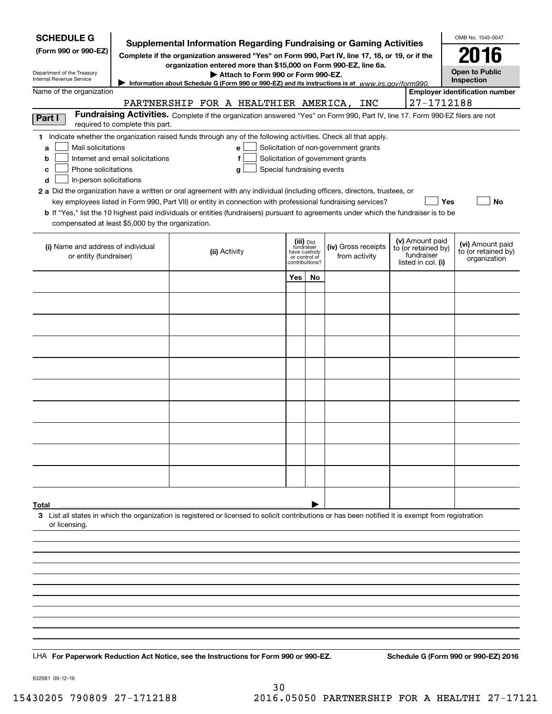| <b>SCHEDULE G</b><br><b>Supplemental Information Regarding Fundraising or Gaming Activities</b>                                                                                                                                                                                                                                                                                                                                                                                                                                                                                                                                                                                                                                                                                                                                     | OMB No. 1545-0047                                       |  |  |  |  |  |  |  |  |  |  |  |
|-------------------------------------------------------------------------------------------------------------------------------------------------------------------------------------------------------------------------------------------------------------------------------------------------------------------------------------------------------------------------------------------------------------------------------------------------------------------------------------------------------------------------------------------------------------------------------------------------------------------------------------------------------------------------------------------------------------------------------------------------------------------------------------------------------------------------------------|---------------------------------------------------------|--|--|--|--|--|--|--|--|--|--|--|
| (Form 990 or 990-EZ)<br>Complete if the organization answered "Yes" on Form 990, Part IV, line 17, 18, or 19, or if the                                                                                                                                                                                                                                                                                                                                                                                                                                                                                                                                                                                                                                                                                                             | 2016                                                    |  |  |  |  |  |  |  |  |  |  |  |
| organization entered more than \$15,000 on Form 990-EZ, line 6a.<br>Department of the Treasury<br>Attach to Form 990 or Form 990-EZ.                                                                                                                                                                                                                                                                                                                                                                                                                                                                                                                                                                                                                                                                                                | <b>Open to Public</b>                                   |  |  |  |  |  |  |  |  |  |  |  |
| Internal Revenue Service<br>Information about Schedule G (Form 990 or 990-EZ) and its instructions is at www.irs.gov/form990.                                                                                                                                                                                                                                                                                                                                                                                                                                                                                                                                                                                                                                                                                                       | Inspection                                              |  |  |  |  |  |  |  |  |  |  |  |
| Name of the organization<br>27-1712188<br>PARTNERSHIP FOR A HEALTHIER AMERICA, INC                                                                                                                                                                                                                                                                                                                                                                                                                                                                                                                                                                                                                                                                                                                                                  | <b>Employer identification number</b>                   |  |  |  |  |  |  |  |  |  |  |  |
| Fundraising Activities. Complete if the organization answered "Yes" on Form 990, Part IV, line 17. Form 990-EZ filers are not<br>Part I<br>required to complete this part.                                                                                                                                                                                                                                                                                                                                                                                                                                                                                                                                                                                                                                                          |                                                         |  |  |  |  |  |  |  |  |  |  |  |
| 1 Indicate whether the organization raised funds through any of the following activities. Check all that apply.<br>Mail solicitations<br>Solicitation of non-government grants<br>a<br>е<br>Solicitation of government grants<br>Internet and email solicitations<br>f<br>b<br>Phone solicitations<br>Special fundraising events<br>с<br>g<br>In-person solicitations<br>d<br>2 a Did the organization have a written or oral agreement with any individual (including officers, directors, trustees, or<br><b>Yes</b><br>key employees listed in Form 990, Part VII) or entity in connection with professional fundraising services?<br>b If "Yes," list the 10 highest paid individuals or entities (fundraisers) pursuant to agreements under which the fundraiser is to be<br>compensated at least \$5,000 by the organization. | <b>No</b>                                               |  |  |  |  |  |  |  |  |  |  |  |
| (v) Amount paid<br>(iii) Did<br>fundraiser<br>(iv) Gross receipts<br>(i) Name and address of individual<br>to (or retained by)<br>(ii) Activity<br>have custody<br>fundraiser<br>from activity<br>or entity (fundraiser)<br>or control of<br>listed in col. (i)<br>contributions?                                                                                                                                                                                                                                                                                                                                                                                                                                                                                                                                                   | (vi) Amount paid<br>to (or retained by)<br>organization |  |  |  |  |  |  |  |  |  |  |  |
| Yes<br>No                                                                                                                                                                                                                                                                                                                                                                                                                                                                                                                                                                                                                                                                                                                                                                                                                           |                                                         |  |  |  |  |  |  |  |  |  |  |  |
|                                                                                                                                                                                                                                                                                                                                                                                                                                                                                                                                                                                                                                                                                                                                                                                                                                     |                                                         |  |  |  |  |  |  |  |  |  |  |  |
|                                                                                                                                                                                                                                                                                                                                                                                                                                                                                                                                                                                                                                                                                                                                                                                                                                     |                                                         |  |  |  |  |  |  |  |  |  |  |  |
|                                                                                                                                                                                                                                                                                                                                                                                                                                                                                                                                                                                                                                                                                                                                                                                                                                     |                                                         |  |  |  |  |  |  |  |  |  |  |  |
|                                                                                                                                                                                                                                                                                                                                                                                                                                                                                                                                                                                                                                                                                                                                                                                                                                     |                                                         |  |  |  |  |  |  |  |  |  |  |  |
|                                                                                                                                                                                                                                                                                                                                                                                                                                                                                                                                                                                                                                                                                                                                                                                                                                     |                                                         |  |  |  |  |  |  |  |  |  |  |  |
|                                                                                                                                                                                                                                                                                                                                                                                                                                                                                                                                                                                                                                                                                                                                                                                                                                     |                                                         |  |  |  |  |  |  |  |  |  |  |  |
|                                                                                                                                                                                                                                                                                                                                                                                                                                                                                                                                                                                                                                                                                                                                                                                                                                     |                                                         |  |  |  |  |  |  |  |  |  |  |  |
|                                                                                                                                                                                                                                                                                                                                                                                                                                                                                                                                                                                                                                                                                                                                                                                                                                     |                                                         |  |  |  |  |  |  |  |  |  |  |  |
|                                                                                                                                                                                                                                                                                                                                                                                                                                                                                                                                                                                                                                                                                                                                                                                                                                     |                                                         |  |  |  |  |  |  |  |  |  |  |  |
|                                                                                                                                                                                                                                                                                                                                                                                                                                                                                                                                                                                                                                                                                                                                                                                                                                     |                                                         |  |  |  |  |  |  |  |  |  |  |  |
|                                                                                                                                                                                                                                                                                                                                                                                                                                                                                                                                                                                                                                                                                                                                                                                                                                     |                                                         |  |  |  |  |  |  |  |  |  |  |  |
| Total                                                                                                                                                                                                                                                                                                                                                                                                                                                                                                                                                                                                                                                                                                                                                                                                                               |                                                         |  |  |  |  |  |  |  |  |  |  |  |
| 3 List all states in which the organization is registered or licensed to solicit contributions or has been notified it is exempt from registration<br>or licensing.                                                                                                                                                                                                                                                                                                                                                                                                                                                                                                                                                                                                                                                                 |                                                         |  |  |  |  |  |  |  |  |  |  |  |
|                                                                                                                                                                                                                                                                                                                                                                                                                                                                                                                                                                                                                                                                                                                                                                                                                                     |                                                         |  |  |  |  |  |  |  |  |  |  |  |
|                                                                                                                                                                                                                                                                                                                                                                                                                                                                                                                                                                                                                                                                                                                                                                                                                                     |                                                         |  |  |  |  |  |  |  |  |  |  |  |
|                                                                                                                                                                                                                                                                                                                                                                                                                                                                                                                                                                                                                                                                                                                                                                                                                                     |                                                         |  |  |  |  |  |  |  |  |  |  |  |
|                                                                                                                                                                                                                                                                                                                                                                                                                                                                                                                                                                                                                                                                                                                                                                                                                                     |                                                         |  |  |  |  |  |  |  |  |  |  |  |
|                                                                                                                                                                                                                                                                                                                                                                                                                                                                                                                                                                                                                                                                                                                                                                                                                                     |                                                         |  |  |  |  |  |  |  |  |  |  |  |
|                                                                                                                                                                                                                                                                                                                                                                                                                                                                                                                                                                                                                                                                                                                                                                                                                                     |                                                         |  |  |  |  |  |  |  |  |  |  |  |
|                                                                                                                                                                                                                                                                                                                                                                                                                                                                                                                                                                                                                                                                                                                                                                                                                                     |                                                         |  |  |  |  |  |  |  |  |  |  |  |
| LHA For Paperwork Reduction Act Notice, see the Instructions for Form 990 or 990-EZ.                                                                                                                                                                                                                                                                                                                                                                                                                                                                                                                                                                                                                                                                                                                                                | Schedule G (Form 990 or 990-EZ) 2016                    |  |  |  |  |  |  |  |  |  |  |  |

632081 09-12-16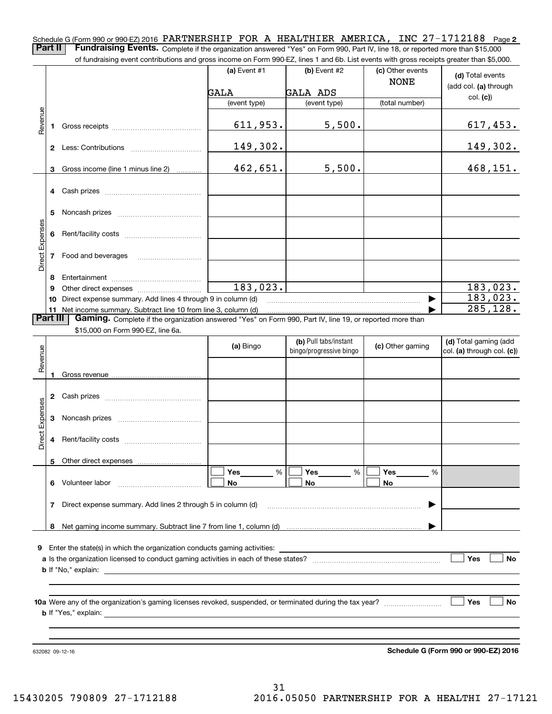Schedule G (Form 990 or 990-EZ) 2016 PARTNERSHIP FOR A HEALTHIER AMERICA, INC 27-1712188 <sub>Page</sub> 2 **Part II** | Fundraising Events. Complete if the organization answered "Yes" on Form 990, Part IV, line 18, or reported more than \$15,000

of fundraising event contributions and gross income on Form 990-EZ, lines 1 and 6b. List events with gross receipts greater than \$5,000.

|                 |    | OFfundralsing event contributions and gross income on Form 990-EZ, inles T and OD. Elst events with gross receipts greater than \$0,000. |                |                         |                                 |                                           |
|-----------------|----|------------------------------------------------------------------------------------------------------------------------------------------|----------------|-------------------------|---------------------------------|-------------------------------------------|
|                 |    |                                                                                                                                          | (a) Event $#1$ | $(b)$ Event #2          | (c) Other events<br><b>NONE</b> | (d) Total events<br>(add col. (a) through |
|                 |    |                                                                                                                                          | GALA           | <b>GALA ADS</b>         |                                 | col. (c)                                  |
|                 |    |                                                                                                                                          | (event type)   | (event type)            | (total number)                  |                                           |
| Revenue         | 1. |                                                                                                                                          | 611,953.       | 5,500.                  |                                 | 617,453.                                  |
|                 |    |                                                                                                                                          | 149,302.       |                         |                                 | 149,302.                                  |
|                 | 3  | Gross income (line 1 minus line 2)                                                                                                       | 462,651.       | 5,500.                  |                                 | 468, 151.                                 |
|                 |    |                                                                                                                                          |                |                         |                                 |                                           |
|                 | 5  |                                                                                                                                          |                |                         |                                 |                                           |
|                 | 6  |                                                                                                                                          |                |                         |                                 |                                           |
| Direct Expenses | 7  | Food and beverages                                                                                                                       |                |                         |                                 |                                           |
|                 | 8  |                                                                                                                                          |                |                         |                                 |                                           |
|                 | 9  |                                                                                                                                          | 183,023.       |                         |                                 | 183,023.                                  |
|                 |    | 10 Direct expense summary. Add lines 4 through 9 in column (d)                                                                           |                |                         |                                 | 183,023.                                  |
|                 |    | 11 Net income summary. Subtract line 10 from line 3, column (d)                                                                          |                |                         |                                 | 285, 128.                                 |
| <b>Part III</b> |    | Gaming. Complete if the organization answered "Yes" on Form 990, Part IV, line 19, or reported more than                                 |                |                         |                                 |                                           |
|                 |    | \$15,000 on Form 990-EZ, line 6a.                                                                                                        |                |                         |                                 |                                           |
|                 |    |                                                                                                                                          |                | (b) Pull tabs/instant   |                                 | (d) Total gaming (add                     |
|                 |    |                                                                                                                                          | (a) Bingo      | bingo/progressive bingo | (c) Other gaming                | col. (a) through col. (c))                |
| Revenue         |    |                                                                                                                                          |                |                         |                                 |                                           |
|                 |    |                                                                                                                                          |                |                         |                                 |                                           |
|                 | 1  |                                                                                                                                          |                |                         |                                 |                                           |
|                 |    |                                                                                                                                          |                |                         |                                 |                                           |
|                 | 3  |                                                                                                                                          |                |                         |                                 |                                           |
| Direct Expenses | 4  |                                                                                                                                          |                |                         |                                 |                                           |
|                 |    | 5 Other direct expenses                                                                                                                  |                |                         |                                 |                                           |
|                 |    |                                                                                                                                          | Yes<br>%       | Yes<br>%                | Yes<br>%                        |                                           |
|                 | 6  | Volunteer labor                                                                                                                          | No             | No                      | No                              |                                           |
|                 | 7. | Direct expense summary. Add lines 2 through 5 in column (d)                                                                              |                |                         |                                 |                                           |
|                 | 8  |                                                                                                                                          |                |                         |                                 |                                           |
|                 |    |                                                                                                                                          |                |                         |                                 |                                           |
| 9               |    | Enter the state(s) in which the organization conducts gaming activities:                                                                 |                |                         |                                 |                                           |
|                 |    |                                                                                                                                          |                |                         |                                 | Yes<br><b>No</b>                          |
|                 |    | <b>b</b> If "No," explain:                                                                                                               |                |                         |                                 |                                           |
|                 |    |                                                                                                                                          |                |                         |                                 |                                           |
|                 |    |                                                                                                                                          |                |                         |                                 |                                           |
|                 |    |                                                                                                                                          |                |                         |                                 | ∐ Yes<br><b>No</b>                        |
|                 |    | <b>b</b> If "Yes," explain:                                                                                                              |                |                         |                                 |                                           |
|                 |    |                                                                                                                                          |                |                         |                                 |                                           |
|                 |    |                                                                                                                                          |                |                         |                                 |                                           |
|                 |    | 632082 09-12-16                                                                                                                          |                |                         |                                 | Schedule G (Form 990 or 990-EZ) 2016      |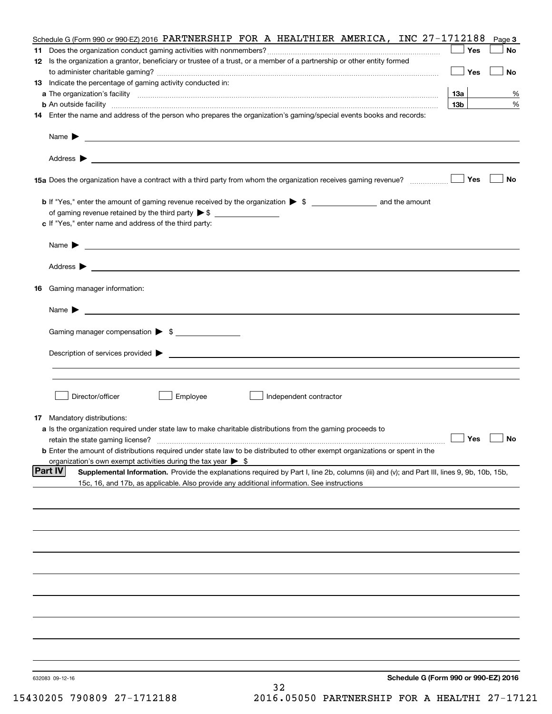|    | Schedule G (Form 990 or 990-EZ) 2016 PARTNERSHIP FOR A HEALTHIER AMERICA, INC 27-1712188                                                                                                                                                   |                 | Page 3 |
|----|--------------------------------------------------------------------------------------------------------------------------------------------------------------------------------------------------------------------------------------------|-----------------|--------|
| 11 |                                                                                                                                                                                                                                            | Yes             | No     |
|    | 12 Is the organization a grantor, beneficiary or trustee of a trust, or a member of a partnership or other entity formed                                                                                                                   |                 |        |
|    |                                                                                                                                                                                                                                            | Yes             | No     |
|    | 13 Indicate the percentage of gaming activity conducted in:                                                                                                                                                                                |                 |        |
|    |                                                                                                                                                                                                                                            | 13а             | %      |
|    | <b>b</b> An outside facility <i>www.communicality communicality communical</i> contract and an outside facility communical communications of the set of the set of the set of the set of the set of the set of the set of the set of the   | 13 <sub>b</sub> | %      |
|    | 14 Enter the name and address of the person who prepares the organization's gaming/special events books and records:                                                                                                                       |                 |        |
|    |                                                                                                                                                                                                                                            |                 |        |
|    | Name $\blacktriangleright$<br><u>some started and the started and the started and the started and the started and the started and the started and</u>                                                                                      |                 |        |
|    |                                                                                                                                                                                                                                            |                 |        |
|    |                                                                                                                                                                                                                                            |                 |        |
|    |                                                                                                                                                                                                                                            |                 |        |
|    |                                                                                                                                                                                                                                            | Yes             | No     |
|    |                                                                                                                                                                                                                                            |                 |        |
|    |                                                                                                                                                                                                                                            |                 |        |
|    |                                                                                                                                                                                                                                            |                 |        |
|    | c If "Yes," enter name and address of the third party:                                                                                                                                                                                     |                 |        |
|    |                                                                                                                                                                                                                                            |                 |        |
|    | Name $\blacktriangleright$<br><u> 1989 - Johann Barbara, marka a shekara ta 1989 - An tsaran a shekara tsa 1989 - An tsara tsara tsa 1989</u>                                                                                              |                 |        |
|    |                                                                                                                                                                                                                                            |                 |        |
|    | Address ><br>the control of the control of the control of the control of the control of the control of the control of the control of the control of the control of the control of the control of the control of the control of the control |                 |        |
|    |                                                                                                                                                                                                                                            |                 |        |
|    | <b>16</b> Gaming manager information:                                                                                                                                                                                                      |                 |        |
|    |                                                                                                                                                                                                                                            |                 |        |
|    | Name $\blacktriangleright$                                                                                                                                                                                                                 |                 |        |
|    |                                                                                                                                                                                                                                            |                 |        |
|    | Gaming manager compensation > \$                                                                                                                                                                                                           |                 |        |
|    |                                                                                                                                                                                                                                            |                 |        |
|    | Description of services provided ><br><u> 1989 - Jan Samuel Barbara, martin da shekara tsara 1989 - Andrea Samuel Barbara, mashrida a shekara tsara 19</u>                                                                                 |                 |        |
|    |                                                                                                                                                                                                                                            |                 |        |
|    |                                                                                                                                                                                                                                            |                 |        |
|    |                                                                                                                                                                                                                                            |                 |        |
|    | Director/officer<br>Employee<br>Independent contractor                                                                                                                                                                                     |                 |        |
|    |                                                                                                                                                                                                                                            |                 |        |
|    | <b>17</b> Mandatory distributions:                                                                                                                                                                                                         |                 |        |
|    | a Is the organization required under state law to make charitable distributions from the gaming proceeds to                                                                                                                                |                 |        |
|    | retain the state gaming license?                                                                                                                                                                                                           | $\Box$ Yes      |        |
|    | <b>b</b> Enter the amount of distributions required under state law to be distributed to other exempt organizations or spent in the                                                                                                        |                 |        |
|    | organization's own exempt activities during the tax year $\triangleright$ \$<br><b>Part IV</b>                                                                                                                                             |                 |        |
|    | Supplemental Information. Provide the explanations required by Part I, line 2b, columns (iii) and (v); and Part III, lines 9, 9b, 10b, 15b,                                                                                                |                 |        |
|    | 15c, 16, and 17b, as applicable. Also provide any additional information. See instructions                                                                                                                                                 |                 |        |
|    |                                                                                                                                                                                                                                            |                 |        |
|    |                                                                                                                                                                                                                                            |                 |        |
|    |                                                                                                                                                                                                                                            |                 |        |
|    |                                                                                                                                                                                                                                            |                 |        |
|    |                                                                                                                                                                                                                                            |                 |        |
|    |                                                                                                                                                                                                                                            |                 |        |
|    |                                                                                                                                                                                                                                            |                 |        |
|    |                                                                                                                                                                                                                                            |                 |        |
|    |                                                                                                                                                                                                                                            |                 |        |
|    |                                                                                                                                                                                                                                            |                 |        |
|    |                                                                                                                                                                                                                                            |                 |        |
|    |                                                                                                                                                                                                                                            |                 |        |
|    |                                                                                                                                                                                                                                            |                 |        |
|    |                                                                                                                                                                                                                                            |                 |        |
|    |                                                                                                                                                                                                                                            |                 |        |
|    |                                                                                                                                                                                                                                            |                 |        |
|    | Schedule G (Form 990 or 990-EZ) 2016<br>632083 09-12-16                                                                                                                                                                                    |                 |        |
|    | 32                                                                                                                                                                                                                                         |                 |        |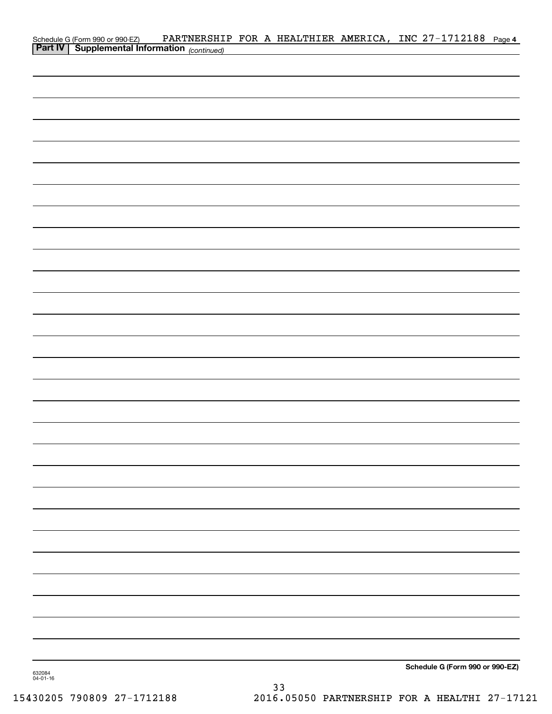|                    | Schedule G (Form 990 or 990-EZ) PARTNERSHI.<br>Part IV   Supplemental Information (continued) | PARTNERSHIP FOR A HEALTHIER AMERICA, INC 27-1712188 Page 4 |  |  |                                 |  |
|--------------------|-----------------------------------------------------------------------------------------------|------------------------------------------------------------|--|--|---------------------------------|--|
|                    |                                                                                               |                                                            |  |  |                                 |  |
|                    |                                                                                               |                                                            |  |  |                                 |  |
|                    |                                                                                               |                                                            |  |  |                                 |  |
|                    |                                                                                               |                                                            |  |  |                                 |  |
|                    |                                                                                               |                                                            |  |  |                                 |  |
|                    |                                                                                               |                                                            |  |  |                                 |  |
|                    |                                                                                               |                                                            |  |  |                                 |  |
|                    |                                                                                               |                                                            |  |  |                                 |  |
|                    |                                                                                               |                                                            |  |  |                                 |  |
|                    |                                                                                               |                                                            |  |  |                                 |  |
|                    |                                                                                               |                                                            |  |  |                                 |  |
|                    |                                                                                               |                                                            |  |  |                                 |  |
|                    |                                                                                               |                                                            |  |  |                                 |  |
|                    |                                                                                               |                                                            |  |  |                                 |  |
|                    |                                                                                               |                                                            |  |  |                                 |  |
|                    |                                                                                               |                                                            |  |  |                                 |  |
|                    |                                                                                               |                                                            |  |  |                                 |  |
|                    |                                                                                               |                                                            |  |  |                                 |  |
|                    |                                                                                               |                                                            |  |  |                                 |  |
|                    |                                                                                               |                                                            |  |  |                                 |  |
|                    |                                                                                               |                                                            |  |  |                                 |  |
|                    |                                                                                               |                                                            |  |  |                                 |  |
|                    |                                                                                               |                                                            |  |  |                                 |  |
|                    |                                                                                               |                                                            |  |  |                                 |  |
|                    |                                                                                               |                                                            |  |  |                                 |  |
|                    |                                                                                               |                                                            |  |  |                                 |  |
|                    |                                                                                               |                                                            |  |  |                                 |  |
|                    |                                                                                               |                                                            |  |  |                                 |  |
|                    |                                                                                               |                                                            |  |  |                                 |  |
|                    |                                                                                               |                                                            |  |  |                                 |  |
|                    |                                                                                               |                                                            |  |  |                                 |  |
|                    |                                                                                               |                                                            |  |  |                                 |  |
|                    |                                                                                               |                                                            |  |  |                                 |  |
|                    |                                                                                               |                                                            |  |  |                                 |  |
|                    |                                                                                               |                                                            |  |  |                                 |  |
|                    |                                                                                               |                                                            |  |  |                                 |  |
|                    |                                                                                               |                                                            |  |  | Schedule G (Form 990 or 990-EZ) |  |
| 632084<br>04-01-16 |                                                                                               |                                                            |  |  |                                 |  |

33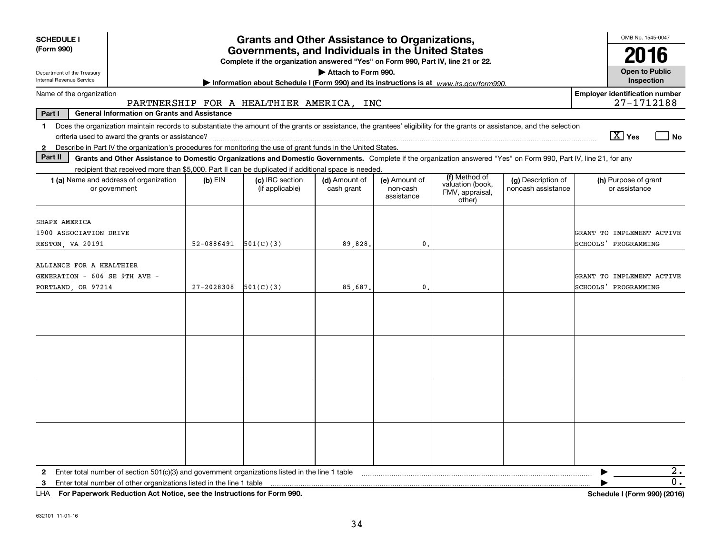| <b>SCHEDULE I</b>                                                               |                                                                                                                                                                                                                                                                                                           |            | <b>Grants and Other Assistance to Organizations,</b>                                                                                  |                             |                                         |                                                                |                                          | OMB No. 1545-0047                                   |
|---------------------------------------------------------------------------------|-----------------------------------------------------------------------------------------------------------------------------------------------------------------------------------------------------------------------------------------------------------------------------------------------------------|------------|---------------------------------------------------------------------------------------------------------------------------------------|-----------------------------|-----------------------------------------|----------------------------------------------------------------|------------------------------------------|-----------------------------------------------------|
| (Form 990)                                                                      |                                                                                                                                                                                                                                                                                                           |            | Governments, and Individuals in the United States<br>Complete if the organization answered "Yes" on Form 990, Part IV, line 21 or 22. |                             |                                         |                                                                |                                          | 2016                                                |
| Department of the Treasury<br>Internal Revenue Service                          |                                                                                                                                                                                                                                                                                                           |            | Information about Schedule I (Form 990) and its instructions is at www.irs.gov/form990.                                               | Attach to Form 990.         |                                         |                                                                |                                          | <b>Open to Public</b><br>Inspection                 |
| Name of the organization                                                        |                                                                                                                                                                                                                                                                                                           |            | PARTNERSHIP FOR A HEALTHIER AMERICA, INC                                                                                              |                             |                                         |                                                                |                                          | <b>Employer identification number</b><br>27-1712188 |
| Part I                                                                          | <b>General Information on Grants and Assistance</b>                                                                                                                                                                                                                                                       |            |                                                                                                                                       |                             |                                         |                                                                |                                          |                                                     |
| 1.<br>$\mathbf{2}$                                                              | Does the organization maintain records to substantiate the amount of the grants or assistance, the grantees' eligibility for the grants or assistance, and the selection<br>Describe in Part IV the organization's procedures for monitoring the use of grant funds in the United States.                 |            |                                                                                                                                       |                             |                                         |                                                                |                                          | $\boxed{\text{X}}$ Yes<br>  No                      |
| Part II                                                                         | Grants and Other Assistance to Domestic Organizations and Domestic Governments. Complete if the organization answered "Yes" on Form 990, Part IV, line 21, for any                                                                                                                                        |            |                                                                                                                                       |                             |                                         |                                                                |                                          |                                                     |
|                                                                                 | recipient that received more than \$5,000. Part II can be duplicated if additional space is needed.                                                                                                                                                                                                       |            |                                                                                                                                       |                             |                                         |                                                                |                                          |                                                     |
|                                                                                 | 1 (a) Name and address of organization<br>or government                                                                                                                                                                                                                                                   | $(b)$ EIN  | (c) IRC section<br>(if applicable)                                                                                                    | (d) Amount of<br>cash grant | (e) Amount of<br>non-cash<br>assistance | (f) Method of<br>valuation (book,<br>FMV, appraisal,<br>other) | (g) Description of<br>noncash assistance | (h) Purpose of grant<br>or assistance               |
| SHAPE AMERICA<br>1900 ASSOCIATION DRIVE<br>RESTON, VA 20191                     |                                                                                                                                                                                                                                                                                                           | 52-0886491 | 501(C)(3)                                                                                                                             | 89,828.                     | $\mathbf{0}$                            |                                                                |                                          | GRANT TO IMPLEMENT ACTIVE<br>SCHOOLS' PROGRAMMING   |
| ALLIANCE FOR A HEALTHIER<br>GENERATION - 606 SE 9TH AVE -<br>PORTLAND, OR 97214 |                                                                                                                                                                                                                                                                                                           | 27-2028308 | 501(C)(3)                                                                                                                             | 85,687.                     | 0.                                      |                                                                |                                          | GRANT TO IMPLEMENT ACTIVE<br>SCHOOLS' PROGRAMMING   |
|                                                                                 |                                                                                                                                                                                                                                                                                                           |            |                                                                                                                                       |                             |                                         |                                                                |                                          |                                                     |
|                                                                                 |                                                                                                                                                                                                                                                                                                           |            |                                                                                                                                       |                             |                                         |                                                                |                                          |                                                     |
|                                                                                 |                                                                                                                                                                                                                                                                                                           |            |                                                                                                                                       |                             |                                         |                                                                |                                          |                                                     |
|                                                                                 |                                                                                                                                                                                                                                                                                                           |            |                                                                                                                                       |                             |                                         |                                                                |                                          |                                                     |
| 2<br>3                                                                          | Enter total number of section 501(c)(3) and government organizations listed in the line 1 table [1,000] content organizations listed in the line 1 table [1,000] contents are total number of section 501(c)(3) and government<br>For Books and Both all and Ast Matter and the Instructions And Four 000 |            |                                                                                                                                       |                             |                                         |                                                                |                                          | 2.<br>▶<br>$\overline{0}$ .<br>0.000100401          |

**For Paperwork Reduction Act Notice, see the Instructions for Form 990. Schedule I (Form 990) (2016)** LHA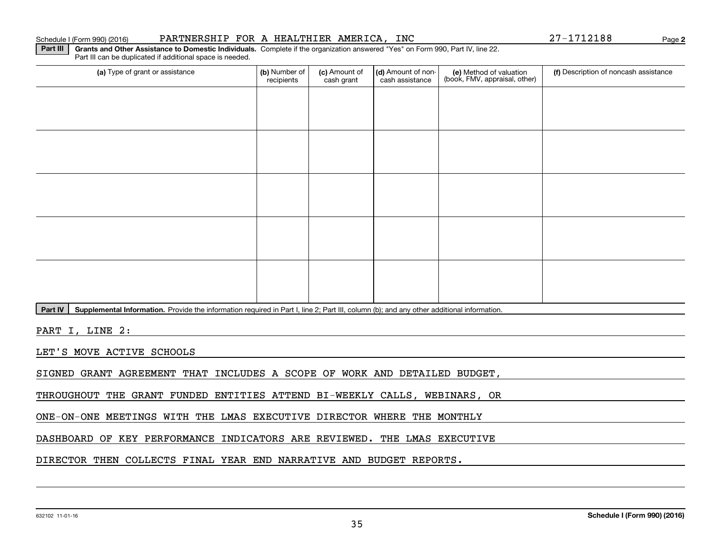#### Schedule I (Form 990) (2016) PARTNERSHIP FOR A HEALTHIER AMERICA, INC 27-1712188 Page

**2**

**Part III | Grants and Other Assistance to Domestic Individuals. Complete if the organization answered "Yes" on Form 990, Part IV, line 22.** Part III can be duplicated if additional space is needed.

| (a) Type of grant or assistance | (b) Number of<br>recipients | (c) Amount of<br>cash grant | (d) Amount of non-<br>cash assistance | (e) Method of valuation<br>(book, FMV, appraisal, other) | (f) Description of noncash assistance |
|---------------------------------|-----------------------------|-----------------------------|---------------------------------------|----------------------------------------------------------|---------------------------------------|
|                                 |                             |                             |                                       |                                                          |                                       |
|                                 |                             |                             |                                       |                                                          |                                       |
|                                 |                             |                             |                                       |                                                          |                                       |
|                                 |                             |                             |                                       |                                                          |                                       |
|                                 |                             |                             |                                       |                                                          |                                       |
|                                 |                             |                             |                                       |                                                          |                                       |
|                                 |                             |                             |                                       |                                                          |                                       |
|                                 |                             |                             |                                       |                                                          |                                       |
|                                 |                             |                             |                                       |                                                          |                                       |
|                                 |                             |                             |                                       |                                                          |                                       |

Part IV | Supplemental Information. Provide the information required in Part I, line 2; Part III, column (b); and any other additional information.

PART I, LINE 2:

LET'S MOVE ACTIVE SCHOOLS

SIGNED GRANT AGREEMENT THAT INCLUDES A SCOPE OF WORK AND DETAILED BUDGET,

THROUGHOUT THE GRANT FUNDED ENTITIES ATTEND BI-WEEKLY CALLS, WEBINARS, OR

ONE-ON-ONE MEETINGS WITH THE LMAS EXECUTIVE DIRECTOR WHERE THE MONTHLY

DASHBOARD OF KEY PERFORMANCE INDICATORS ARE REVIEWED. THE LMAS EXECUTIVE

DIRECTOR THEN COLLECTS FINAL YEAR END NARRATIVE AND BUDGET REPORTS.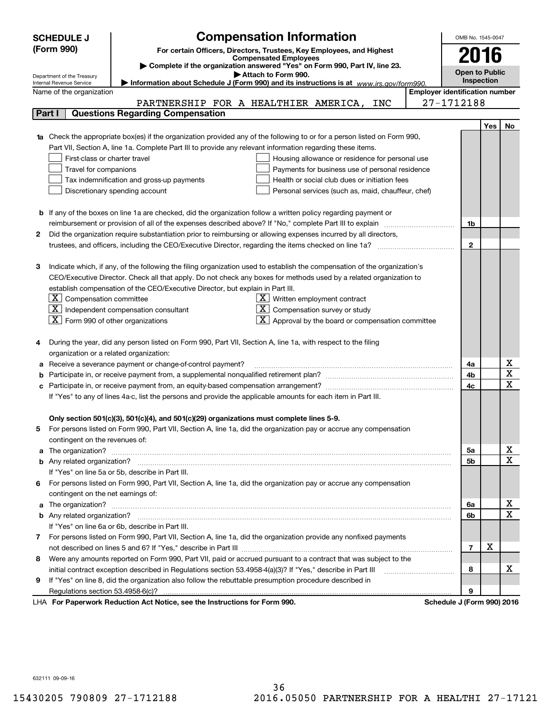|    | <b>SCHEDULE J</b>                                      | <b>Compensation Information</b>                                                                                                                                                                                                      |                                       | OMB No. 1545-0047     |     |             |
|----|--------------------------------------------------------|--------------------------------------------------------------------------------------------------------------------------------------------------------------------------------------------------------------------------------------|---------------------------------------|-----------------------|-----|-------------|
|    | (Form 990)                                             | For certain Officers, Directors, Trustees, Key Employees, and Highest                                                                                                                                                                |                                       |                       |     |             |
|    |                                                        | <b>Compensated Employees</b>                                                                                                                                                                                                         |                                       | 2016                  |     |             |
|    |                                                        | Complete if the organization answered "Yes" on Form 990, Part IV, line 23.<br>Attach to Form 990.                                                                                                                                    |                                       | <b>Open to Public</b> |     |             |
|    | Department of the Treasury<br>Internal Revenue Service | Information about Schedule J (Form 990) and its instructions is at www.irs.gov/form990.                                                                                                                                              |                                       | Inspection            |     |             |
|    | Name of the organization                               |                                                                                                                                                                                                                                      | <b>Employer identification number</b> |                       |     |             |
|    |                                                        | PARTNERSHIP FOR A HEALTHIER AMERICA, INC                                                                                                                                                                                             | 27-1712188                            |                       |     |             |
|    | Part I                                                 | <b>Questions Regarding Compensation</b>                                                                                                                                                                                              |                                       |                       |     |             |
|    |                                                        |                                                                                                                                                                                                                                      |                                       |                       | Yes | No          |
|    |                                                        | Check the appropriate box(es) if the organization provided any of the following to or for a person listed on Form 990,                                                                                                               |                                       |                       |     |             |
|    |                                                        | Part VII, Section A, line 1a. Complete Part III to provide any relevant information regarding these items.                                                                                                                           |                                       |                       |     |             |
|    | First-class or charter travel                          | Housing allowance or residence for personal use                                                                                                                                                                                      |                                       |                       |     |             |
|    | Travel for companions                                  | Payments for business use of personal residence                                                                                                                                                                                      |                                       |                       |     |             |
|    |                                                        | Tax indemnification and gross-up payments<br>Health or social club dues or initiation fees                                                                                                                                           |                                       |                       |     |             |
|    |                                                        | Discretionary spending account<br>Personal services (such as, maid, chauffeur, chef)                                                                                                                                                 |                                       |                       |     |             |
|    |                                                        |                                                                                                                                                                                                                                      |                                       |                       |     |             |
|    |                                                        | <b>b</b> If any of the boxes on line 1a are checked, did the organization follow a written policy regarding payment or                                                                                                               |                                       |                       |     |             |
|    |                                                        | reimbursement or provision of all of the expenses described above? If "No," complete Part III to explain manufactured above?                                                                                                         |                                       | 1b                    |     |             |
| 2  |                                                        | Did the organization require substantiation prior to reimbursing or allowing expenses incurred by all directors,                                                                                                                     |                                       |                       |     |             |
|    |                                                        |                                                                                                                                                                                                                                      |                                       | $\mathbf{2}$          |     |             |
|    |                                                        |                                                                                                                                                                                                                                      |                                       |                       |     |             |
| з  |                                                        | Indicate which, if any, of the following the filing organization used to establish the compensation of the organization's                                                                                                            |                                       |                       |     |             |
|    |                                                        | CEO/Executive Director. Check all that apply. Do not check any boxes for methods used by a related organization to                                                                                                                   |                                       |                       |     |             |
|    |                                                        | establish compensation of the CEO/Executive Director, but explain in Part III.                                                                                                                                                       |                                       |                       |     |             |
|    | $\lfloor \texttt{X} \rfloor$ Compensation committee    | $X$ Written employment contract                                                                                                                                                                                                      |                                       |                       |     |             |
|    |                                                        | $\boxed{\textbf{X}}$ Independent compensation consultant<br>$X$ Compensation survey or study                                                                                                                                         |                                       |                       |     |             |
|    | $\boxed{\text{X}}$ Form 990 of other organizations     | $\boxed{\text{X}}$ Approval by the board or compensation committee                                                                                                                                                                   |                                       |                       |     |             |
|    |                                                        |                                                                                                                                                                                                                                      |                                       |                       |     |             |
|    |                                                        | During the year, did any person listed on Form 990, Part VII, Section A, line 1a, with respect to the filing                                                                                                                         |                                       |                       |     |             |
|    | organization or a related organization:                |                                                                                                                                                                                                                                      |                                       |                       |     |             |
| а  |                                                        | Receive a severance payment or change-of-control payment?                                                                                                                                                                            |                                       | 4a                    |     | х           |
| b  |                                                        |                                                                                                                                                                                                                                      |                                       | 4b                    |     | X           |
| c  |                                                        |                                                                                                                                                                                                                                      |                                       | 4c                    |     | $\mathbf x$ |
|    |                                                        | If "Yes" to any of lines 4a-c, list the persons and provide the applicable amounts for each item in Part III.                                                                                                                        |                                       |                       |     |             |
|    |                                                        |                                                                                                                                                                                                                                      |                                       |                       |     |             |
|    |                                                        | Only section 501(c)(3), 501(c)(4), and 501(c)(29) organizations must complete lines 5-9.                                                                                                                                             |                                       |                       |     |             |
| 5  |                                                        | For persons listed on Form 990, Part VII, Section A, line 1a, did the organization pay or accrue any compensation                                                                                                                    |                                       |                       |     |             |
|    | contingent on the revenues of:                         |                                                                                                                                                                                                                                      |                                       |                       |     |             |
| a  |                                                        |                                                                                                                                                                                                                                      |                                       | 5а                    |     | X           |
|    |                                                        |                                                                                                                                                                                                                                      |                                       | 5b                    |     | $\mathbf X$ |
|    |                                                        | If "Yes" on line 5a or 5b, describe in Part III.                                                                                                                                                                                     |                                       |                       |     |             |
| 6. |                                                        | For persons listed on Form 990, Part VII, Section A, line 1a, did the organization pay or accrue any compensation                                                                                                                    |                                       |                       |     |             |
|    | contingent on the net earnings of:                     |                                                                                                                                                                                                                                      |                                       |                       |     |             |
| a  |                                                        | The organization? <b>With the contract of the contract of the contract of the contract of the contract of the contract of the contract of the contract of the contract of the contract of the contract of the contract of the co</b> |                                       | 6a                    |     | X<br>X      |
|    |                                                        |                                                                                                                                                                                                                                      |                                       | 6b                    |     |             |
|    |                                                        | If "Yes" on line 6a or 6b, describe in Part III.                                                                                                                                                                                     |                                       |                       |     |             |
|    |                                                        | 7 For persons listed on Form 990, Part VII, Section A, line 1a, did the organization provide any nonfixed payments                                                                                                                   |                                       |                       | x   |             |
|    |                                                        |                                                                                                                                                                                                                                      |                                       | $\overline{7}$        |     |             |
| 8  |                                                        | Were any amounts reported on Form 990, Part VII, paid or accrued pursuant to a contract that was subject to the                                                                                                                      |                                       |                       |     | х           |
|    |                                                        | initial contract exception described in Regulations section 53.4958-4(a)(3)? If "Yes," describe in Part III                                                                                                                          |                                       | 8                     |     |             |
| 9. |                                                        | If "Yes" on line 8, did the organization also follow the rebuttable presumption procedure described in                                                                                                                               |                                       |                       |     |             |
|    | Regulations section 53.4958-6(c)?                      | expressly Dedication Act Notice, ace the Inctrustions for Form 000                                                                                                                                                                   | Cahadula, Litayan 0001,0046           | 9                     |     |             |

LHA For Paperwork Reduction Act Notice, see the Instructions for Form 990. Schedule J (Form 990) 2016

632111 09-09-16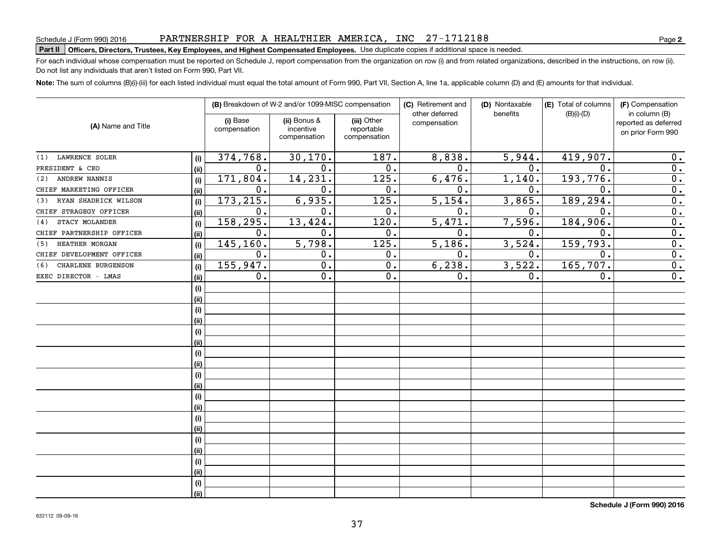# Schedule J (Form 990) 2016 PAR'I'NERSHIP F'OR A HEAL'I'HILER AMERICA , INC 27 = 17 I 2 I 8 8<br>| **Part II | Officers, Directors, Trustees, Key Employees, and Highest Compensated Employee**

For each individual whose compensation must be reported on Schedule J, report compensation from the organization on row (i) and from related organizations, described in the instructions, on row (ii). Do not list any individuals that aren't listed on Form 990, Part VII.

**Note:**  The sum of columns (B)(i)-(iii) for each listed individual must equal the total amount of Form 990, Part VII, Section A, line 1a, applicable column (D) and (E) amounts for that individual.

| (A) Name and Title          |      |                          | (B) Breakdown of W-2 and/or 1099-MISC compensation |                                           | (C) Retirement and<br>other deferred | (D) Nontaxable | (E) Total of columns | (F) Compensation<br>in column (B)         |  |
|-----------------------------|------|--------------------------|----------------------------------------------------|-------------------------------------------|--------------------------------------|----------------|----------------------|-------------------------------------------|--|
|                             |      | (i) Base<br>compensation | (ii) Bonus &<br>incentive<br>compensation          | (iii) Other<br>reportable<br>compensation | compensation                         | benefits       | $(B)(i)-(D)$         | reported as deferred<br>on prior Form 990 |  |
| LAWRENCE SOLER<br>(1)       | (i)  | 374,768.                 | 30, 170.                                           | 187.                                      | 8,838.                               | 5,944.         | 419,907.             | 0.                                        |  |
| PRESIDENT & CEO             | (ii) | 0.                       | 0.                                                 | $\overline{0}$ .                          | $\overline{0}$ .                     | 0.             | $\mathbf 0$ .        | $\overline{0}$ .                          |  |
| ANDREW NANNIS<br>(2)        | (i)  | 171,804.                 | 14,231.                                            | 125.                                      | 6,476.                               | 1,140.         | 193,776.             | $\overline{0}$ .                          |  |
| CHIEF MARKETING OFFICER     | (ii) | 0.                       | 0.                                                 | 0.                                        | 0.                                   | $\mathbf{0}$ . | $\mathbf 0$ .        | $\overline{0}$ .                          |  |
| RYAN SHADRICK WILSON<br>(3) | (i)  | 173, 215.                | 6,935.                                             | 125.                                      | $\overline{5,154}$ .                 | 3,865.         | 189,294.             | $\overline{0}$ .                          |  |
| CHIEF STRAGEGY OFFICER      | (ii) | 0.                       | $\mathbf 0$ .                                      | 0.                                        | 0.                                   | $\mathbf 0$ .  | $\mathbf 0$ .        | $\overline{0}$ .                          |  |
| STACY MOLANDER<br>(4)       | (i)  | 158, 295.                | 13,424.                                            | 120.                                      | 5,471.                               | 7,596.         | 184,906.             | $\overline{0}$ .                          |  |
| CHIEF PARTNERSHIP OFFICER   | (ii) | 0.                       | 0.                                                 | 0.                                        | 0.                                   | $\mathbf 0$ .  | $\mathbf 0$ .        | $\overline{0}$ .                          |  |
| HEATHER MORGAN<br>(5)       | (i)  | 145, 160.                | $\overline{5,798}$ .                               | 125.                                      | 5,186.                               | 3,524.         | 159, 793.            | $\overline{0}$ .                          |  |
| CHIEF DEVELOPMENT OFFICER   | (ii) | 0.                       | 0.                                                 | 0.                                        | 0.                                   | 0.             | 0.                   | $\overline{0}$ .                          |  |
| CHARLENE BURGENSON<br>(6)   | (i)  | 155,947.                 | $\overline{0}$ .                                   | $\overline{0}$ .                          | 6, 238.                              | 3,522.         | 165,707.             | $\overline{0}$ .                          |  |
| EXEC DIRECTOR - LMAS        | (ii) | $0$ .                    | 0.                                                 | 0.                                        | 0.                                   | 0.             | 0.                   | 0.                                        |  |
|                             | (i)  |                          |                                                    |                                           |                                      |                |                      |                                           |  |
|                             | (ii) |                          |                                                    |                                           |                                      |                |                      |                                           |  |
|                             | (i)  |                          |                                                    |                                           |                                      |                |                      |                                           |  |
|                             | (ii) |                          |                                                    |                                           |                                      |                |                      |                                           |  |
|                             | (i)  |                          |                                                    |                                           |                                      |                |                      |                                           |  |
|                             | (ii) |                          |                                                    |                                           |                                      |                |                      |                                           |  |
|                             | (i)  |                          |                                                    |                                           |                                      |                |                      |                                           |  |
|                             | (ii) |                          |                                                    |                                           |                                      |                |                      |                                           |  |
|                             | (i)  |                          |                                                    |                                           |                                      |                |                      |                                           |  |
|                             | (ii) |                          |                                                    |                                           |                                      |                |                      |                                           |  |
|                             | (i)  |                          |                                                    |                                           |                                      |                |                      |                                           |  |
|                             | (ii) |                          |                                                    |                                           |                                      |                |                      |                                           |  |
|                             | (i)  |                          |                                                    |                                           |                                      |                |                      |                                           |  |
|                             | (ii) |                          |                                                    |                                           |                                      |                |                      |                                           |  |
|                             | (i)  |                          |                                                    |                                           |                                      |                |                      |                                           |  |
|                             | (ii) |                          |                                                    |                                           |                                      |                |                      |                                           |  |
|                             | (i)  |                          |                                                    |                                           |                                      |                |                      |                                           |  |
|                             | (ii) |                          |                                                    |                                           |                                      |                |                      |                                           |  |
|                             | (i)  |                          |                                                    |                                           |                                      |                |                      |                                           |  |
|                             | (ii) |                          |                                                    |                                           |                                      |                |                      |                                           |  |

**Schedule J (Form 990) 2016**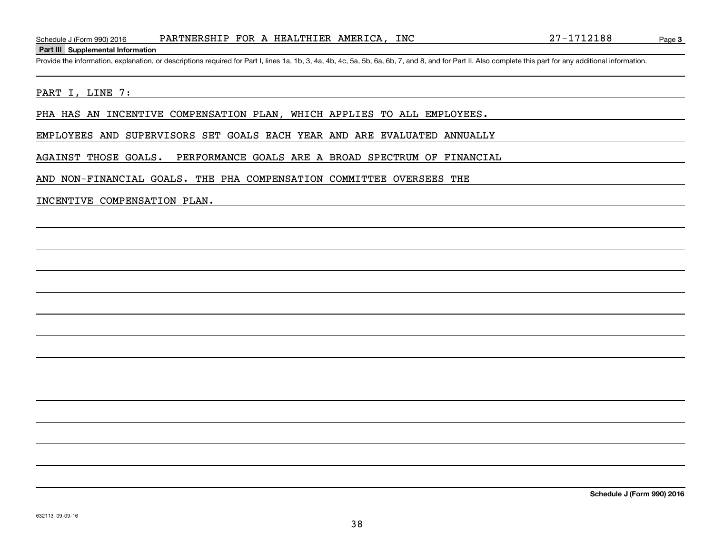#### **Part III Supplemental Information**

Schedule J (Form 990) 2016 PARTNERSHIP FOR A HEALTHIER AMERICA, INC 27-1712188<br>Part III Supplemental Information<br>Provide the information, explanation, or descriptions required for Part I, lines 1a, 1b, 3, 4a, 4b, 4c, 5a, 5

#### PART I, LINE 7:

PHA HAS AN INCENTIVE COMPENSATION PLAN, WHICH APPLIES TO ALL EMPLOYEES.

EMPLOYEES AND SUPERVISORS SET GOALS EACH YEAR AND ARE EVALUATED ANNUALLY

AGAINST THOSE GOALS. PERFORMANCE GOALS ARE A BROAD SPECTRUM OF FINANCIAL

AND NON-FINANCIAL GOALS. THE PHA COMPENSATION COMMITTEE OVERSEES THE

#### INCENTIVE COMPENSATION PLAN.

**Schedule J (Form 990) 2016**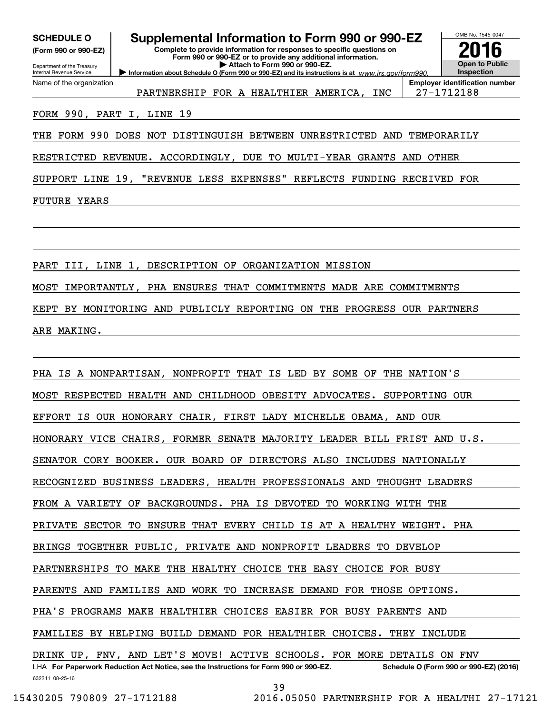| <b>SCHEDULE O</b><br>(Form 990 or 990-EZ)<br>Department of the Treasury<br><b>Internal Revenue Service</b> | Supplemental Information to Form 990 or 990-EZ<br>Complete to provide information for responses to specific questions on<br>Form 990 or 990-EZ or to provide any additional information.<br>Attach to Form 990 or 990-EZ.<br>Information about Schedule O (Form 990 or 990-EZ) and its instructions is at www.irs.gov/form990 | OMB No. 1545-0047<br>016<br><b>Open to Public</b><br>Inspection |
|------------------------------------------------------------------------------------------------------------|-------------------------------------------------------------------------------------------------------------------------------------------------------------------------------------------------------------------------------------------------------------------------------------------------------------------------------|-----------------------------------------------------------------|
| Name of the organization                                                                                   | PARTNERSHIP FOR A HEALTHIER AMERICA,<br>INC                                                                                                                                                                                                                                                                                   | <b>Employer identification number</b><br>27-1712188             |
| FORM 990, PART I, LINE 19                                                                                  |                                                                                                                                                                                                                                                                                                                               |                                                                 |
| THE                                                                                                        | FORM 990 DOES NOT DISTINGUISH BETWEEN UNRESTRICTED AND                                                                                                                                                                                                                                                                        | TEMPORARILY                                                     |
|                                                                                                            | RESTRICTED REVENUE. ACCORDINGLY, DUE TO MULTI-YEAR GRANTS AND                                                                                                                                                                                                                                                                 | OTHER                                                           |
|                                                                                                            | SUPPORT LINE 19, "REVENUE LESS EXPENSES"<br>REFLECTS FUNDING RECEIVED FOR                                                                                                                                                                                                                                                     |                                                                 |
| <b>FUTURE YEARS</b>                                                                                        |                                                                                                                                                                                                                                                                                                                               |                                                                 |
|                                                                                                            |                                                                                                                                                                                                                                                                                                                               |                                                                 |
| PART III, LINE 1,                                                                                          | DESCRIPTION OF<br>ORGANIZATION MISSION                                                                                                                                                                                                                                                                                        |                                                                 |
| MOST                                                                                                       | IMPORTANTLY, PHA ENSURES THAT COMMITMENTS MADE ARE COMMITMENTS                                                                                                                                                                                                                                                                |                                                                 |
| KEPT<br>BY.                                                                                                | MONITORING AND PUBLICLY REPORTING ON THE                                                                                                                                                                                                                                                                                      | PROGRESS OUR PARTNERS                                           |
| ARE MAKING.                                                                                                |                                                                                                                                                                                                                                                                                                                               |                                                                 |

632211 08-25-16 LHA For Paperwork Reduction Act Notice, see the Instructions for Form 990 or 990-EZ. Schedule O (Form 990 or 990-EZ) (2016) PHA IS A NONPARTISAN, NONPROFIT THAT IS LED BY SOME OF THE NATION'S MOST RESPECTED HEALTH AND CHILDHOOD OBESITY ADVOCATES. SUPPORTING OUR EFFORT IS OUR HONORARY CHAIR, FIRST LADY MICHELLE OBAMA, AND OUR HONORARY VICE CHAIRS, FORMER SENATE MAJORITY LEADER BILL FRIST AND U.S. SENATOR CORY BOOKER. OUR BOARD OF DIRECTORS ALSO INCLUDES NATIONALLY RECOGNIZED BUSINESS LEADERS, HEALTH PROFESSIONALS AND THOUGHT LEADERS FROM A VARIETY OF BACKGROUNDS. PHA IS DEVOTED TO WORKING WITH THE PRIVATE SECTOR TO ENSURE THAT EVERY CHILD IS AT A HEALTHY WEIGHT. PHA BRINGS TOGETHER PUBLIC, PRIVATE AND NONPROFIT LEADERS TO DEVELOP PARTNERSHIPS TO MAKE THE HEALTHY CHOICE THE EASY CHOICE FOR BUSY PARENTS AND FAMILIES AND WORK TO INCREASE DEMAND FOR THOSE OPTIONS. PHA'S PROGRAMS MAKE HEALTHIER CHOICES EASIER FOR BUSY PARENTS AND FAMILIES BY HELPING BUILD DEMAND FOR HEALTHIER CHOICES. THEY INCLUDE DRINK UP, FNV, AND LET'S MOVE! ACTIVE SCHOOLS. FOR MORE DETAILS ON FNV

39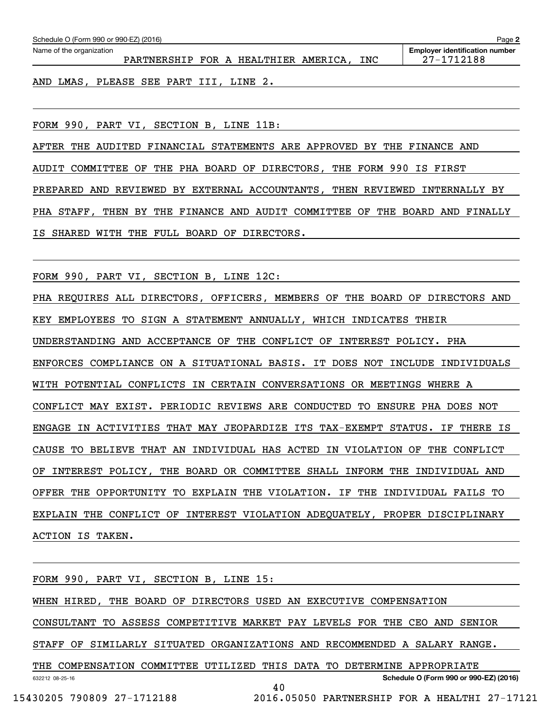| Schedule O (Form 990 or 990-EZ) (2016) |                                      |  |  |     | Page 2                                              |
|----------------------------------------|--------------------------------------|--|--|-----|-----------------------------------------------------|
| Name of the organization               | PARTNERSHIP FOR A HEALTHIER AMERICA, |  |  | INC | <b>Employer identification number</b><br>27-1712188 |
|                                        |                                      |  |  |     |                                                     |

AND LMAS, PLEASE SEE PART III, LINE 2.

FORM 990, PART VI, SECTION B, LINE 11B:

AFTER THE AUDITED FINANCIAL STATEMENTS ARE APPROVED BY THE FINANCE AND AUDIT COMMITTEE OF THE PHA BOARD OF DIRECTORS, THE FORM 990 IS FIRST PREPARED AND REVIEWED BY EXTERNAL ACCOUNTANTS, THEN REVIEWED INTERNALLY BY PHA STAFF, THEN BY THE FINANCE AND AUDIT COMMITTEE OF THE BOARD AND FINALLY IS SHARED WITH THE FULL BOARD OF DIRECTORS.

FORM 990, PART VI, SECTION B, LINE 12C:

PHA REQUIRES ALL DIRECTORS, OFFICERS, MEMBERS OF THE BOARD OF DIRECTORS AND KEY EMPLOYEES TO SIGN A STATEMENT ANNUALLY, WHICH INDICATES THEIR UNDERSTANDING AND ACCEPTANCE OF THE CONFLICT OF INTEREST POLICY. PHA ENFORCES COMPLIANCE ON A SITUATIONAL BASIS. IT DOES NOT INCLUDE INDIVIDUALS WITH POTENTIAL CONFLICTS IN CERTAIN CONVERSATIONS OR MEETINGS WHERE A CONFLICT MAY EXIST. PERIODIC REVIEWS ARE CONDUCTED TO ENSURE PHA DOES NOT ENGAGE IN ACTIVITIES THAT MAY JEOPARDIZE ITS TAX-EXEMPT STATUS. IF THERE IS CAUSE TO BELIEVE THAT AN INDIVIDUAL HAS ACTED IN VIOLATION OF THE CONFLICT OF INTEREST POLICY, THE BOARD OR COMMITTEE SHALL INFORM THE INDIVIDUAL AND OFFER THE OPPORTUNITY TO EXPLAIN THE VIOLATION. IF THE INDIVIDUAL FAILS TO EXPLAIN THE CONFLICT OF INTEREST VIOLATION ADEQUATELY, PROPER DISCIPLINARY ACTION IS TAKEN.

632212 08-25-16 **Schedule O (Form 990 or 990-EZ) (2016)** FORM 990, PART VI, SECTION B, LINE 15: WHEN HIRED, THE BOARD OF DIRECTORS USED AN EXECUTIVE COMPENSATION CONSULTANT TO ASSESS COMPETITIVE MARKET PAY LEVELS FOR THE CEO AND SENIOR STAFF OF SIMILARLY SITUATED ORGANIZATIONS AND RECOMMENDED A SALARY RANGE. THE COMPENSATION COMMITTEE UTILIZED THIS DATA TO DETERMINE APPROPRIATE 40

15430205 790809 27-1712188 2016.05050 PARTNERSHIP FOR A HEALTHI 27-17121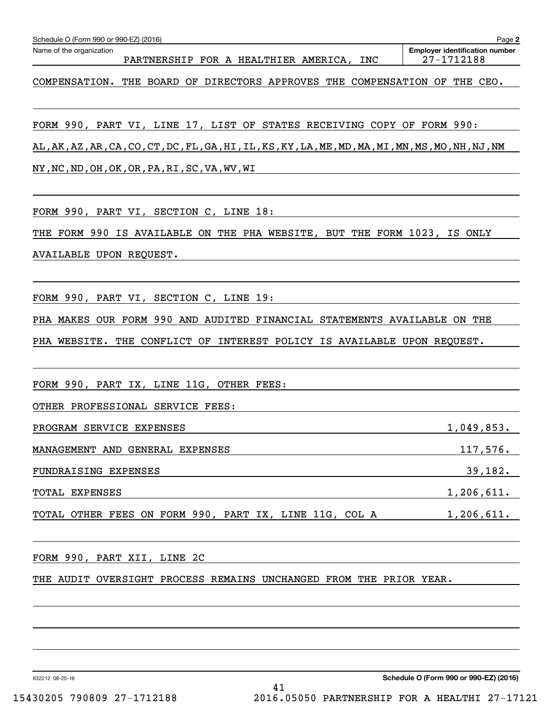| Schedule O (Form 990 or 990-EZ) (2016)                                                                                     | Page 2                                              |
|----------------------------------------------------------------------------------------------------------------------------|-----------------------------------------------------|
| Name of the organization<br>PARTNERSHIP FOR A HEALTHIER AMERICA, INC                                                       | <b>Employer identification number</b><br>27-1712188 |
| COMPENSATION. THE BOARD OF DIRECTORS APPROVES THE COMPENSATION OF THE CEO.                                                 |                                                     |
| FORM 990, PART VI, LINE 17, LIST OF STATES RECEIVING COPY OF FORM 990:                                                     |                                                     |
| AL , AK , AZ , AR , CA , CO , CT , DC , FL , GA , HI , IL , KS , KY , LA , ME , MD , MA , MI , MN , MS , MO , NH , NJ , NM |                                                     |
| NY, NC, ND, OH, OK, OR, PA, RI, SC, VA, WV, WI                                                                             |                                                     |
| FORM 990, PART VI, SECTION C, LINE 18:                                                                                     |                                                     |
| THE FORM 990 IS AVAILABLE ON THE PHA WEBSITE, BUT THE FORM 1023, IS ONLY                                                   |                                                     |
| AVAILABLE UPON REQUEST.                                                                                                    |                                                     |
| FORM 990, PART VI, SECTION C, LINE 19:                                                                                     |                                                     |
| PHA MAKES OUR FORM 990 AND AUDITED FINANCIAL STATEMENTS AVAILABLE ON THE                                                   |                                                     |
| PHA WEBSITE. THE CONFLICT OF INTEREST POLICY IS AVAILABLE UPON REQUEST.                                                    |                                                     |
|                                                                                                                            |                                                     |
| FORM 990, PART IX, LINE 11G, OTHER FEES:                                                                                   |                                                     |
| OTHER PROFESSIONAL SERVICE FEES:                                                                                           |                                                     |
| PROGRAM SERVICE EXPENSES                                                                                                   | 1,049,853.                                          |
| MANAGEMENT AND GENERAL EXPENSES                                                                                            | $117,576$ .                                         |
| FUNDRAISING EXPENSES                                                                                                       | 39,182.                                             |
| TOTAL EXPENSES                                                                                                             | 1,206,611.                                          |
| TOTAL OTHER FEES ON FORM 990, PART IX, LINE 11G, COL A                                                                     | 1,206,611.                                          |
| FORM 990, PART XII, LINE 2C                                                                                                |                                                     |
| THE AUDIT OVERSIGHT PROCESS REMAINS UNCHANGED FROM THE PRIOR YEAR.                                                         |                                                     |
|                                                                                                                            |                                                     |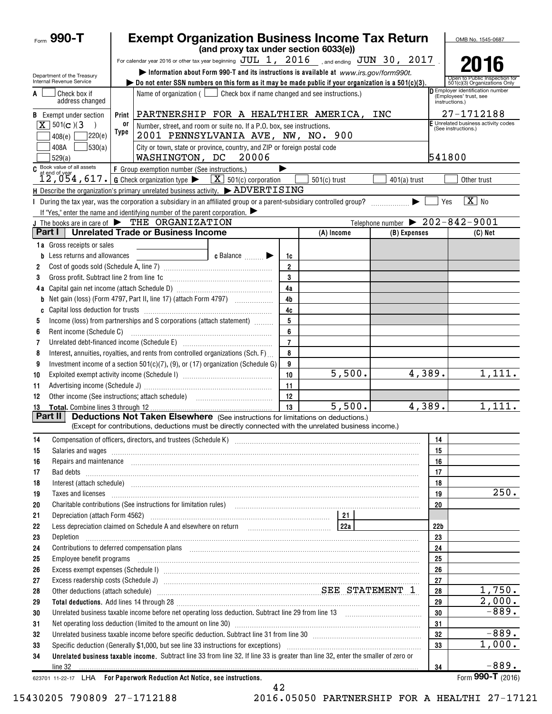|                                                                                                                                                                                                             | Form 990-T                                             | <b>Exempt Organization Business Income Tax Return</b>                                                                                                                                                                                                                                                                |                |                |                                                |                                                                            | OMB No. 1545-0687                                             |
|-------------------------------------------------------------------------------------------------------------------------------------------------------------------------------------------------------------|--------------------------------------------------------|----------------------------------------------------------------------------------------------------------------------------------------------------------------------------------------------------------------------------------------------------------------------------------------------------------------------|----------------|----------------|------------------------------------------------|----------------------------------------------------------------------------|---------------------------------------------------------------|
|                                                                                                                                                                                                             |                                                        | (and proxy tax under section 6033(e))                                                                                                                                                                                                                                                                                |                |                |                                                |                                                                            |                                                               |
|                                                                                                                                                                                                             |                                                        | For calendar year 2016 or other tax year beginning $JUL$ 1, $2016$ , and ending $JUN$ 30, $2017$ .                                                                                                                                                                                                                   |                |                |                                                |                                                                            | 2016                                                          |
|                                                                                                                                                                                                             | Department of the Treasury<br>Internal Revenue Service | Information about Form 990-T and its instructions is available at www.irs.gov/form990t.<br>bo not enter SSN numbers on this form as it may be made public if your organization is a $501(c)(3)$ .                                                                                                                    |                |                |                                                |                                                                            | Open to Public Inspection for<br>501(c)(3) Organizations Only |
|                                                                                                                                                                                                             | Check box if<br>address changed                        | Name of organization ( $\Box$ Check box if name changed and see instructions.)                                                                                                                                                                                                                                       |                |                |                                                | Employer identification number<br>(Employees' trust, see<br>instructions.) |                                                               |
|                                                                                                                                                                                                             | <b>B</b> Exempt under section                          | PARTNERSHIP FOR A HEALTHIER AMERICA, INC<br>Print                                                                                                                                                                                                                                                                    |                |                |                                                |                                                                            | 27-1712188                                                    |
|                                                                                                                                                                                                             | $X$ 501(c)(3)                                          | or<br>Number, street, and room or suite no. If a P.O. box, see instructions.                                                                                                                                                                                                                                         |                |                |                                                |                                                                            | F Unrelated business activity codes                           |
|                                                                                                                                                                                                             | 7220(e)<br>408(e)                                      | Type<br>2001 PENNSYLVANIA AVE, NW, NO. 900                                                                                                                                                                                                                                                                           |                |                |                                                |                                                                            | (See instructions.)                                           |
|                                                                                                                                                                                                             | 530(a) <br>408A                                        |                                                                                                                                                                                                                                                                                                                      |                |                |                                                |                                                                            |                                                               |
|                                                                                                                                                                                                             | 529(a)                                                 | City or town, state or province, country, and ZIP or foreign postal code<br>WASHINGTON, DC<br>20006                                                                                                                                                                                                                  |                |                |                                                |                                                                            | 541800                                                        |
|                                                                                                                                                                                                             | C Book value of all assets<br>at end of year           | F Group exemption number (See instructions.)                                                                                                                                                                                                                                                                         |                |                |                                                |                                                                            |                                                               |
|                                                                                                                                                                                                             |                                                        | 12 , 054 , 617 $\boldsymbol{\cdot}$   G Check organization type $\blacktriangleright$ $\boxed{\textbf{X}}$ 501(c) corporation                                                                                                                                                                                        |                | $501(c)$ trust | $401(a)$ trust                                 |                                                                            | Other trust                                                   |
|                                                                                                                                                                                                             |                                                        | H Describe the organization's primary unrelated business activity. $\blacktriangleright$ ADVERTISING                                                                                                                                                                                                                 |                |                |                                                |                                                                            |                                                               |
|                                                                                                                                                                                                             |                                                        |                                                                                                                                                                                                                                                                                                                      |                |                |                                                | Yes                                                                        | $\boxed{\text{X}}$ No                                         |
|                                                                                                                                                                                                             |                                                        | If "Yes," enter the name and identifying number of the parent corporation.                                                                                                                                                                                                                                           |                |                |                                                |                                                                            |                                                               |
|                                                                                                                                                                                                             | J The books are in care of                             | THE ORGANIZATION                                                                                                                                                                                                                                                                                                     |                |                | Telephone number $\triangleright$ 202-842-9001 |                                                                            |                                                               |
|                                                                                                                                                                                                             | Part I                                                 | <b>Unrelated Trade or Business Income</b>                                                                                                                                                                                                                                                                            |                | (A) Income     | (B) Expenses                                   |                                                                            | $(C)$ Net                                                     |
|                                                                                                                                                                                                             | 1a Gross receipts or sales                             |                                                                                                                                                                                                                                                                                                                      |                |                |                                                |                                                                            |                                                               |
|                                                                                                                                                                                                             | <b>b</b> Less returns and allowances                   | c Balance<br><b>Contract Contract Contract Contract</b>                                                                                                                                                                                                                                                              | 1c             |                |                                                |                                                                            |                                                               |
| 2                                                                                                                                                                                                           |                                                        |                                                                                                                                                                                                                                                                                                                      | $\overline{2}$ |                |                                                |                                                                            |                                                               |
| 3                                                                                                                                                                                                           |                                                        |                                                                                                                                                                                                                                                                                                                      | 3<br>4a        |                |                                                |                                                                            |                                                               |
|                                                                                                                                                                                                             |                                                        | <b>b</b> Net gain (loss) (Form 4797, Part II, line 17) (attach Form 4797)                                                                                                                                                                                                                                            | 4 <sub>b</sub> |                |                                                |                                                                            |                                                               |
| C                                                                                                                                                                                                           |                                                        |                                                                                                                                                                                                                                                                                                                      | 4c             |                |                                                |                                                                            |                                                               |
| 5                                                                                                                                                                                                           |                                                        | Income (loss) from partnerships and S corporations (attach statement)                                                                                                                                                                                                                                                | 5              |                |                                                |                                                                            |                                                               |
| 6                                                                                                                                                                                                           | Rent income (Schedule C)                               |                                                                                                                                                                                                                                                                                                                      | 6              |                |                                                |                                                                            |                                                               |
| 7                                                                                                                                                                                                           |                                                        | Unrelated debt-financed income (Schedule E) [11] [2010] [2010] [2010] [2010] [2010] [2010] [2010] [2010] [2010                                                                                                                                                                                                       | $\overline{7}$ |                |                                                |                                                                            |                                                               |
| 8                                                                                                                                                                                                           |                                                        | Interest, annuities, royalties, and rents from controlled organizations (Sch. F)                                                                                                                                                                                                                                     | 8              |                |                                                |                                                                            |                                                               |
| 9                                                                                                                                                                                                           |                                                        | Investment income of a section $501(c)(7)$ , (9), or (17) organization (Schedule G)                                                                                                                                                                                                                                  | 9              |                |                                                |                                                                            |                                                               |
| 10                                                                                                                                                                                                          |                                                        |                                                                                                                                                                                                                                                                                                                      | 10             | 5,500.         |                                                | 4,389.                                                                     | 1,111.                                                        |
| 11                                                                                                                                                                                                          |                                                        |                                                                                                                                                                                                                                                                                                                      |                |                |                                                |                                                                            |                                                               |
| 12                                                                                                                                                                                                          |                                                        |                                                                                                                                                                                                                                                                                                                      |                |                |                                                |                                                                            |                                                               |
| 13                                                                                                                                                                                                          |                                                        |                                                                                                                                                                                                                                                                                                                      | 13             | 5,500.         | 4,389.                                         |                                                                            | 1,111.                                                        |
| <b>Deductions Not Taken Elsewhere</b> (See instructions for limitations on deductions.)<br>Part II<br>(Except for contributions, deductions must be directly connected with the unrelated business income.) |                                                        |                                                                                                                                                                                                                                                                                                                      |                |                |                                                |                                                                            |                                                               |
|                                                                                                                                                                                                             |                                                        |                                                                                                                                                                                                                                                                                                                      |                |                |                                                |                                                                            |                                                               |
| 14                                                                                                                                                                                                          |                                                        |                                                                                                                                                                                                                                                                                                                      |                |                |                                                | 14                                                                         |                                                               |
| 15                                                                                                                                                                                                          |                                                        | Salaries and wages <b>with a construction of the construction of the construction of the construction</b> of the construction of the construction of the construction of the construction of the construction of the construction o                                                                                  |                |                |                                                | 15<br>16                                                                   |                                                               |
| 16<br>17                                                                                                                                                                                                    |                                                        | Repairs and maintenance <i>maintenance</i> and contained and anti-                                                                                                                                                                                                                                                   |                |                |                                                | 17                                                                         |                                                               |
| 18                                                                                                                                                                                                          |                                                        |                                                                                                                                                                                                                                                                                                                      |                |                |                                                | 18                                                                         |                                                               |
| 19                                                                                                                                                                                                          |                                                        | Taxes and licenses <b>construction and construction of the construction of the construction</b> of the construction of the construction of the construction of the construction of the construction of the construction of the cons                                                                                  |                |                |                                                | 19                                                                         | 250.                                                          |
| 20                                                                                                                                                                                                          |                                                        | Charitable contributions (See instructions for limitation rules) [11] matter contract the contributions (See instructions for limitation rules) [11] matter contract the contributions (See instructions for limitation rules)                                                                                       |                |                |                                                | 20                                                                         |                                                               |
| 21                                                                                                                                                                                                          |                                                        |                                                                                                                                                                                                                                                                                                                      |                | 21             |                                                |                                                                            |                                                               |
| 22                                                                                                                                                                                                          |                                                        | Less depreciation claimed on Schedule A and elsewhere on return [10] [1224]                                                                                                                                                                                                                                          |                |                |                                                | 22 <sub>b</sub>                                                            |                                                               |
| 23                                                                                                                                                                                                          |                                                        |                                                                                                                                                                                                                                                                                                                      |                |                |                                                | 23                                                                         |                                                               |
| 24                                                                                                                                                                                                          |                                                        | Contributions to deferred compensation plans [11] manufactured and manufactured contributions to deferred compensation plans                                                                                                                                                                                         |                |                |                                                | 24                                                                         |                                                               |
| 25                                                                                                                                                                                                          |                                                        | Employee benefit programs in the continuum contract of the contract of the contract of the contract of the contract of the contract of the contract of the contract of the contract of the contract of the contract of the con                                                                                       |                |                |                                                | 25                                                                         |                                                               |
| 26                                                                                                                                                                                                          |                                                        |                                                                                                                                                                                                                                                                                                                      |                |                |                                                | 26                                                                         |                                                               |
| 27                                                                                                                                                                                                          |                                                        |                                                                                                                                                                                                                                                                                                                      |                |                |                                                | 27                                                                         |                                                               |
| 28                                                                                                                                                                                                          |                                                        | Other deductions (attach schedule) manufactured and content manufactured at the SEE STATEMENT 1                                                                                                                                                                                                                      |                |                |                                                | 28                                                                         | 1,750.                                                        |
| 29                                                                                                                                                                                                          |                                                        |                                                                                                                                                                                                                                                                                                                      |                |                |                                                | 29                                                                         | 2,000.                                                        |
| 30                                                                                                                                                                                                          |                                                        |                                                                                                                                                                                                                                                                                                                      |                |                |                                                | 30                                                                         | $-889.$                                                       |
| 31                                                                                                                                                                                                          |                                                        | Net operating loss deduction (limited to the amount on line 30) [11] manufacture in the contraction contraction (<br>Unrelated business taxable income before specific deduction. Subtract line 31 from line 30 [11] [11] Unrelated business taxable income before specific deduction. Subtract line 31 from line 30 |                |                |                                                | 31<br>32                                                                   | $-889.$                                                       |
| 32<br>33                                                                                                                                                                                                    |                                                        |                                                                                                                                                                                                                                                                                                                      |                |                |                                                | 33                                                                         | 1,000.                                                        |
| 34                                                                                                                                                                                                          |                                                        | Unrelated business taxable income. Subtract line 33 from line 32. If line 33 is greater than line 32, enter the smaller of zero or                                                                                                                                                                                   |                |                |                                                |                                                                            |                                                               |
|                                                                                                                                                                                                             | line 32                                                |                                                                                                                                                                                                                                                                                                                      |                |                |                                                | 34                                                                         | $-889.$                                                       |
|                                                                                                                                                                                                             |                                                        | 623701 11-22-17 LHA For Paperwork Reduction Act Notice, see instructions.                                                                                                                                                                                                                                            |                |                |                                                |                                                                            | Form 990-T (2016)                                             |

42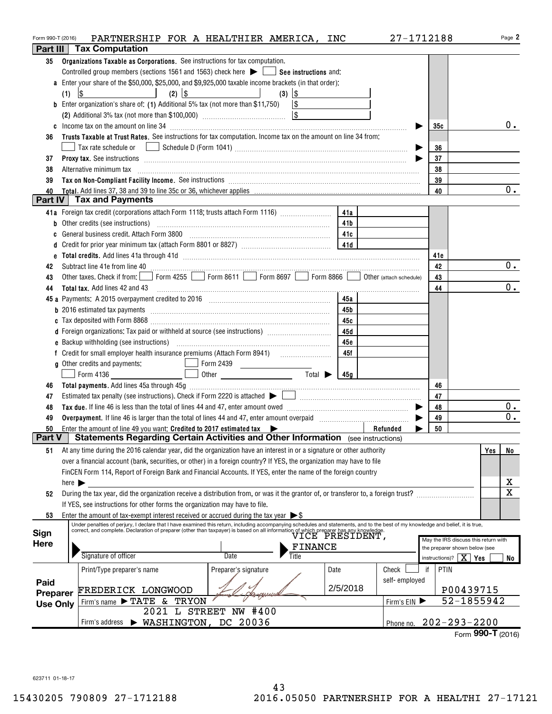| Form 990-T (2016)<br>Part III | PARTNERSHIP FOR A HEALTHIER AMERICA, INC<br><b>Tax Computation</b>                                                                                                                                                                                                                                                                          |                       |                        |          | 27-1712188             |                                                   | Page 2                |
|-------------------------------|---------------------------------------------------------------------------------------------------------------------------------------------------------------------------------------------------------------------------------------------------------------------------------------------------------------------------------------------|-----------------------|------------------------|----------|------------------------|---------------------------------------------------|-----------------------|
| 35                            | Organizations Taxable as Corporations. See instructions for tax computation.                                                                                                                                                                                                                                                                |                       |                        |          |                        |                                                   |                       |
|                               | Controlled group members (sections 1561 and 1563) check here $\blacktriangleright$ $\blacksquare$ See instructions and:                                                                                                                                                                                                                     |                       |                        |          |                        |                                                   |                       |
|                               | a Enter your share of the \$50,000, \$25,000, and \$9,925,000 taxable income brackets (in that order):                                                                                                                                                                                                                                      |                       |                        |          |                        |                                                   |                       |
|                               | $(2)$ \\$<br> \$<br>(1)                                                                                                                                                                                                                                                                                                                     | $(3)$ $\boxed{\$}$    |                        |          |                        |                                                   |                       |
|                               | <b>b</b> Enter organization's share of: (1) Additional 5% tax (not more than \$11,750) $\boxed{\$}$                                                                                                                                                                                                                                         |                       |                        |          |                        |                                                   |                       |
|                               |                                                                                                                                                                                                                                                                                                                                             |                       |                        |          |                        |                                                   | 0.                    |
| 36                            | Trusts Taxable at Trust Rates. See instructions for tax computation. Income tax on the amount on line 34 from:                                                                                                                                                                                                                              |                       |                        |          |                        | 35с                                               |                       |
|                               |                                                                                                                                                                                                                                                                                                                                             |                       |                        |          |                        | 36                                                |                       |
| 37                            | Proxy tax. See instructions information and contact the contract of the contract of the contract of the contract of the contract of the contract of the contract of the contract of the contract of the contract of the contra                                                                                                              |                       |                        |          |                        | 37                                                |                       |
| 38                            | Alternative minimum tax                                                                                                                                                                                                                                                                                                                     |                       |                        |          |                        | 38                                                |                       |
| 39                            | Tax on Non-Compliant Facility Income. See instructions [111] [12] Tax on Non-Compliant Facility Income. See instructions [11] Tax on Non-Compliant Facility Income. See instructions [11] Tax on Non-Compliant Facility Income                                                                                                              |                       |                        |          |                        | 39                                                |                       |
| 40                            |                                                                                                                                                                                                                                                                                                                                             |                       |                        |          |                        | 40                                                | 0.                    |
|                               | <b>Part IV Tax and Payments</b>                                                                                                                                                                                                                                                                                                             |                       |                        |          |                        |                                                   |                       |
|                               | 41a Foreign tax credit (corporations attach Form 1118; trusts attach Form 1116) [                                                                                                                                                                                                                                                           |                       |                        | 41a      |                        |                                                   |                       |
| b                             | Other credits (see instructions)                                                                                                                                                                                                                                                                                                            |                       |                        | 41b      |                        |                                                   |                       |
| C                             | General business credit. Attach Form 3800                                                                                                                                                                                                                                                                                                   |                       |                        | 41c      |                        |                                                   |                       |
| d                             |                                                                                                                                                                                                                                                                                                                                             |                       |                        |          |                        |                                                   |                       |
|                               |                                                                                                                                                                                                                                                                                                                                             |                       |                        |          |                        | 41e                                               |                       |
| 42                            | Subtract line 41e from line 40 <b>magazine and the contract of the 40</b> magazine and the 41e from line 40 magazine and the state of the state of the state of the state of the state of the state of the state of the state of th<br>Other taxes. Check if from: Form 4255 Form 8611 Form 8697 Form 8866 Other (attach schedule)          |                       |                        |          |                        | 42                                                | 0.                    |
| 43                            | <b>Total tax.</b> Add lines 42 and 43                                                                                                                                                                                                                                                                                                       |                       |                        |          |                        | 43                                                | 0.                    |
| 44                            |                                                                                                                                                                                                                                                                                                                                             |                       |                        | 45a      |                        | 44                                                |                       |
|                               |                                                                                                                                                                                                                                                                                                                                             |                       |                        | 45b      |                        |                                                   |                       |
|                               |                                                                                                                                                                                                                                                                                                                                             |                       |                        | 45c      |                        |                                                   |                       |
|                               | d Foreign organizations: Tax paid or withheld at source (see instructions) [1000111111111111111111111111111111                                                                                                                                                                                                                              |                       |                        | 45d      |                        |                                                   |                       |
|                               |                                                                                                                                                                                                                                                                                                                                             |                       |                        | 45e      |                        |                                                   |                       |
|                               | f Credit for small employer health insurance premiums (Attach Form 8941)                                                                                                                                                                                                                                                                    |                       |                        | 45f      |                        |                                                   |                       |
|                               | g Other credits and payments:                                                                                                                                                                                                                                                                                                               | Form 2439             |                        |          |                        |                                                   |                       |
|                               | <u> 1999 - Johann John Barns</u><br>Form 4136                                                                                                                                                                                                                                                                                               |                       | $Total \triangleright$ | 45 a     |                        |                                                   |                       |
| 46                            |                                                                                                                                                                                                                                                                                                                                             |                       |                        |          |                        | 46                                                |                       |
| 47                            |                                                                                                                                                                                                                                                                                                                                             |                       |                        |          |                        | 47                                                |                       |
| 48                            |                                                                                                                                                                                                                                                                                                                                             |                       |                        |          |                        | 48                                                | $0$ .                 |
| 49                            | Overpayment. If line 46 is larger than the total of lines 44 and 47, enter amount overpaid manufactured manufactured with the U                                                                                                                                                                                                             |                       |                        |          |                        | 49                                                | 0.                    |
| 50<br>Part V                  | Enter the amount of line 49 you want: Credited to 2017 estimated tax<br><b>Statements Regarding Certain Activities and Other Information</b> (see instructions)                                                                                                                                                                             |                       |                        |          | Refunded               | 50                                                |                       |
| 51                            | At any time during the 2016 calendar year, did the organization have an interest in or a signature or other authority                                                                                                                                                                                                                       |                       |                        |          |                        |                                                   | Yes<br>No             |
|                               | over a financial account (bank, securities, or other) in a foreign country? If YES, the organization may have to file                                                                                                                                                                                                                       |                       |                        |          |                        |                                                   |                       |
|                               | FinCEN Form 114, Report of Foreign Bank and Financial Accounts. If YES, enter the name of the foreign country                                                                                                                                                                                                                               |                       |                        |          |                        |                                                   |                       |
|                               | here $\blacktriangleright$                                                                                                                                                                                                                                                                                                                  |                       |                        |          |                        |                                                   | x                     |
| 52                            | During the tax year, did the organization receive a distribution from, or was it the grantor of, or transferor to, a foreign trust?                                                                                                                                                                                                         |                       |                        |          |                        |                                                   | $\overline{\text{x}}$ |
|                               | If YES, see instructions for other forms the organization may have to file.                                                                                                                                                                                                                                                                 |                       |                        |          |                        |                                                   |                       |
| 53                            | Enter the amount of tax-exempt interest received or accrued during the tax year $\triangleright$ \$                                                                                                                                                                                                                                         |                       |                        |          |                        |                                                   |                       |
| Sign                          | Under penalties of perjury, I declare that I have examined this return, including accompanying schedules and statements, and to the best of my knowledge and belief, it is true,<br>correct, and complete. Declaration of preparer (other than taxpayer) is based on all information of which preparer has any knowledge.<br>VICE PRESIDENT |                       |                        |          |                        |                                                   |                       |
| <b>Here</b>                   |                                                                                                                                                                                                                                                                                                                                             |                       |                        |          |                        | May the IRS discuss this return with              |                       |
|                               | Signature of officer                                                                                                                                                                                                                                                                                                                        | Title<br>Date         | <b>FINANCE</b>         |          |                        | the preparer shown below (see<br>$instructions$ ? | $\overline{X}$ Yes    |
|                               |                                                                                                                                                                                                                                                                                                                                             |                       |                        |          |                        |                                                   | No                    |
|                               | Print/Type preparer's name                                                                                                                                                                                                                                                                                                                  | Preparer's signature  |                        | Date     | Check<br>self-employed | PTIN<br>if.                                       |                       |
| Paid                          | FREDERICK LONGWOOD                                                                                                                                                                                                                                                                                                                          |                       |                        | 2/5/2018 |                        |                                                   | P00439715             |
| Preparer<br><b>Use Only</b>   | Firm's name $\blacktriangleright$ TATE &<br><b>TRYON</b>                                                                                                                                                                                                                                                                                    |                       |                        |          | Firm's EIN             |                                                   | 52-1855942            |
|                               |                                                                                                                                                                                                                                                                                                                                             | 2021 L STREET NW #400 |                        |          |                        |                                                   |                       |
|                               | WASHINGTON, DC 20036<br>Firm's address                                                                                                                                                                                                                                                                                                      |                       |                        |          | Phone no.              | $202 - 293 - 2200$                                |                       |
|                               |                                                                                                                                                                                                                                                                                                                                             |                       |                        |          |                        |                                                   | Form 990-T (2016)     |

623711 01-18-17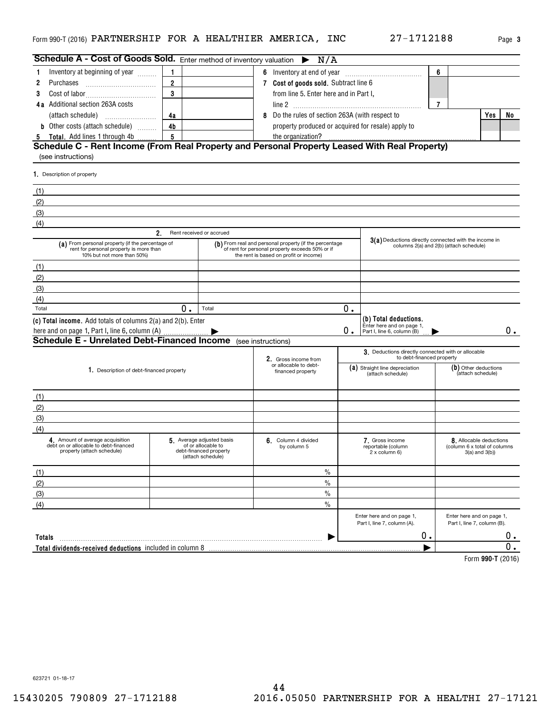|  |  | Page |
|--|--|------|
|  |  |      |

**3**

| Inventory at beginning of year<br>$\mathbf{1}$<br>$\overline{2}$<br>Purchases<br>2<br>$\mathbf{3}$<br>3<br>4a Additional section 263A costs<br>4а<br>4 <sub>b</sub><br><b>b</b> Other costs (attach schedule)<br>5<br><b>Total.</b> Add lines 1 through 4b<br>Schedule C - Rent Income (From Real Property and Personal Property Leased With Real Property)<br>(see instructions)<br>1. Description of property<br>(1)<br>(2)<br>(3)<br>(4)<br>2 <sub>1</sub><br>(a) From personal property (if the percentage of<br>rent for personal property is more than<br>10% but not more than 50%)<br>(1) | Rent received or accrued                                                                                                            | 7 Cost of goods sold. Subtract line 6<br>from line 5. Enter here and in Part I,<br>Do the rules of section 263A (with respect to<br>8<br>property produced or acquired for resale) apply to<br>(b) From real and personal property (if the percentage<br>of rent for personal property exceeds 50% or if<br>the rent is based on profit or income) |                                                        | 3(a) Deductions directly connected with the income in                           | 6<br>$\overline{7}$                                                          | <b>Yes</b><br>columns 2(a) and 2(b) (attach schedule)    | No |
|---------------------------------------------------------------------------------------------------------------------------------------------------------------------------------------------------------------------------------------------------------------------------------------------------------------------------------------------------------------------------------------------------------------------------------------------------------------------------------------------------------------------------------------------------------------------------------------------------|-------------------------------------------------------------------------------------------------------------------------------------|----------------------------------------------------------------------------------------------------------------------------------------------------------------------------------------------------------------------------------------------------------------------------------------------------------------------------------------------------|--------------------------------------------------------|---------------------------------------------------------------------------------|------------------------------------------------------------------------------|----------------------------------------------------------|----|
|                                                                                                                                                                                                                                                                                                                                                                                                                                                                                                                                                                                                   |                                                                                                                                     |                                                                                                                                                                                                                                                                                                                                                    |                                                        |                                                                                 |                                                                              |                                                          |    |
|                                                                                                                                                                                                                                                                                                                                                                                                                                                                                                                                                                                                   |                                                                                                                                     |                                                                                                                                                                                                                                                                                                                                                    |                                                        |                                                                                 |                                                                              |                                                          |    |
|                                                                                                                                                                                                                                                                                                                                                                                                                                                                                                                                                                                                   |                                                                                                                                     |                                                                                                                                                                                                                                                                                                                                                    |                                                        |                                                                                 |                                                                              |                                                          |    |
|                                                                                                                                                                                                                                                                                                                                                                                                                                                                                                                                                                                                   |                                                                                                                                     |                                                                                                                                                                                                                                                                                                                                                    |                                                        |                                                                                 |                                                                              |                                                          |    |
|                                                                                                                                                                                                                                                                                                                                                                                                                                                                                                                                                                                                   |                                                                                                                                     |                                                                                                                                                                                                                                                                                                                                                    |                                                        |                                                                                 |                                                                              |                                                          |    |
|                                                                                                                                                                                                                                                                                                                                                                                                                                                                                                                                                                                                   |                                                                                                                                     |                                                                                                                                                                                                                                                                                                                                                    |                                                        |                                                                                 |                                                                              |                                                          |    |
|                                                                                                                                                                                                                                                                                                                                                                                                                                                                                                                                                                                                   |                                                                                                                                     |                                                                                                                                                                                                                                                                                                                                                    |                                                        |                                                                                 |                                                                              |                                                          |    |
|                                                                                                                                                                                                                                                                                                                                                                                                                                                                                                                                                                                                   |                                                                                                                                     |                                                                                                                                                                                                                                                                                                                                                    |                                                        |                                                                                 |                                                                              |                                                          |    |
|                                                                                                                                                                                                                                                                                                                                                                                                                                                                                                                                                                                                   |                                                                                                                                     |                                                                                                                                                                                                                                                                                                                                                    |                                                        |                                                                                 |                                                                              |                                                          |    |
|                                                                                                                                                                                                                                                                                                                                                                                                                                                                                                                                                                                                   |                                                                                                                                     |                                                                                                                                                                                                                                                                                                                                                    |                                                        |                                                                                 |                                                                              |                                                          |    |
|                                                                                                                                                                                                                                                                                                                                                                                                                                                                                                                                                                                                   |                                                                                                                                     |                                                                                                                                                                                                                                                                                                                                                    |                                                        |                                                                                 |                                                                              |                                                          |    |
|                                                                                                                                                                                                                                                                                                                                                                                                                                                                                                                                                                                                   |                                                                                                                                     |                                                                                                                                                                                                                                                                                                                                                    |                                                        |                                                                                 |                                                                              |                                                          |    |
|                                                                                                                                                                                                                                                                                                                                                                                                                                                                                                                                                                                                   |                                                                                                                                     |                                                                                                                                                                                                                                                                                                                                                    |                                                        |                                                                                 |                                                                              |                                                          |    |
|                                                                                                                                                                                                                                                                                                                                                                                                                                                                                                                                                                                                   |                                                                                                                                     |                                                                                                                                                                                                                                                                                                                                                    |                                                        |                                                                                 |                                                                              |                                                          |    |
|                                                                                                                                                                                                                                                                                                                                                                                                                                                                                                                                                                                                   |                                                                                                                                     |                                                                                                                                                                                                                                                                                                                                                    |                                                        |                                                                                 |                                                                              |                                                          |    |
|                                                                                                                                                                                                                                                                                                                                                                                                                                                                                                                                                                                                   |                                                                                                                                     |                                                                                                                                                                                                                                                                                                                                                    |                                                        |                                                                                 |                                                                              |                                                          |    |
| (2)                                                                                                                                                                                                                                                                                                                                                                                                                                                                                                                                                                                               |                                                                                                                                     |                                                                                                                                                                                                                                                                                                                                                    |                                                        |                                                                                 |                                                                              |                                                          |    |
| (3)                                                                                                                                                                                                                                                                                                                                                                                                                                                                                                                                                                                               |                                                                                                                                     |                                                                                                                                                                                                                                                                                                                                                    |                                                        |                                                                                 |                                                                              |                                                          |    |
| (4)                                                                                                                                                                                                                                                                                                                                                                                                                                                                                                                                                                                               |                                                                                                                                     |                                                                                                                                                                                                                                                                                                                                                    |                                                        |                                                                                 |                                                                              |                                                          |    |
| 0.<br>Total                                                                                                                                                                                                                                                                                                                                                                                                                                                                                                                                                                                       | Total                                                                                                                               |                                                                                                                                                                                                                                                                                                                                                    | 0.                                                     |                                                                                 |                                                                              |                                                          |    |
| (c) Total income. Add totals of columns 2(a) and 2(b). Enter                                                                                                                                                                                                                                                                                                                                                                                                                                                                                                                                      |                                                                                                                                     |                                                                                                                                                                                                                                                                                                                                                    |                                                        | (b) Total deductions.<br>Enter here and on page 1,                              |                                                                              |                                                          |    |
| here and on page 1, Part I, line 6, column (A).<br><b>Schedule E - Unrelated Debt-Financed Income</b> (see instructions)                                                                                                                                                                                                                                                                                                                                                                                                                                                                          |                                                                                                                                     |                                                                                                                                                                                                                                                                                                                                                    | 0.                                                     | Part I, line 6, column (B)                                                      |                                                                              |                                                          | О. |
|                                                                                                                                                                                                                                                                                                                                                                                                                                                                                                                                                                                                   |                                                                                                                                     | 2. Gross income from                                                                                                                                                                                                                                                                                                                               |                                                        | 3. Deductions directly connected with or allocable<br>to debt-financed property |                                                                              |                                                          |    |
| 1. Description of debt-financed property                                                                                                                                                                                                                                                                                                                                                                                                                                                                                                                                                          |                                                                                                                                     | or allocable to debt-<br>financed property                                                                                                                                                                                                                                                                                                         |                                                        | (a) Straight line depreciation<br>(attach schedule)                             | (b) Other deductions<br>(attach schedule)                                    |                                                          |    |
|                                                                                                                                                                                                                                                                                                                                                                                                                                                                                                                                                                                                   |                                                                                                                                     |                                                                                                                                                                                                                                                                                                                                                    |                                                        |                                                                                 |                                                                              |                                                          |    |
| (1)                                                                                                                                                                                                                                                                                                                                                                                                                                                                                                                                                                                               |                                                                                                                                     |                                                                                                                                                                                                                                                                                                                                                    |                                                        |                                                                                 |                                                                              |                                                          |    |
| (2)                                                                                                                                                                                                                                                                                                                                                                                                                                                                                                                                                                                               |                                                                                                                                     |                                                                                                                                                                                                                                                                                                                                                    |                                                        |                                                                                 |                                                                              |                                                          |    |
| (3)                                                                                                                                                                                                                                                                                                                                                                                                                                                                                                                                                                                               |                                                                                                                                     |                                                                                                                                                                                                                                                                                                                                                    |                                                        |                                                                                 |                                                                              |                                                          |    |
| (4)<br>4. Amount of average acquisition<br>debt on or allocable to debt-financed<br>property (attach schedule)                                                                                                                                                                                                                                                                                                                                                                                                                                                                                    | 5 Average adjusted basis<br>6. Column 4 divided<br>of or allocable to<br>by column 5<br>debt-financed property<br>(attach schedule) |                                                                                                                                                                                                                                                                                                                                                    | 7. Gross income<br>reportable (column<br>2 x column 6) |                                                                                 | 8. Allocable deductions<br>(column 6 x total of columns<br>$3(a)$ and $3(b)$ |                                                          |    |
| (1)                                                                                                                                                                                                                                                                                                                                                                                                                                                                                                                                                                                               |                                                                                                                                     | $\%$                                                                                                                                                                                                                                                                                                                                               |                                                        |                                                                                 |                                                                              |                                                          |    |
| (2)                                                                                                                                                                                                                                                                                                                                                                                                                                                                                                                                                                                               |                                                                                                                                     | $\frac{0}{0}$                                                                                                                                                                                                                                                                                                                                      |                                                        |                                                                                 |                                                                              |                                                          |    |
| (3)                                                                                                                                                                                                                                                                                                                                                                                                                                                                                                                                                                                               |                                                                                                                                     | $\frac{0}{0}$                                                                                                                                                                                                                                                                                                                                      |                                                        |                                                                                 |                                                                              |                                                          |    |
| (4)                                                                                                                                                                                                                                                                                                                                                                                                                                                                                                                                                                                               |                                                                                                                                     | $\%$                                                                                                                                                                                                                                                                                                                                               |                                                        |                                                                                 |                                                                              |                                                          |    |
|                                                                                                                                                                                                                                                                                                                                                                                                                                                                                                                                                                                                   |                                                                                                                                     |                                                                                                                                                                                                                                                                                                                                                    |                                                        | Enter here and on page 1,<br>Part I, line 7, column (A).                        |                                                                              | Enter here and on page 1,<br>Part I, line 7, column (B). |    |
| Totals                                                                                                                                                                                                                                                                                                                                                                                                                                                                                                                                                                                            |                                                                                                                                     |                                                                                                                                                                                                                                                                                                                                                    |                                                        | 0.                                                                              |                                                                              |                                                          | 0. |
| Total dividends-received deductions included in column 8 [2010] [2010] Total dividends-received deductions included in column 8                                                                                                                                                                                                                                                                                                                                                                                                                                                                   |                                                                                                                                     |                                                                                                                                                                                                                                                                                                                                                    |                                                        |                                                                                 |                                                                              |                                                          | Ο. |

**990-T**  Form (2016)

623721 01-18-17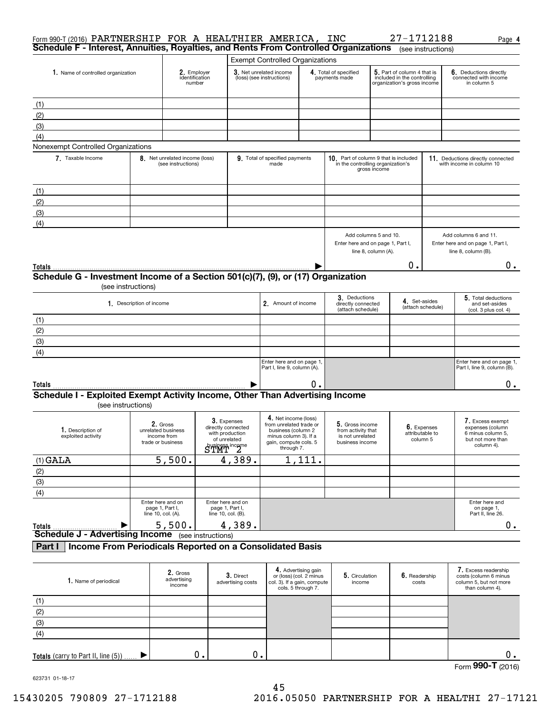| Form 990-T (2016) PARTNERSHIP FOR A HEALTHIER AMERICA, INC<br>Schedule F - Interest, Annuities, Royalties, and Rents From Controlled Organizations |                                                                    |                                                      |                                                                                                     |                                                      |                                                                                                                                       |                                                                      |                                                                                                                                     |                                              | 27-1712188             | (see instructions)                                             | Page 4                                                                                       |
|----------------------------------------------------------------------------------------------------------------------------------------------------|--------------------------------------------------------------------|------------------------------------------------------|-----------------------------------------------------------------------------------------------------|------------------------------------------------------|---------------------------------------------------------------------------------------------------------------------------------------|----------------------------------------------------------------------|-------------------------------------------------------------------------------------------------------------------------------------|----------------------------------------------|------------------------|----------------------------------------------------------------|----------------------------------------------------------------------------------------------|
|                                                                                                                                                    |                                                                    |                                                      |                                                                                                     |                                                      | <b>Exempt Controlled Organizations</b>                                                                                                |                                                                      |                                                                                                                                     |                                              |                        |                                                                |                                                                                              |
| 1. Name of controlled organization                                                                                                                 |                                                                    | 2. Employer<br>identification<br>number              |                                                                                                     | 3. Net unrelated income<br>(loss) (see instructions) |                                                                                                                                       |                                                                      | 5. Part of column 4 that is<br>4. Total of specified<br>included in the controlling<br>payments made<br>organization's gross income |                                              |                        | 6. Deductions directly<br>connected with income<br>in column 5 |                                                                                              |
|                                                                                                                                                    |                                                                    |                                                      |                                                                                                     |                                                      |                                                                                                                                       |                                                                      |                                                                                                                                     |                                              |                        |                                                                |                                                                                              |
| (1)                                                                                                                                                |                                                                    |                                                      |                                                                                                     |                                                      |                                                                                                                                       |                                                                      |                                                                                                                                     |                                              |                        |                                                                |                                                                                              |
| (2)                                                                                                                                                |                                                                    |                                                      |                                                                                                     |                                                      |                                                                                                                                       |                                                                      |                                                                                                                                     |                                              |                        |                                                                |                                                                                              |
| (3)                                                                                                                                                |                                                                    |                                                      |                                                                                                     |                                                      |                                                                                                                                       |                                                                      |                                                                                                                                     |                                              |                        |                                                                |                                                                                              |
| (4)                                                                                                                                                |                                                                    |                                                      |                                                                                                     |                                                      |                                                                                                                                       |                                                                      |                                                                                                                                     |                                              |                        |                                                                |                                                                                              |
| Nonexempt Controlled Organizations<br>7. Taxable Income                                                                                            |                                                                    | 8. Net unrelated income (loss)<br>(see instructions) |                                                                                                     |                                                      | 9. Total of specified payments<br>made                                                                                                |                                                                      | 10. Part of column 9 that is included<br>in the controlling organization's                                                          | gross income                                 |                        |                                                                | 11. Deductions directly connected<br>with income in column 10                                |
|                                                                                                                                                    |                                                                    |                                                      |                                                                                                     |                                                      |                                                                                                                                       |                                                                      |                                                                                                                                     |                                              |                        |                                                                |                                                                                              |
| (1)                                                                                                                                                |                                                                    |                                                      |                                                                                                     |                                                      |                                                                                                                                       |                                                                      |                                                                                                                                     |                                              |                        |                                                                |                                                                                              |
| (2)                                                                                                                                                |                                                                    |                                                      |                                                                                                     |                                                      |                                                                                                                                       |                                                                      |                                                                                                                                     |                                              |                        |                                                                |                                                                                              |
| (3)                                                                                                                                                |                                                                    |                                                      |                                                                                                     |                                                      |                                                                                                                                       |                                                                      |                                                                                                                                     |                                              |                        |                                                                |                                                                                              |
| (4)                                                                                                                                                |                                                                    |                                                      |                                                                                                     |                                                      |                                                                                                                                       |                                                                      |                                                                                                                                     |                                              |                        |                                                                |                                                                                              |
|                                                                                                                                                    |                                                                    |                                                      |                                                                                                     |                                                      |                                                                                                                                       |                                                                      | Enter here and on page 1, Part I,                                                                                                   | Add columns 5 and 10.<br>line 8, column (A). |                        |                                                                | Add columns 6 and 11.<br>Enter here and on page 1, Part I,<br>line 8, column (B).            |
|                                                                                                                                                    |                                                                    |                                                      |                                                                                                     |                                                      |                                                                                                                                       |                                                                      |                                                                                                                                     |                                              | Ο.                     |                                                                | $0$ .                                                                                        |
| Totals<br>Schedule G - Investment Income of a Section 501(c)(7), (9), or (17) Organization                                                         |                                                                    |                                                      |                                                                                                     |                                                      |                                                                                                                                       |                                                                      |                                                                                                                                     |                                              |                        |                                                                |                                                                                              |
| (see instructions)                                                                                                                                 |                                                                    |                                                      |                                                                                                     |                                                      |                                                                                                                                       |                                                                      |                                                                                                                                     |                                              |                        |                                                                |                                                                                              |
|                                                                                                                                                    | 1. Description of income                                           |                                                      |                                                                                                     |                                                      | 2. Amount of income                                                                                                                   |                                                                      | 3. Deductions<br>directly connected<br>(attach schedule)                                                                            |                                              | 4. Set-asides          | (attach schedule)                                              | 5. Total deductions<br>and set-asides<br>(col. 3 plus col. 4)                                |
| (1)                                                                                                                                                |                                                                    |                                                      |                                                                                                     |                                                      |                                                                                                                                       |                                                                      |                                                                                                                                     |                                              |                        |                                                                |                                                                                              |
| (2)                                                                                                                                                |                                                                    |                                                      |                                                                                                     |                                                      |                                                                                                                                       |                                                                      |                                                                                                                                     |                                              |                        |                                                                |                                                                                              |
| (3)                                                                                                                                                |                                                                    |                                                      |                                                                                                     |                                                      |                                                                                                                                       |                                                                      |                                                                                                                                     |                                              |                        |                                                                |                                                                                              |
| (4)                                                                                                                                                |                                                                    |                                                      |                                                                                                     |                                                      |                                                                                                                                       |                                                                      |                                                                                                                                     |                                              |                        |                                                                |                                                                                              |
|                                                                                                                                                    |                                                                    |                                                      |                                                                                                     |                                                      | Enter here and on page 1,<br>Part I, line 9, column (A).                                                                              |                                                                      |                                                                                                                                     |                                              |                        |                                                                | Enter here and on page 1,<br>Part I, line 9, column (B).                                     |
| Totals                                                                                                                                             |                                                                    |                                                      |                                                                                                     |                                                      |                                                                                                                                       | 0.                                                                   |                                                                                                                                     |                                              |                        |                                                                | 0.                                                                                           |
| Schedule I - Exploited Exempt Activity Income, Other Than Advertising Income                                                                       |                                                                    |                                                      |                                                                                                     |                                                      |                                                                                                                                       |                                                                      |                                                                                                                                     |                                              |                        |                                                                |                                                                                              |
| (see instructions)                                                                                                                                 |                                                                    |                                                      |                                                                                                     |                                                      |                                                                                                                                       |                                                                      |                                                                                                                                     |                                              |                        |                                                                |                                                                                              |
| 1. Description of<br>exploited activity                                                                                                            | 2. Gross<br>unrelated business<br>income from<br>trade or business |                                                      | 3. Expenses<br>directly connected<br>with production<br>of unrelated<br>STMT <sup>ness</sup> income |                                                      | 4. Net income (loss)<br>from unrelated trade or<br>business (column 2<br>minus column 3). If a<br>gain, compute cols. 5<br>through 7. |                                                                      | 5. Gross income<br>from activity that<br>is not unrelated<br>business income                                                        |                                              |                        | 6. Expenses<br>attributable to<br>column 5                     | 7. Excess exempt<br>expenses (column<br>6 minus column 5,<br>but not more than<br>column 4). |
| $(1)$ GALA                                                                                                                                         |                                                                    | 5,500.                                               |                                                                                                     | 4,389.                                               |                                                                                                                                       | 1,111.                                                               |                                                                                                                                     |                                              |                        |                                                                |                                                                                              |
| $\frac{(2)}{(3)}$<br>$\frac{(4)}{(4)}$                                                                                                             |                                                                    |                                                      |                                                                                                     |                                                      |                                                                                                                                       |                                                                      |                                                                                                                                     |                                              |                        |                                                                |                                                                                              |
|                                                                                                                                                    |                                                                    |                                                      |                                                                                                     |                                                      |                                                                                                                                       |                                                                      |                                                                                                                                     |                                              |                        |                                                                |                                                                                              |
|                                                                                                                                                    |                                                                    |                                                      |                                                                                                     |                                                      |                                                                                                                                       |                                                                      |                                                                                                                                     |                                              |                        |                                                                |                                                                                              |
|                                                                                                                                                    | Enter here and on<br>page 1, Part I,<br>line 10, col. (A).         |                                                      | Enter here and on<br>page 1, Part I,<br>line 10, col. (B).                                          |                                                      |                                                                                                                                       |                                                                      |                                                                                                                                     |                                              |                        |                                                                | Enter here and<br>on page 1,<br>Part II, line 26.                                            |
| Totals                                                                                                                                             |                                                                    | 5,500.                                               |                                                                                                     | 4,389.                                               |                                                                                                                                       |                                                                      |                                                                                                                                     |                                              |                        |                                                                | 0.                                                                                           |
| <b>Schedule J - Advertising Income</b> (see instructions)                                                                                          |                                                                    |                                                      |                                                                                                     |                                                      |                                                                                                                                       |                                                                      |                                                                                                                                     |                                              |                        |                                                                |                                                                                              |
| Income From Periodicals Reported on a Consolidated Basis<br>Part I                                                                                 |                                                                    |                                                      |                                                                                                     |                                                      |                                                                                                                                       |                                                                      |                                                                                                                                     |                                              |                        |                                                                |                                                                                              |
| 1. Name of periodical                                                                                                                              |                                                                    | 2. Gross<br>advertising<br>income                    |                                                                                                     | 3. Direct<br>advertising costs                       | col. 3). If a gain, compute                                                                                                           | 4. Advertising gain<br>or (loss) (col. 2 minus<br>cols. 5 through 7. | 5. Circulation<br>income                                                                                                            |                                              | 6. Readership<br>costs |                                                                | 7. Excess readership<br>costs (column 6 minus<br>column 5, but not more<br>than column 4).   |
| (1)                                                                                                                                                |                                                                    |                                                      |                                                                                                     |                                                      |                                                                                                                                       |                                                                      |                                                                                                                                     |                                              |                        |                                                                |                                                                                              |
| $\overline{(2)}$                                                                                                                                   |                                                                    |                                                      |                                                                                                     |                                                      |                                                                                                                                       |                                                                      |                                                                                                                                     |                                              |                        |                                                                |                                                                                              |
| (3)                                                                                                                                                |                                                                    |                                                      |                                                                                                     |                                                      |                                                                                                                                       |                                                                      |                                                                                                                                     |                                              |                        |                                                                |                                                                                              |
|                                                                                                                                                    |                                                                    |                                                      |                                                                                                     |                                                      |                                                                                                                                       |                                                                      |                                                                                                                                     |                                              |                        |                                                                |                                                                                              |

(4)

 $\blacktriangleright$ 

**Totals** (carry to Part II, line (5))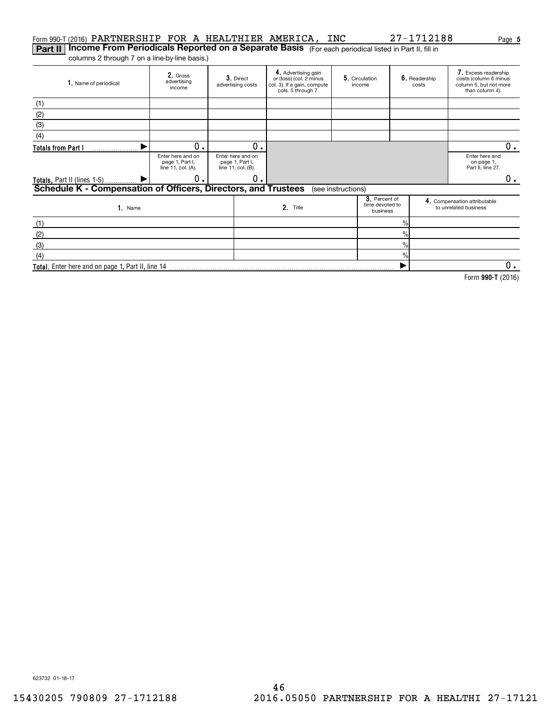#### $_{\rm Form}$  990-T (2016) <code>PARTNERSHIP</code> FOR A HEALTHIER AMERICA, INC  $_{\rm 27-1712188$   $_{\rm Page}$

**Part II | Income From Periodicals Reported on a Separate Basis** (For each periodical listed in Part II, fill in

columns 2 through 7 on a line-by-line basis.)

| 1. Name of periodical                                          | 2. Gross<br>advertising<br>income                          |  | 3. Direct<br>advertising costs                             | 4. Advertising gain<br>or (loss) (col. 2 minus<br>col. 3). If a gain, compute<br>cols. 5 through 7. | 6. Readership<br>5. Circulation<br>income<br>costs |  |               |                                                       | 7. Excess readership<br>costs (column 6 minus<br>column 5, but not more<br>than column 4). |    |
|----------------------------------------------------------------|------------------------------------------------------------|--|------------------------------------------------------------|-----------------------------------------------------------------------------------------------------|----------------------------------------------------|--|---------------|-------------------------------------------------------|--------------------------------------------------------------------------------------------|----|
| (1)                                                            |                                                            |  |                                                            |                                                                                                     |                                                    |  |               |                                                       |                                                                                            |    |
| (2)                                                            |                                                            |  |                                                            |                                                                                                     |                                                    |  |               |                                                       |                                                                                            |    |
| (3)                                                            |                                                            |  |                                                            |                                                                                                     |                                                    |  |               |                                                       |                                                                                            |    |
| (4)                                                            |                                                            |  |                                                            |                                                                                                     |                                                    |  |               |                                                       |                                                                                            |    |
| <b>Totals from Part I</b>                                      | 0                                                          |  | 0.                                                         |                                                                                                     |                                                    |  |               |                                                       |                                                                                            | 0. |
|                                                                | Enter here and on<br>page 1, Part I,<br>line 11, col. (A). |  | Enter here and on<br>page 1, Part I,<br>line 11, col. (B). |                                                                                                     |                                                    |  |               |                                                       | Enter here and<br>on page 1,<br>Part II, line 27.                                          |    |
| <b>Totals, Part II (lines 1-5)</b>                             | 0.                                                         |  | О.                                                         |                                                                                                     |                                                    |  |               |                                                       |                                                                                            | 0. |
| Schedule K - Compensation of Officers, Directors, and Trustees |                                                            |  |                                                            |                                                                                                     | (see instructions)                                 |  |               |                                                       |                                                                                            |    |
| 1. Name                                                        |                                                            |  |                                                            | 3. Percent of<br>time devoted to<br>2. Title<br>business                                            |                                                    |  |               | 4. Compensation attributable<br>to unrelated business |                                                                                            |    |
| (1)                                                            |                                                            |  |                                                            |                                                                                                     |                                                    |  | $\frac{0}{0}$ |                                                       |                                                                                            |    |
| (2)                                                            |                                                            |  |                                                            |                                                                                                     |                                                    |  | $\frac{9}{6}$ |                                                       |                                                                                            |    |
| (3)                                                            |                                                            |  |                                                            |                                                                                                     |                                                    |  | $\frac{0}{0}$ |                                                       |                                                                                            |    |
| (4)                                                            |                                                            |  |                                                            |                                                                                                     |                                                    |  | $\frac{0}{0}$ |                                                       |                                                                                            |    |
|                                                                |                                                            |  |                                                            |                                                                                                     |                                                    |  |               |                                                       |                                                                                            | 0. |

**990-T**  Form (2016)

**5**

623732 01-18-17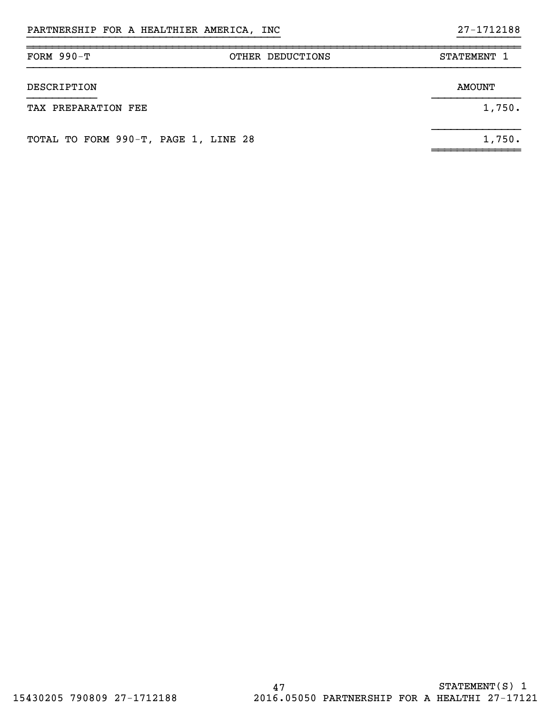| FORM $990-T$                         | OTHER DEDUCTIONS | STATEMENT 1   |
|--------------------------------------|------------------|---------------|
| DESCRIPTION                          |                  | <b>AMOUNT</b> |
| TAX PREPARATION FEE                  |                  | 1,750.        |
| TOTAL TO FORM 990-T, PAGE 1, LINE 28 |                  | 1,750.        |

}}}}}}}}}}}}}}}}}}}}}}}}}}}}}}}}}}}}}}}} }}}}}}}}}}